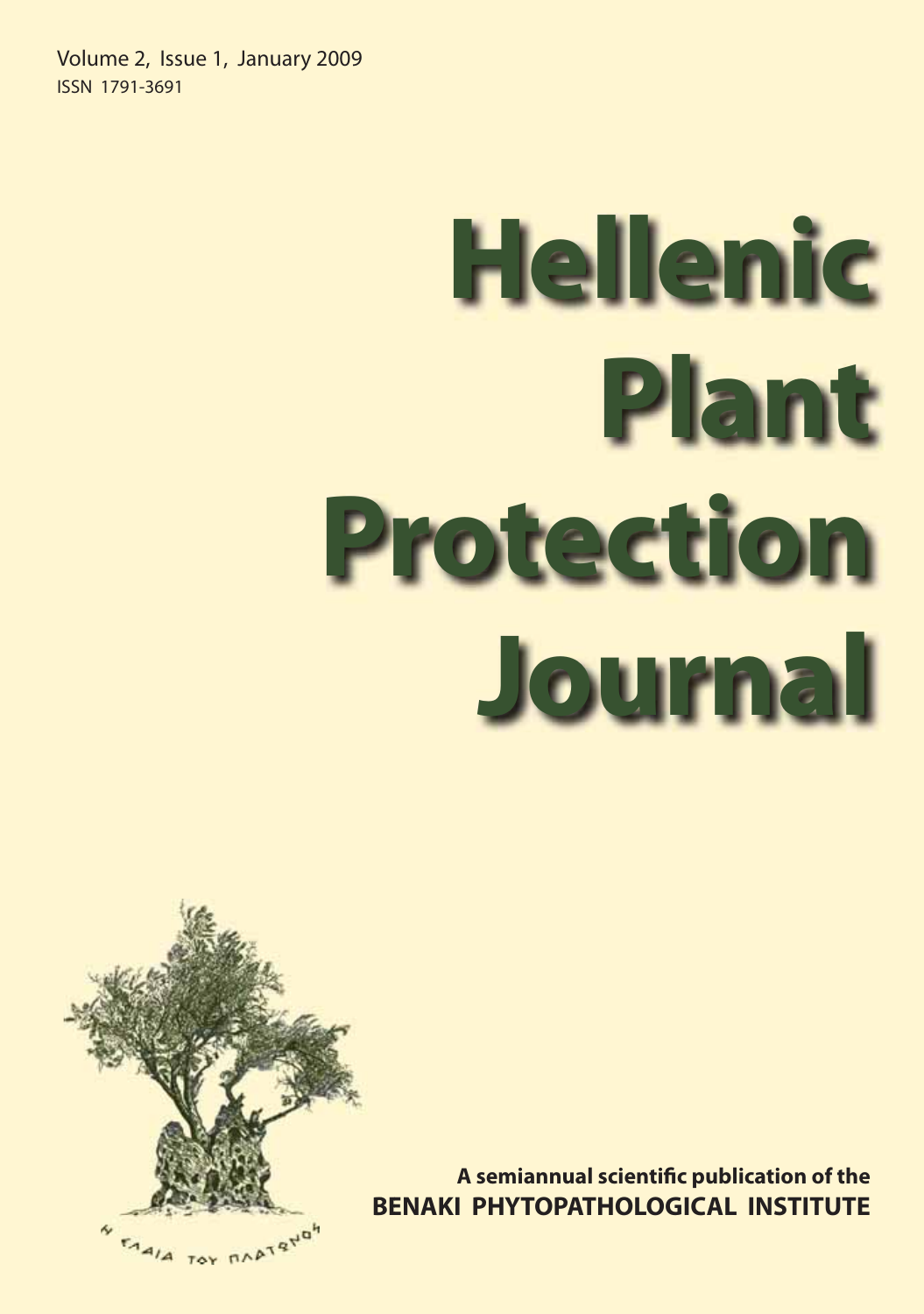Volume 2, Issue 1, January 2009 ISSN 1791-3691

# **Hellenic Protection Journal Journal**



A semiannual scientific publication of the<br>BENAKI PHYTOPATHOLOGICAL INSTITUTE **BENAKI PHYTOPATHOLOGICAL INSTITUTE BE**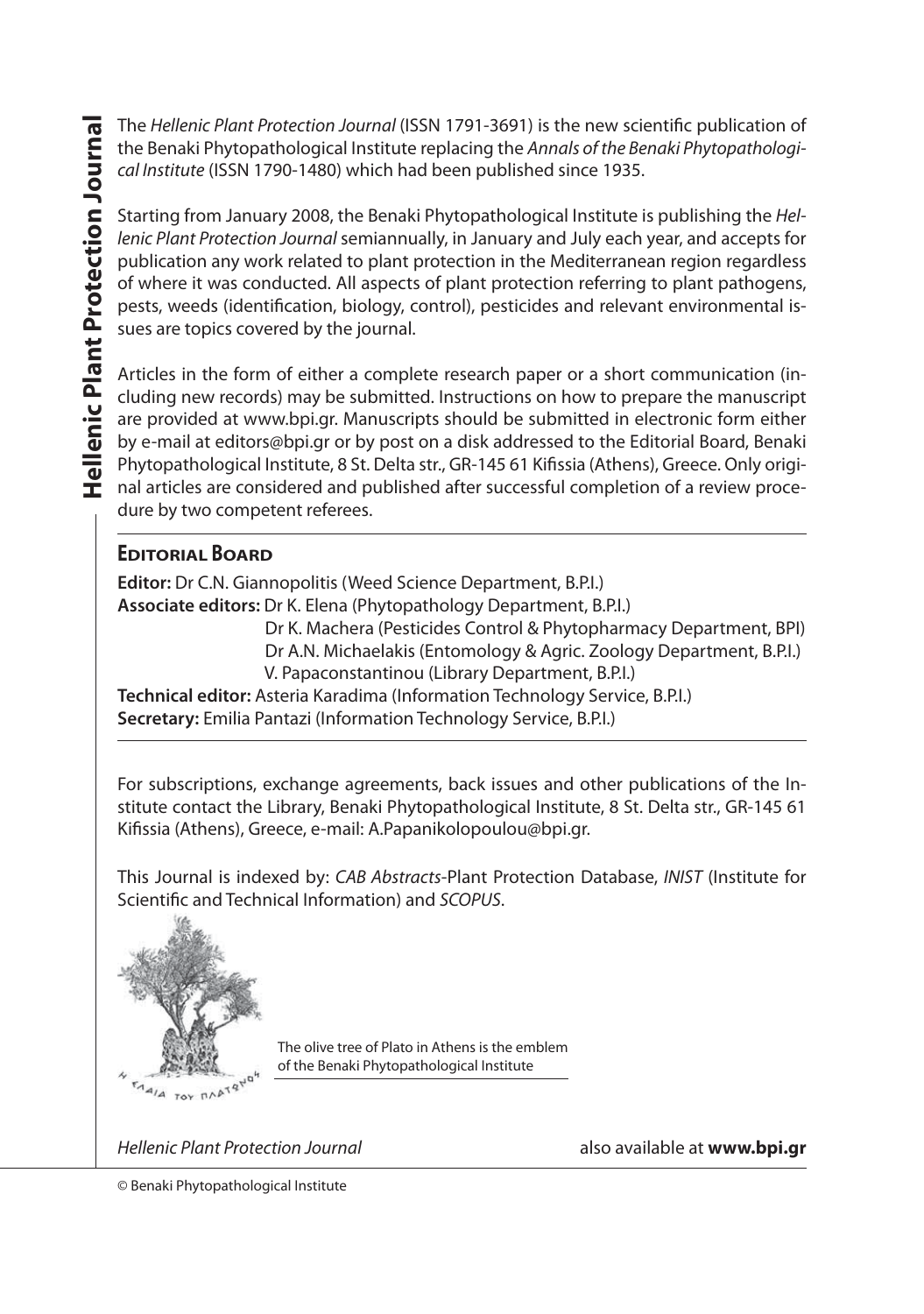The *Hellenic Plant Protection Journal* (ISSN 1791-3691) is the new scientific publication of<br>the Benaki Phytonathological Institute replacing the *Annals of the Benaki Phytonathologi*the Benaki Phytopathological Institute replacing the *Annals of the Benaki Phytopathological Institute* (ISSN 1790-1480) which had been published since 1935.

Starting from January 2008, the Benaki Phytopathological Institute is publishing the *Hellenic Plant Protection Journal* semiannually, in January and July each year, and accepts for publication any work related to plant protection in the Mediterranean region regardless of where it was conducted. All aspects of plant protection referring to plant pathogens, pests, weeds (identification, biology, control), pesticides and relevant environmental issues are topics covered by the journal.

Articles in the form of either a complete research paper or a short communication (including new records) may be submitted. Instructions on how to prepare the manuscript are provided at www.bpi.gr. Manuscripts should be submitted in electronic form either by e-mail at editors@bpi.gr or by post on a disk addressed to the Editorial Board, Benaki Phytopathological Institute, 8 St. Delta str., GR-145 61 Kifissia (Athens), Greece. Only original articles are considered and published after successful completion of a review procedure by two competent referees.

### **EDITORIAL BOARD**

**Editor:** Dr C.N. Giannopolitis (Weed Science Department, B.P.I.) **Associate editors:** Dr K. Elena (Phytopathology Department, B.P.I.)

 Dr K. Machera (Pesticides Control & Phytopharmacy Department, BPI) Dr A.N. Michaelakis (Entomology & Agric. Zoology Department, B.P.I.) V. Papaconstantinou (Library Department, B.P.I.)

**Technical editor:** Asteria Karadima (Information Technology Service, B.P.I.) **Secretary:** Emilia Pantazi (Information Technology Service, B.P.I.)

For subscriptions, exchange agreements, back issues and other publications of the Institute contact the Library, Benaki Phytopathological Institute, 8 St. Delta str., GR-145 61 Kifissia (Athens), Greece, e-mail: A.Papanikolopoulou@bpi.gr.

This Journal is indexed by: *CAB Abstracts*-Plant Protection Database, *INIST* (Institute for Scientific and Technical Information) and *SCOPUS*.



The olive tree of Plato in Athens is the emblem of the Benaki Phytopathological Institute

*Hellenic Plant Protection Journal* also available at **www.bpi.gr**

© Benaki Phytopathological Institute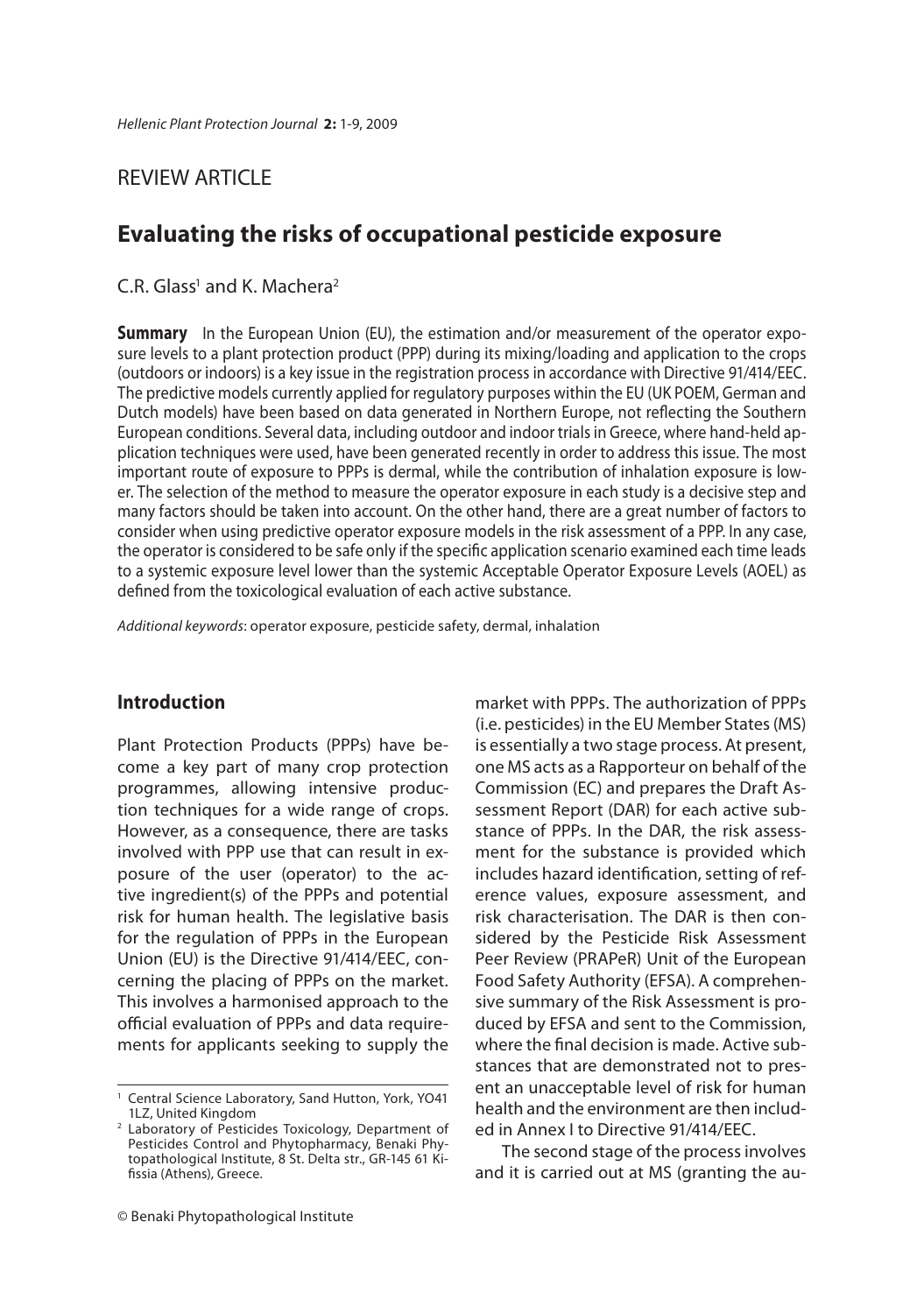### REVIEW ARTICLE

### **Evaluating the risks of occupational pesticide exposure**

### $C.R.$  Glass<sup>1</sup> and K. Machera<sup>2</sup>

**Summary** In the European Union (EU), the estimation and/or measurement of the operator expo-sure levels to a plant protection product (PPP) during its mixing/loading and application to the crops (outdoors or indoors) is a key issue in the registration process in accordance with Directive 91/414/EEC. The predictive models currently applied for regulatory purposes within the EU (UK POEM, German and Dutch models) have been based on data generated in Northern Europe, not reflecting the Southern European conditions. Several data, including outdoor and indoor trials in Greece, where hand-held application techniques were used, have been generated recently in order to address this issue. The most important route of exposure to PPPs is dermal, while the contribution of inhalation exposure is lower. The selection of the method to measure the operator exposure in each study is a decisive step and many factors should be taken into account. On the other hand, there are a great number of factors to consider when using predictive operator exposure models in the risk assessment of a PPP. In any case, the operator is considered to be safe only if the specific application scenario examined each time leads to a systemic exposure level lower than the systemic Acceptable Operator Exposure Levels (AOEL) as defined from the toxicological evaluation of each active substance.

*Additional keywords*: operator exposure, pesticide safety, dermal, inhalation

### **Introduction**

Plant Protection Products (PPPs) have become a key part of many crop protection programmes, allowing intensive production techniques for a wide range of crops. However, as a consequence, there are tasks involved with PPP use that can result in exposure of the user (operator) to the active ingredient(s) of the PPPs and potential risk for human health. The legislative basis for the regulation of PPPs in the European Union (EU) is the Directive 91/414/EEC, concerning the placing of PPPs on the market. This involves a harmonised approach to the official evaluation of PPPs and data requirements for applicants seeking to supply the

(i.e. pesticides) in the EU Member States (MS) is essentially a two stage process. At present, one MS acts as a Rapporteur on behalf of the Commission (EC) and prepares the Draft Assessment Report (DAR) for each active substance of PPPs. In the DAR, the risk assessment for the substance is provided which includes hazard identification, setting of reference values, exposure assessment, and risk characterisation. The DAR is then considered by the Pesticide Risk Assessment Peer Review (PRAPeR) Unit of the European Food Safety Authority (EFSA). A comprehensive summary of the Risk Assessment is produced by EFSA and sent to the Commission, where the final decision is made. Active substances that are demonstrated not to present an unacceptable level of risk for human health and the environment are then included in Annex I to Directive 91/414/EEC.

market with PPPs. The authorization of PPPs

The second stage of the process involves and it is carried out at MS (granting the au-

<sup>1</sup> Central Science Laboratory, Sand Hutton, York, YO41 1LZ, United Kingdom

<sup>2</sup> Laboratory of Pesticides Toxicology, Department of Pesticides Control and Phytopharmacy, Benaki Phytopathological Institute, 8 St. Delta str., GR-145 61 Kifissia (Athens), Greece.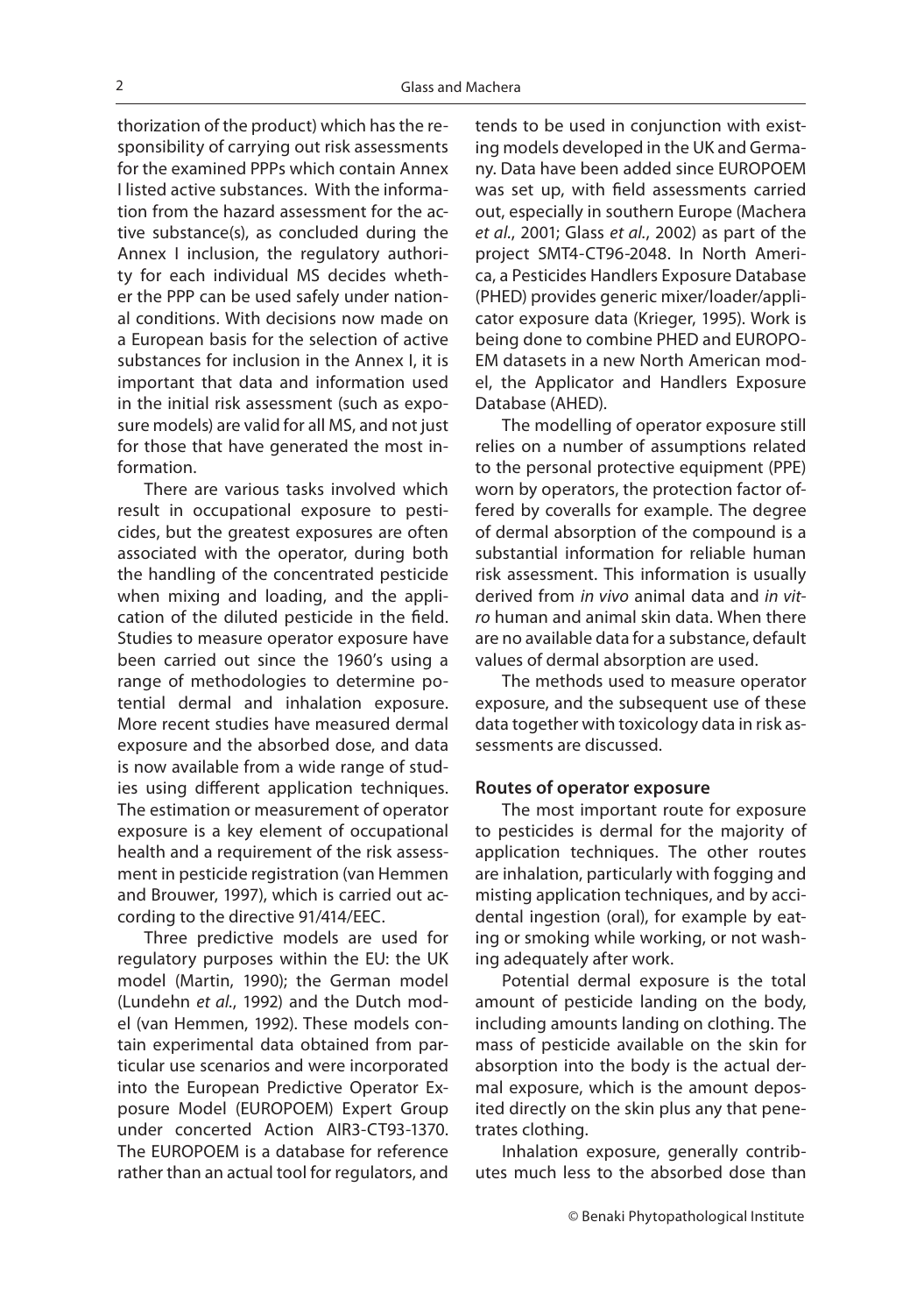thorization of the product) which has the responsibility of carrying out risk assessments for the examined PPPs which contain Annex I listed active substances. With the information from the hazard assessment for the active substance(s), as concluded during the Annex I inclusion, the regulatory authority for each individual MS decides whether the PPP can be used safely under national conditions. With decisions now made on a European basis for the selection of active substances for inclusion in the Annex I, it is important that data and information used in the initial risk assessment (such as exposure models) are valid for all MS, and not just for those that have generated the most information.

There are various tasks involved which result in occupational exposure to pesticides, but the greatest exposures are often associated with the operator, during both the handling of the concentrated pesticide when mixing and loading, and the application of the diluted pesticide in the field. Studies to measure operator exposure have been carried out since the 1960's using a range of methodologies to determine potential dermal and inhalation exposure. More recent studies have measured dermal exposure and the absorbed dose, and data is now available from a wide range of studies using different application techniques. The estimation or measurement of operator exposure is a key element of occupational health and a requirement of the risk assessment in pesticide registration (van Hemmen and Brouwer, 1997), which is carried out according to the directive 91/414/EEC.

Three predictive models are used for regulatory purposes within the EU: the UK model (Martin, 1990); the German model (Lundehn *et al.*, 1992) and the Dutch model (van Hemmen, 1992). These models contain experimental data obtained from particular use scenarios and were incorporated into the European Predictive Operator Exposure Model (EUROPOEM) Expert Group under concerted Action AIR3-CT93-1370. The EUROPOEM is a database for reference rather than an actual tool for regulators, and

tends to be used in conjunction with existing models developed in the UK and Germany. Data have been added since EUROPOEM was set up, with field assessments carried out, especially in southern Europe (Machera *et al.*, 2001; Glass *et al.*, 2002) as part of the project SMT4-CT96-2048. In North America, a Pesticides Handlers Exposure Database (PHED) provides generic mixer/loader/applicator exposure data (Krieger, 1995). Work is being done to combine PHED and EUROPO-EM datasets in a new North American model, the Applicator and Handlers Exposure Database (AHED).

The modelling of operator exposure still relies on a number of assumptions related to the personal protective equipment (PPE) worn by operators, the protection factor offered by coveralls for example. The degree of dermal absorption of the compound is a substantial information for reliable human risk assessment. This information is usually derived from *in vivo* animal data and *in vitro* human and animal skin data. When there are no available data for a substance, default values of dermal absorption are used.

The methods used to measure operator exposure, and the subsequent use of these data together with toxicology data in risk assessments are discussed.

#### **Routes of operator exposure**

The most important route for exposure to pesticides is dermal for the majority of application techniques. The other routes are inhalation, particularly with fogging and misting application techniques, and by accidental ingestion (oral), for example by eating or smoking while working, or not washing adequately after work.

Potential dermal exposure is the total amount of pesticide landing on the body, including amounts landing on clothing. The mass of pesticide available on the skin for absorption into the body is the actual dermal exposure, which is the amount deposited directly on the skin plus any that penetrates clothing.

Inhalation exposure, generally contributes much less to the absorbed dose than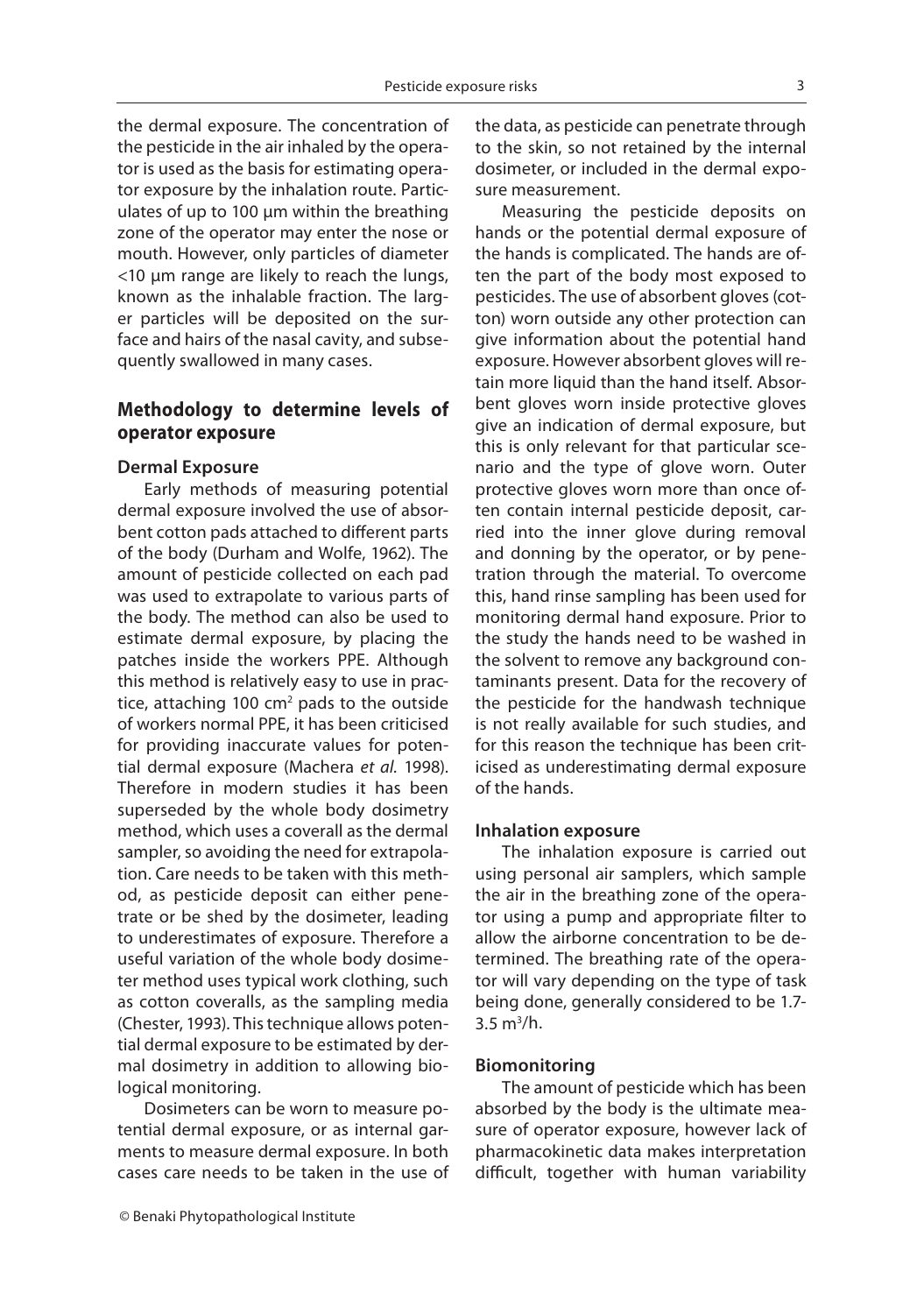the dermal exposure. The concentration of the pesticide in the air inhaled by the operator is used as the basis for estimating operator exposure by the inhalation route. Particulates of up to 100 μm within the breathing zone of the operator may enter the nose or mouth. However, only particles of diameter <10 μm range are likely to reach the lungs, known as the inhalable fraction. The larger particles will be deposited on the surface and hairs of the nasal cavity, and subsequently swallowed in many cases.

### **Methodology to determine levels of operator exposure**

#### **Dermal Exposure**

Early methods of measuring potential dermal exposure involved the use of absorbent cotton pads attached to different parts of the body (Durham and Wolfe, 1962). The amount of pesticide collected on each pad was used to extrapolate to various parts of the body. The method can also be used to estimate dermal exposure, by placing the patches inside the workers PPE. Although this method is relatively easy to use in practice, attaching 100 cm<sup>2</sup> pads to the outside of workers normal PPE, it has been criticised for providing inaccurate values for potential dermal exposure (Machera *et al.* 1998). Therefore in modern studies it has been superseded by the whole body dosimetry method, which uses a coverall as the dermal sampler, so avoiding the need for extrapolation. Care needs to be taken with this method, as pesticide deposit can either penetrate or be shed by the dosimeter, leading to underestimates of exposure. Therefore a useful variation of the whole body dosimeter method uses typical work clothing, such as cotton coveralls, as the sampling media (Chester, 1993). This technique allows potential dermal exposure to be estimated by dermal dosimetry in addition to allowing biological monitoring.

Dosimeters can be worn to measure potential dermal exposure, or as internal garments to measure dermal exposure. In both cases care needs to be taken in the use of the data, as pesticide can penetrate through to the skin, so not retained by the internal dosimeter, or included in the dermal exposure measurement.

Measuring the pesticide deposits on hands or the potential dermal exposure of the hands is complicated. The hands are often the part of the body most exposed to pesticides. The use of absorbent gloves (cotton) worn outside any other protection can give information about the potential hand exposure. However absorbent gloves will retain more liquid than the hand itself. Absorbent gloves worn inside protective gloves give an indication of dermal exposure, but this is only relevant for that particular scenario and the type of glove worn. Outer protective gloves worn more than once often contain internal pesticide deposit, carried into the inner glove during removal and donning by the operator, or by penetration through the material. To overcome this, hand rinse sampling has been used for monitoring dermal hand exposure. Prior to the study the hands need to be washed in the solvent to remove any background contaminants present. Data for the recovery of the pesticide for the handwash technique is not really available for such studies, and for this reason the technique has been criticised as underestimating dermal exposure of the hands.

#### **Inhalation exposure**

The inhalation exposure is carried out using personal air samplers, which sample the air in the breathing zone of the operator using a pump and appropriate filter to allow the airborne concentration to be determined. The breathing rate of the operator will vary depending on the type of task being done, generally considered to be 1.7-  $3.5 \text{ m}^3/h.$ 

#### **Biomonitoring**

The amount of pesticide which has been absorbed by the body is the ultimate measure of operator exposure, however lack of pharmacokinetic data makes interpretation difficult, together with human variability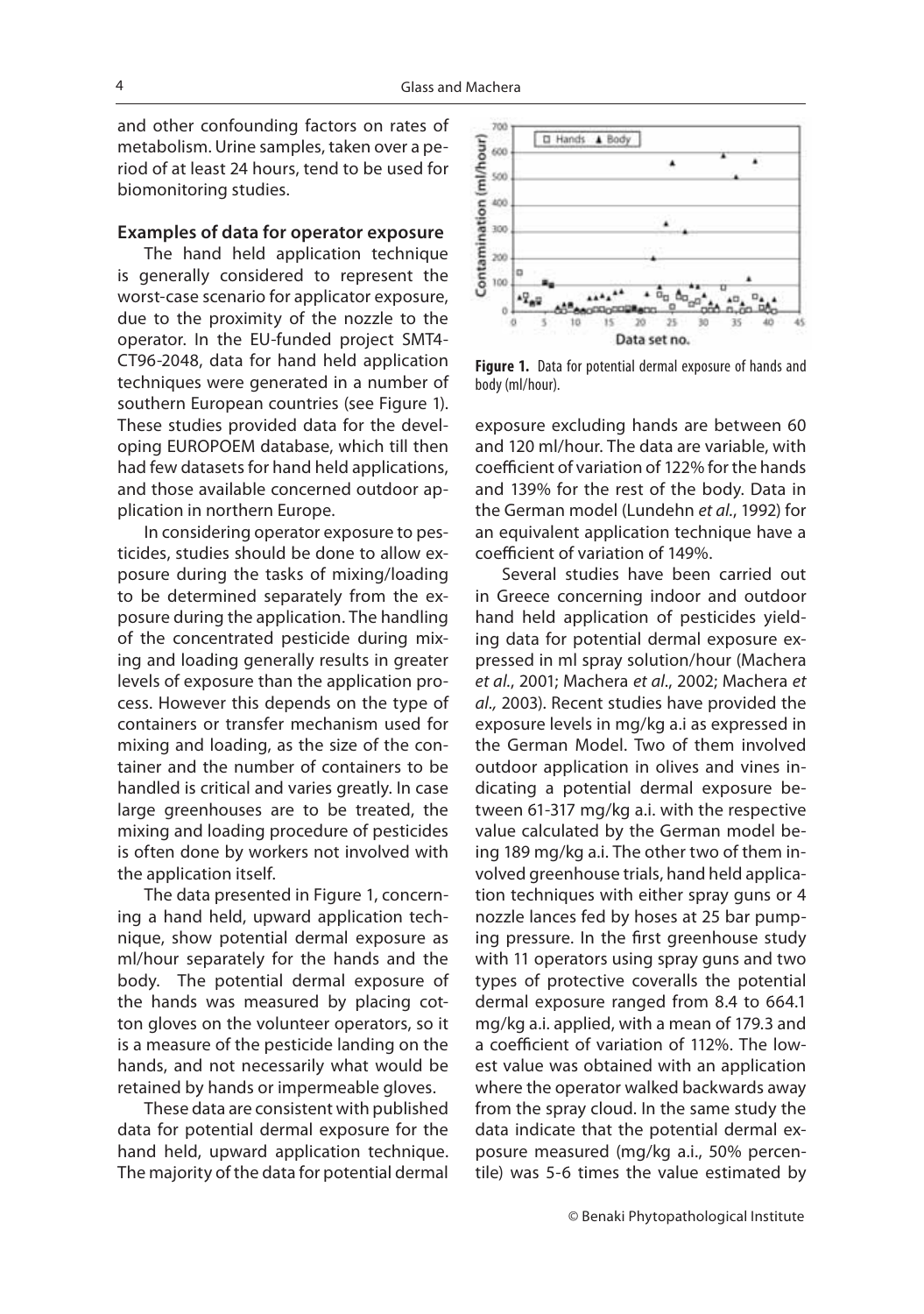and other confounding factors on rates of metabolism. Urine samples, taken over a period of at least 24 hours, tend to be used for biomonitoring studies.

### **Examples of data for operator exposure**

The hand held application technique is generally considered to represent the worst-case scenario for applicator exposure, due to the proximity of the nozzle to the operator. In the EU-funded project SMT4- CT96-2048, data for hand held application techniques were generated in a number of southern European countries (see Figure 1). These studies provided data for the developing EUROPOEM database, which till then had few datasets for hand held applications, and those available concerned outdoor application in northern Europe.

In considering operator exposure to pesticides, studies should be done to allow exposure during the tasks of mixing/loading to be determined separately from the exposure during the application. The handling of the concentrated pesticide during mixing and loading generally results in greater levels of exposure than the application process. However this depends on the type of containers or transfer mechanism used for mixing and loading, as the size of the container and the number of containers to be handled is critical and varies greatly. In case large greenhouses are to be treated, the mixing and loading procedure of pesticides is often done by workers not involved with the application itself.

The data presented in Figure 1, concerning a hand held, upward application technique, show potential dermal exposure as ml/hour separately for the hands and the body. The potential dermal exposure of the hands was measured by placing cotton gloves on the volunteer operators, so it is a measure of the pesticide landing on the hands, and not necessarily what would be retained by hands or impermeable gloves.

These data are consistent with published data for potential dermal exposure for the hand held, upward application technique. The majority of the data for potential dermal



**Figure 1.** Data for potential dermal exposure of hands and body (ml/hour).

exposure excluding hands are between 60 and 120 ml/hour. The data are variable, with coefficient of variation of 122% for the hands and 139% for the rest of the body. Data in the German model (Lundehn *et al.*, 1992) for an equivalent application technique have a coefficient of variation of 149%.

Several studies have been carried out in Greece concerning indoor and outdoor hand held application of pesticides yielding data for potential dermal exposure expressed in ml spray solution/hour (Machera *et al.*, 2001; Machera *et al*., 2002; Machera *et al.,* 2003). Recent studies have provided the exposure levels in mg/kg a.i as expressed in the German Model. Two of them involved outdoor application in olives and vines indicating a potential dermal exposure between 61-317 mg/kg a.i. with the respective value calculated by the German model being 189 mg/kg a.i. The other two of them involved greenhouse trials, hand held application techniques with either spray guns or 4 nozzle lances fed by hoses at 25 bar pumping pressure. In the first greenhouse study with 11 operators using spray guns and two types of protective coveralls the potential dermal exposure ranged from 8.4 to 664.1 mg/kg a.i. applied, with a mean of 179.3 and a coefficient of variation of 112%. The lowest value was obtained with an application where the operator walked backwards away from the spray cloud. In the same study the data indicate that the potential dermal exposure measured (mg/kg a.i., 50% percentile) was 5-6 times the value estimated by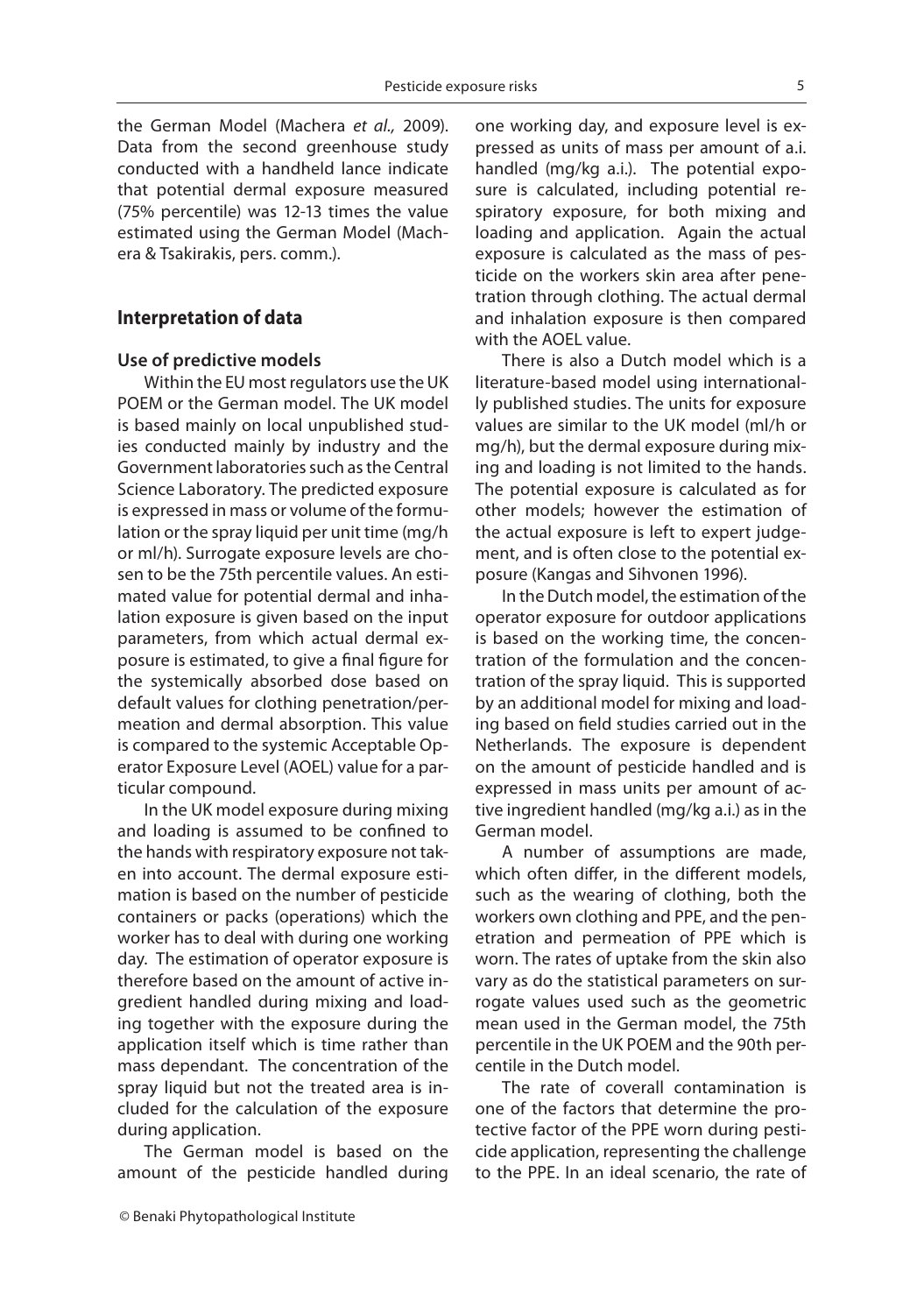the German Model (Machera *et al.,* 2009). Data from the second greenhouse study conducted with a handheld lance indicate that potential dermal exposure measured (75% percentile) was 12-13 times the value estimated using the German Model (Machera & Tsakirakis, pers. comm.).

### **Interpretation of data Interpretation of data**

### **Use of predictive models**

Within the EU most regulators use the UK POEM or the German model. The UK model is based mainly on local unpublished studies conducted mainly by industry and the Government laboratories such as the Central Science Laboratory. The predicted exposure is expressed in mass or volume of the formulation or the spray liquid per unit time (mg/h or ml/h). Surrogate exposure levels are chosen to be the 75th percentile values. An estimated value for potential dermal and inhalation exposure is given based on the input parameters, from which actual dermal exposure is estimated, to give a final figure for the systemically absorbed dose based on default values for clothing penetration/permeation and dermal absorption. This value is compared to the systemic Acceptable Operator Exposure Level (AOEL) value for a particular compound.

In the UK model exposure during mixing and loading is assumed to be confined to the hands with respiratory exposure not taken into account. The dermal exposure estimation is based on the number of pesticide containers or packs (operations) which the worker has to deal with during one working day. The estimation of operator exposure is therefore based on the amount of active ingredient handled during mixing and loading together with the exposure during the application itself which is time rather than mass dependant. The concentration of the spray liquid but not the treated area is included for the calculation of the exposure during application.

The German model is based on the amount of the pesticide handled during one working day, and exposure level is expressed as units of mass per amount of a.i. handled (mg/kg a.i.). The potential exposure is calculated, including potential respiratory exposure, for both mixing and loading and application. Again the actual exposure is calculated as the mass of pesticide on the workers skin area after penetration through clothing. The actual dermal and inhalation exposure is then compared with the AOEL value.

There is also a Dutch model which is a literature-based model using internationally published studies. The units for exposure values are similar to the UK model (ml/h or mg/h), but the dermal exposure during mixing and loading is not limited to the hands. The potential exposure is calculated as for other models; however the estimation of the actual exposure is left to expert judgement, and is often close to the potential exposure (Kangas and Sihvonen 1996).

In the Dutch model, the estimation of the operator exposure for outdoor applications is based on the working time, the concentration of the formulation and the concentration of the spray liquid. This is supported by an additional model for mixing and loading based on field studies carried out in the Netherlands. The exposure is dependent on the amount of pesticide handled and is expressed in mass units per amount of active ingredient handled (mg/kg a.i.) as in the German model.

A number of assumptions are made, which often differ, in the different models, such as the wearing of clothing, both the workers own clothing and PPE, and the penetration and permeation of PPE which is worn. The rates of uptake from the skin also vary as do the statistical parameters on surrogate values used such as the geometric mean used in the German model, the 75th percentile in the UK POEM and the 90th percentile in the Dutch model.

The rate of coverall contamination is one of the factors that determine the protective factor of the PPE worn during pesticide application, representing the challenge to the PPE. In an ideal scenario, the rate of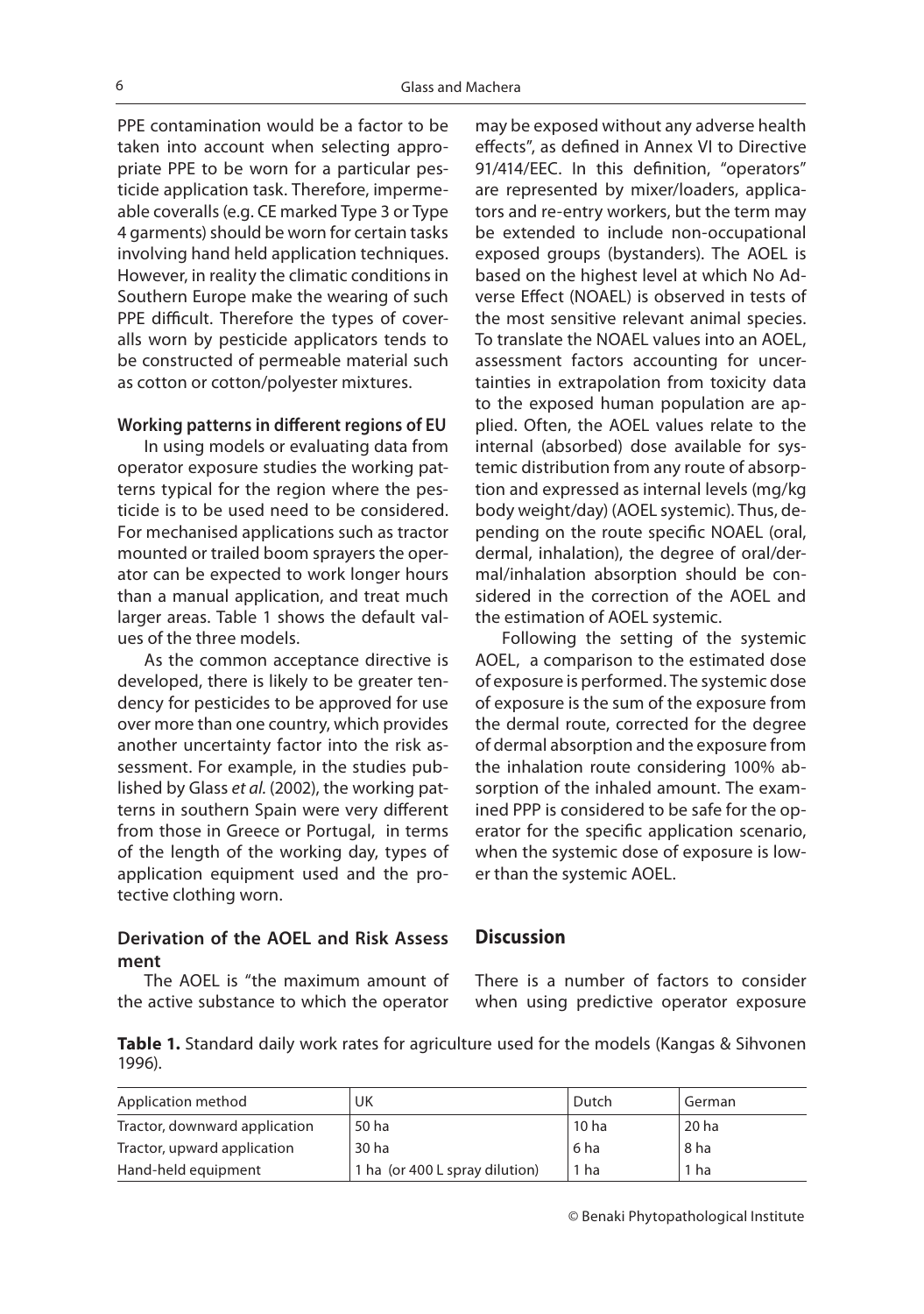PPE contamination would be a factor to be taken into account when selecting appropriate PPE to be worn for a particular pesticide application task. Therefore, impermeable coveralls (e.g. CE marked Type 3 or Type 4 garments) should be worn for certain tasks involving hand held application techniques. However, in reality the climatic conditions in Southern Europe make the wearing of such PPE difficult. Therefore the types of coveralls worn by pesticide applicators tends to be constructed of permeable material such as cotton or cotton/polyester mixtures.

#### **Working patterns in different regions of EU**

In using models or evaluating data from operator exposure studies the working patterns typical for the region where the pesticide is to be used need to be considered. For mechanised applications such as tractor mounted or trailed boom sprayers the operator can be expected to work longer hours than a manual application, and treat much larger areas. Table 1 shows the default values of the three models.

As the common acceptance directive is developed, there is likely to be greater tendency for pesticides to be approved for use over more than one country, which provides another uncertainty factor into the risk assessment. For example, in the studies published by Glass *et al.* (2002), the working patterns in southern Spain were very different from those in Greece or Portugal, in terms of the length of the working day, types of application equipment used and the protective clothing worn.

### **Derivation of the AOEL and Risk Assess ment**

The AOEL is "the maximum amount of the active substance to which the operator

may be exposed without any adverse health effects", as defined in Annex VI to Directive 91/414/EEC. In this definition, "operators" are represented by mixer/loaders, applicators and re-entry workers, but the term may be extended to include non-occupational exposed groups (bystanders). The AOEL is based on the highest level at which No Adverse Effect (NOAEL) is observed in tests of the most sensitive relevant animal species. To translate the NOAEL values into an AOEL, assessment factors accounting for uncertainties in extrapolation from toxicity data to the exposed human population are applied. Often, the AOEL values relate to the internal (absorbed) dose available for systemic distribution from any route of absorption and expressed as internal levels (mg/kg body weight/day) (AOEL systemic). Thus, depending on the route specific NOAEL (oral, dermal, inhalation), the degree of oral/dermal/inhalation absorption should be considered in the correction of the AOEL and the estimation of AOEL systemic.

Following the setting of the systemic AOEL, a comparison to the estimated dose of exposure is performed. The systemic dose of exposure is the sum of the exposure from the dermal route, corrected for the degree of dermal absorption and the exposure from the inhalation route considering 100% absorption of the inhaled amount. The examined PPP is considered to be safe for the operator for the specific application scenario, when the systemic dose of exposure is lower than the systemic AOEL.

### **Discussion**

There is a number of factors to consider when using predictive operator exposure

**Table 1.** Standard daily work rates for agriculture used for the models (Kangas & Sihvonen 1996).

| Application method            | UK                             | Dutch            | German |
|-------------------------------|--------------------------------|------------------|--------|
| Tractor, downward application | 50 ha                          | 10 <sub>ha</sub> | 20 ha  |
| Tractor, upward application   | 30 ha                          | 6 ha             | 8 ha   |
| Hand-held equipment           | 1 ha (or 400 L spray dilution) | 1 ha             | 1 ha   |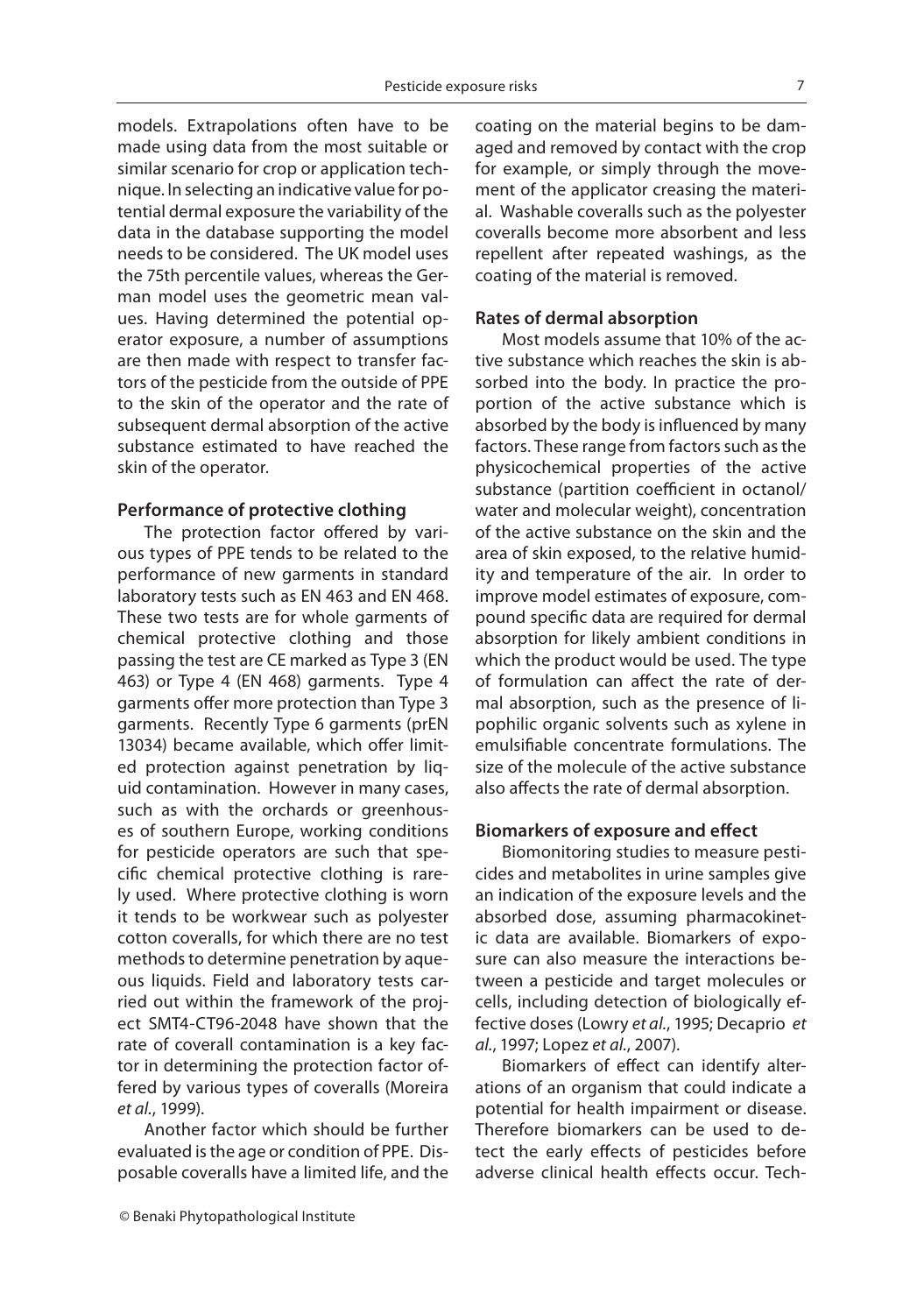models. Extrapolations often have to be made using data from the most suitable or similar scenario for crop or application technique. In selecting an indicative value for potential dermal exposure the variability of the data in the database supporting the model needs to be considered. The UK model uses the 75th percentile values, whereas the German model uses the geometric mean values. Having determined the potential operator exposure, a number of assumptions are then made with respect to transfer factors of the pesticide from the outside of PPE to the skin of the operator and the rate of subsequent dermal absorption of the active substance estimated to have reached the skin of the operator.

### **Performance of protective clothing**

The protection factor offered by various types of PPE tends to be related to the performance of new garments in standard laboratory tests such as EN 463 and EN 468. These two tests are for whole garments of chemical protective clothing and those passing the test are CE marked as Type 3 (EN 463) or Type 4 (EN 468) garments. Type 4 garments offer more protection than Type 3 garments. Recently Type 6 garments (prEN 13034) became available, which offer limited protection against penetration by liquid contamination. However in many cases, such as with the orchards or greenhouses of southern Europe, working conditions for pesticide operators are such that specific chemical protective clothing is rarely used. Where protective clothing is worn it tends to be workwear such as polyester cotton coveralls, for which there are no test methods to determine penetration by aqueous liquids. Field and laboratory tests carried out within the framework of the project SMT4-CT96-2048 have shown that the rate of coverall contamination is a key factor in determining the protection factor offered by various types of coveralls (Moreira *et al.*, 1999).

Another factor which should be further evaluated is the age or condition of PPE. Disposable coveralls have a limited life, and the coating on the material begins to be damaged and removed by contact with the crop for example, or simply through the movement of the applicator creasing the material. Washable coveralls such as the polyester coveralls become more absorbent and less repellent after repeated washings, as the coating of the material is removed.

### **Rates of dermal absorption**

Most models assume that 10% of the active substance which reaches the skin is absorbed into the body. In practice the proportion of the active substance which is absorbed by the body is influenced by many factors. These range from factors such as the physicochemical properties of the active substance (partition coefficient in octanol/ water and molecular weight), concentration of the active substance on the skin and the area of skin exposed, to the relative humidity and temperature of the air. In order to improve model estimates of exposure, compound specific data are required for dermal absorption for likely ambient conditions in which the product would be used. The type of formulation can affect the rate of dermal absorption, such as the presence of lipophilic organic solvents such as xylene in emulsifiable concentrate formulations. The size of the molecule of the active substance also affects the rate of dermal absorption.

### **Biomarkers of exposure and effect**

Biomonitoring studies to measure pesticides and metabolites in urine samples give an indication of the exposure levels and the absorbed dose, assuming pharmacokinetic data are available. Biomarkers of exposure can also measure the interactions between a pesticide and target molecules or cells, including detection of biologically effective doses (Lowry *et al.*, 1995; Decaprio *et al.*, 1997; Lopez *et al.*, 2007).

Biomarkers of effect can identify alterations of an organism that could indicate a potential for health impairment or disease. Therefore biomarkers can be used to detect the early effects of pesticides before adverse clinical health effects occur. Tech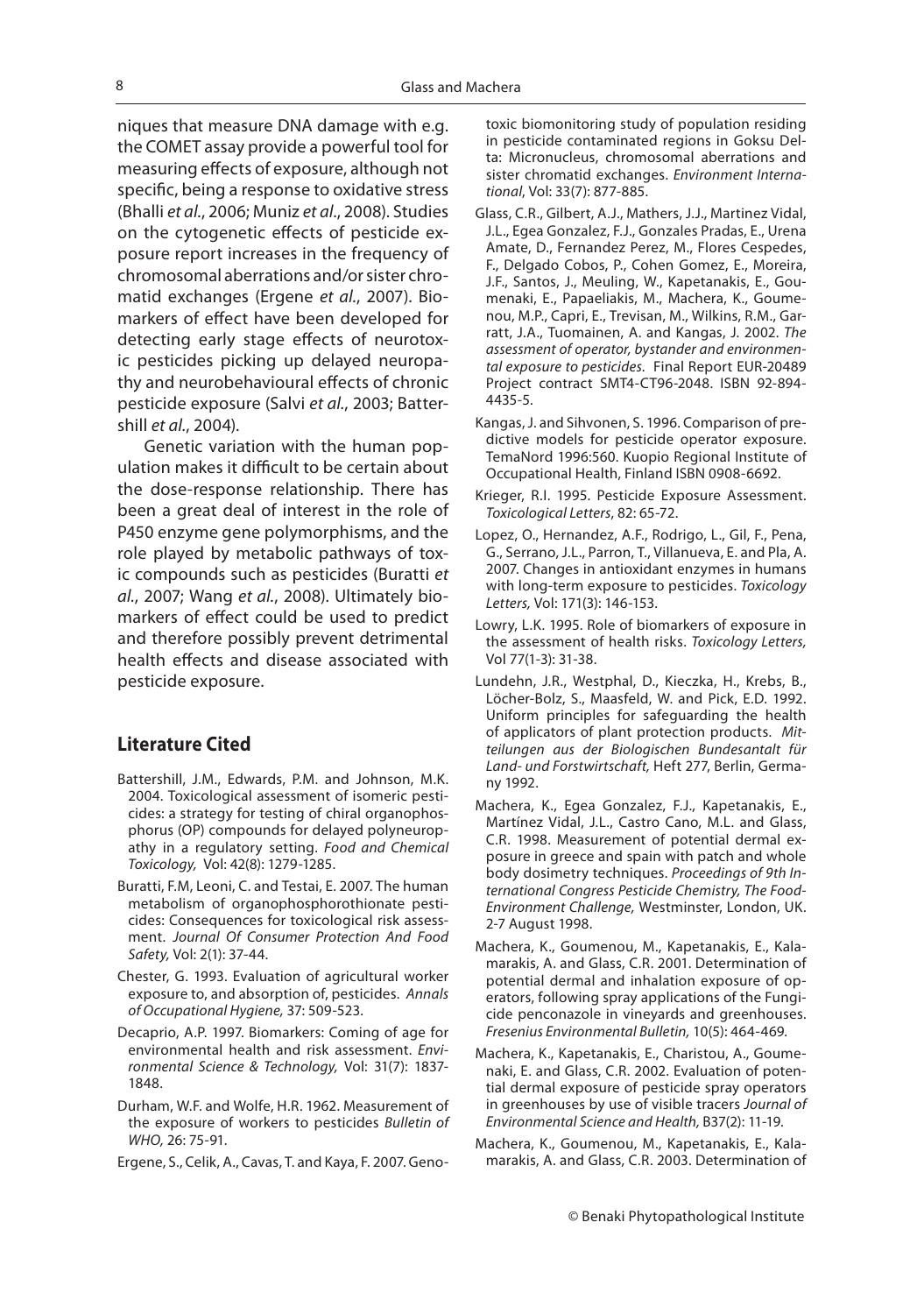niques that measure DNA damage with e.g. the COMET assay provide a powerful tool for measuring effects of exposure, although not specific, being a response to oxidative stress (Bhalli *et al.*, 2006; Muniz *et al*., 2008). Studies on the cytogenetic effects of pesticide exposure report increases in the frequency of chromosomal aberrations and/or sister chro-<br>matid exchanges (Ergene *et al.*, 2007). Biomatid exchanges (Ergene *et al.*, 2007). Bio-<br>markers of effect have been developed for detecting early stage effects of neurotoxic pesticides picking up delayed neuropathy and neurobehavioural effects of chronic pesticide exposure (Salvi *et al.*, 2003; Battershill *et al.*, 2004).

Genetic variation with the human population makes it difficult to be certain about the dose-response relationship. There has been a great deal of interest in the role of P450 enzyme gene polymorphisms, and the role played by metabolic pathways of toxic compounds such as pesticides (Buratti *et al.*, 2007; Wang *et al.*, 2008). Ultimately biomarkers of effect could be used to predict and therefore possibly prevent detrimental health effects and disease associated with pesticide exposure.

### **Literature Cited**

- Battershill, J.M., Edwards, P.M. and Johnson, M.K. 2004. Toxicological assessment of isomeric pesticides: a strategy for testing of chiral organophosphorus (OP) compounds for delayed polyneuropathy in a regulatory setting. *Food and Chemical Toxicology,* Vol: 42(8): 1279-1285.
- Buratti, F.M, Leoni, C. and Testai, E. 2007. The human metabolism of organophosphorothionate pesticides: Consequences for toxicological risk assessment. *Journal Of Consumer Protection And Food Safety,* Vol: 2(1): 37-44.
- Chester, G. 1993. Evaluation of agricultural worker exposure to, and absorption of, pesticides. *Annals of Occupational Hygiene,* 37: 509-523.
- Decaprio, A.P. 1997. Biomarkers: Coming of age for environmental health and risk assessment. *Environmental Science & Technology,* Vol: 31(7): 1837- 1848.
- Durham, W.F. and Wolfe, H.R. 1962. Measurement of the exposure of workers to pesticides *Bulletin of WHO,* 26: 75-91.
- Ergene, S., Celik, A., Cavas, T. and Kaya, F. 2007. Geno-

toxic biomonitoring study of population residing in pesticide contaminated regions in Goksu Delta: Micronucleus, chromosomal aberrations and sister chromatid exchanges. *Environment International*, Vol: 33(7): 877-885.

- Glass, C.R., Gilbert, A.J., Mathers, J.J., Martinez Vidal, J.L., Egea Gonzalez, F.J., Gonzales Pradas, E., Urena Amate, D., Fernandez Perez, M., Flores Cespedes, F., Delgado Cobos, P., Cohen Gomez, E., Moreira, J.F., Santos, J., Meuling, W., Kapetanakis, E., Goumenaki, E., Papaeliakis, M., Machera, K., Goumenou, M.P., Capri, E., Trevisan, M., Wilkins, R.M., Gar-<br>ratt, J.A., Tuomainen, A. and Kangas, J. 2002. The assessment of operator, bystander and environmental exposure to pesticides. Final Report EUR-20489 *tal exposure to pesticides.* Final Report EUR-20489 Project contract SMT4-CT96-2048. ISBN 92-894- 4435-5.
- Kangas, J. and Sihvonen, S. 1996. Comparison of predictive models for pesticide operator exposure. TemaNord 1996:560. Kuopio Regional Institute of Occupational Health, Finland ISBN 0908-6692.
- Krieger, R.I. 1995. Pesticide Exposure Assessment. *Toxicological Letters*, 82: 65-72.
- Lopez, O., Hernandez, A.F., Rodrigo, L., Gil, F., Pena, G., Serrano, J.L., Parron, T., Villanueva, E. and Pla, A. 2007. Changes in antioxidant enzymes in humans with long-term exposure to pesticides. *Toxicology Letters,* Vol: 171(3): 146-153.
- Lowry, L.K. 1995. Role of biomarkers of exposure in the assessment of health risks. *Toxicology Letters,*  Vol 77(1-3): 31-38.
- Lundehn, J.R., Westphal, D., Kieczka, H., Krebs, B., Löcher-Bolz, S., Maasfeld, W. and Pick, E.D. 1992. Uniform principles for safeguarding the health of applicators of plant protection products. *Mitteilungen aus der Biologischen Bundesantalt für Land- und Forstwirtschaft,* Heft 277, Berlin, Germany 1992.
- Machera, K., Egea Gonzalez, F.J., Kapetanakis, E., Martínez Vidal, J.L., Castro Cano, M.L. and Glass, C.R. 1998. Measurement of potential dermal exposure in greece and spain with patch and whole body dosimetry techniques. *Proceedings of 9th International Congress Pesticide Chemistry, The Food-Environment Challenge,* Westminster, London, UK. 2-7 August 1998.
- Machera, K., Goumenou, M., Kapetanakis, E., Kalamarakis, A. and Glass, C.R. 2001. Determination of potential dermal and inhalation exposure of operators, following spray applications of the Fungicide penconazole in vineyards and greenhouses. *Fresenius Environmental Bulletin,* 10(5): 464-469.
- Machera, K., Kapetanakis, E., Charistou, A., Goumenaki, E. and Glass, C.R. 2002. Evaluation of potential dermal exposure of pesticide spray operators<br>in greenhouses by use of visible tracers Journal of in greenhouses by use of visible tracers *Journal of Environmental Science and Health,* B37(2): 11-19.
- Machera, K., Goumenou, M., Kapetanakis, E., Kalamarakis, A. and Glass, C.R. 2003. Determination of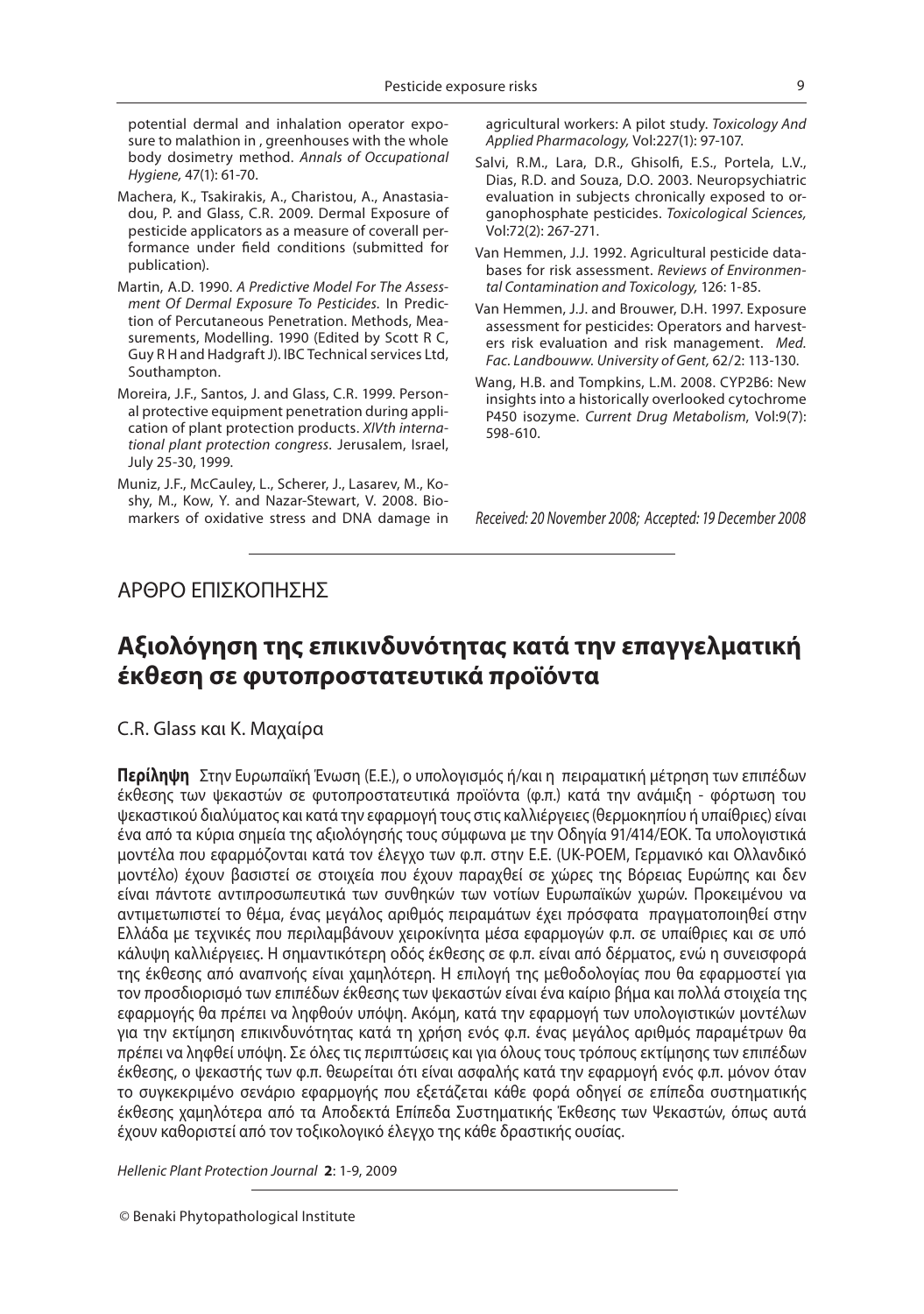potential dermal and inhalation operator exposure to malathion in , greenhouses with the whole body dosimetry method. *Annals of Occupational Hygiene,* 47(1): 61-70.

- Machera, K., Tsakirakis, A., Charistou, A., Anastasiadou, P. and Glass, C.R. 2009. Dermal Exposure of pesticide applicators as a measure of coverall performance under field conditions (submitted for publication).
- Martin, A.D. 1990. *A Predictive Model For The Assessment Of Dermal Exposure To Pesticides.* In Prediction of Percutaneous Penetration. Methods, Measurements, Modelling. 1990 (Edited by Scott R C, Guy R H and Hadgraft J). IBC Technical services Ltd, Southampton.
- Moreira, J.F., Santos, J. and Glass, C.R. 1999. Personal protective equipment penetration during application of plant protection products. *XIVth international plant protection congress.* Jerusalem, Israel, July 25-30, 1999.
- Muniz, J.F., McCauley, L., Scherer, J., Lasarev, M., Koshy, M., Kow, Y. and Nazar-Stewart, V. 2008. Biomarkers of oxidative stress and DNA damage in

agricultural workers: A pilot study. *Toxicology And Applied Pharmacology,* Vol:227(1): 97-107.

- Salvi, R.M., Lara, D.R., Ghisolfi, E.S., Portela, L.V., Dias, R.D. and Souza, D.O. 2003. Neuropsychiatric evaluation in subjects chronically exposed to organophosphate pesticides. *Toxicological Sciences,* Vol:72(2): 267-271.
- Van Hemmen, J.J. 1992. Agricultural pesticide databases for risk assessment. *Reviews of Environmental Contamination and Toxicology,* 126: 1-85.
- Van Hemmen, J.J. and Brouwer, D.H. 1997. Exposure assessment for pesticides: Operators and harvesters risk evaluation and risk management. *Med. Fac. Landbouww. University of Gent,* 62/2: 113-130.
- Wang, H.B. and Tompkins, L.M. 2008. CYP2B6: New insights into a historically overlooked cytochrome P450 isozyme. *Current Drug Metabolism*, Vol:9(7): 598-610.

*Received: 20 November 2008; Accepted: 19 December 2008*

### ΑΡΘΡΟ ΕΠΙΣΚOΠΗΣΗΣ

### **Αξιολόγηση της επικινδυνότητας κατά την επαγγελματική έκθεση σε φυτοπροστατευτικά προϊόντα**

### C.R. Glass και K. Μαχαίρα

**Περίληψη** Στην Ευρωπαϊκή Ένωση (Ε.Ε.), ο υπολογισμός ή/και η πειραματική μέτρηση των επιπέδων έκθεσης των ψεκαστών σε φυτοπροστατευτικά προϊόντα (φ.π.) κατά την ανάμιξη - φόρτωση του ψεκαστικού διαλύματος και κατά την εφαρμογή τους στις καλλιέργειες (θερμοκηπίου ή υπαίθριες) είναι ένα από τα κύρια σημεία της αξιολόγησής τους σύμφωνα με την Οδηγία 91/414/ΕΟΚ. Τα υπολογιστικά μοντέλα που εφαρμόζονται κατά τον έλεγχο των φ.π. στην Ε.Ε. (UK-POEM, Γερμανικό και Ολλανδικό μοντέλο) έχουν βασιστεί σε στοιχεία που έχουν παραχθεί σε χώρες της Βόρειας Ευρώπης και δεν είναι πάντοτε αντιπροσωπευτικά των συνθηκών των νοτίων Ευρωπαϊκών χωρών. Προκειμένου να αντιμετωπιστεί το θέμα, ένας μεγάλος αριθμός πειραμάτων έχει πρόσφατα πραγματοποιηθεί στην Ελλάδα με τεχνικές που περιλαμβάνουν χειροκίνητα μέσα εφαρμογών φ.π. σε υπαίθριες και σε υπό κάλυψη καλλιέργειες. Η σημαντικότερη οδός έκθεσης σε φ.π. είναι από δέρματος, ενώ η συνεισφορά της έκθεσης από αναπνοής είναι χαμηλότερη. Η επιλογή της μεθοδολογίας που θα εφαρμοστεί για τον προσδιορισμό των επιπέδων έκθεσης των ψεκαστών είναι ένα καίριο βήμα και πολλά στοιχεία της εφαρμογής θα πρέπει να ληφθούν υπόψη. Ακόμη, κατά την εφαρμογή των υπολογιστικών μοντέλων για την εκτίμηση επικινδυνότητας κατά τη χρήση ενός φ.π. ένας μεγάλος αριθμός παραμέτρων θα πρέπει να ληφθεί υπόψη. Σε όλες τις περιπτώσεις και για όλους τους τρόπους εκτίμησης των επιπέδων έκθεσης, ο ψεκαστής των φ.π. θεωρείται ότι είναι ασφαλής κατά την εφαρμογή ενός φ.π. μόνον όταν το συγκεκριμένο σενάριο εφαρμογής που εξετάζεται κάθε φορά οδηγεί σε επίπεδα συστηματικής έκθεσης χαμηλότερα από τα Αποδεκτά Επίπεδα Συστηματικής Έκθεσης των Ψεκαστών, όπως αυτά έχουν καθοριστεί από τον τοξικολογικό έλεγχο της κάθε δραστικής ουσίας.

*Hellenic Plant Protection Journal* **2**: 1-9, 2009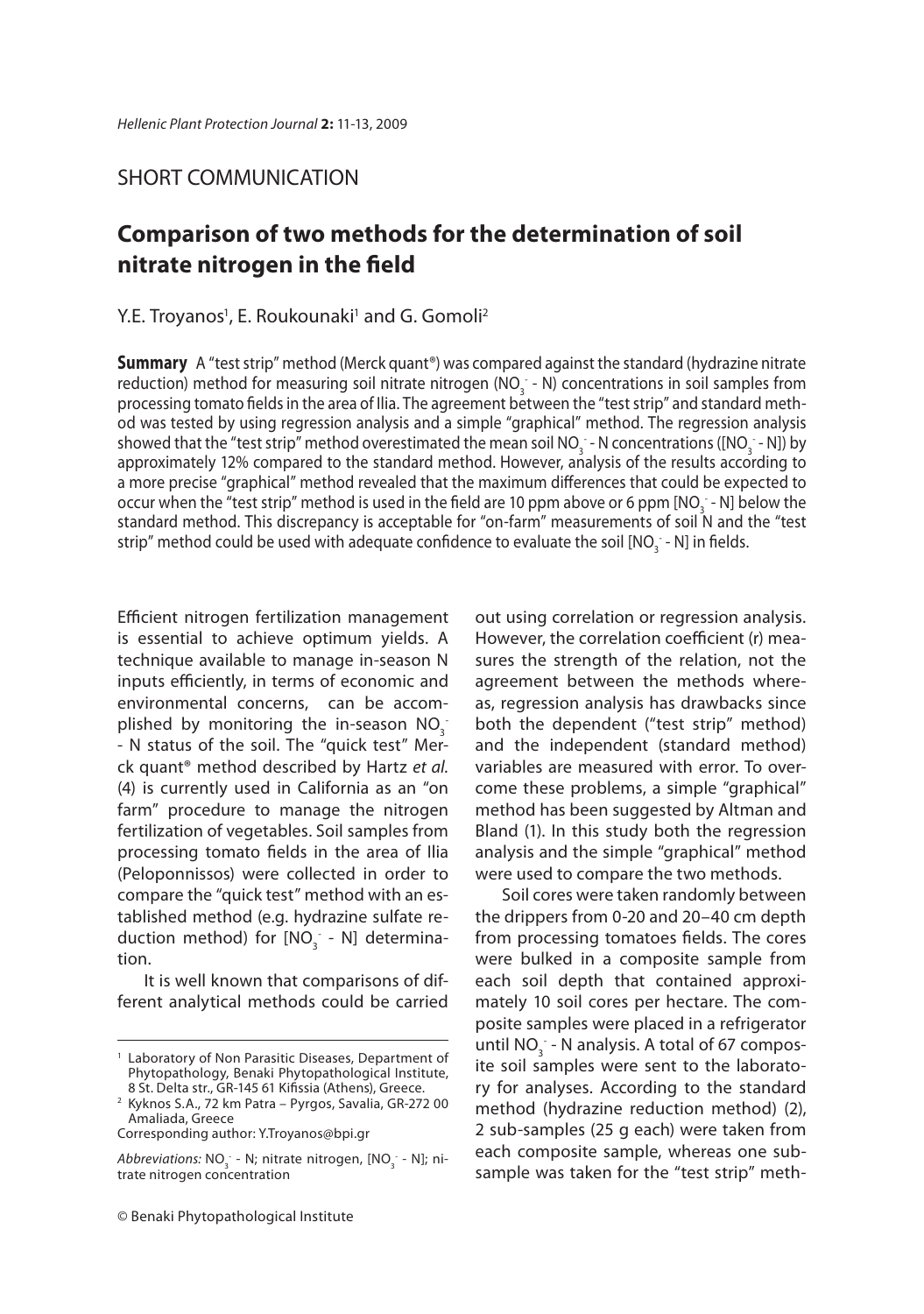### SHORT COMMUNICATION

### **Comparison of two methods for the determination of soil nitrate nitrogen in the fi eld**

### Y.E. Troyanos<sup>1</sup>, E. Roukounaki<sup>1</sup> and G. Gomoli<sup>2</sup>

**Summary** A "test strip" method (Merck quant®) was compared against the standard (hydrazine nitrate reduction) method for measuring soil nitrate nitrogen (NO<sub>3</sub> - N) concentrations in soil samples from processing tomato fields in the area of Ilia. The agreement between the "test strip" and standard method was tested by using regression analysis and a simple "graphical" method. The regression analysis showed that the "test strip" method overestimated the mean soil NO<sub>3</sub> - N concentrations ([NO<sub>3</sub> - N]) by approximately 12% compared to the standard method. However, analysis of the results according to a more precise "graphical" method revealed that the maximum differences that could be expected to occur when the "test strip" method is used in the field are 10 ppm above or 6 ppm [NO<sub>3</sub> - N] below the standard method. This discrepancy is acceptable for "on-farm" measurements of soil N and the "test strip" method could be used with adequate confidence to evaluate the soil [NO $_{\tiny 3}^{\tiny -}$  - N] in fields.

Efficient nitrogen fertilization management is essential to achieve optimum yields. A technique available to manage in-season N inputs efficiently, in terms of economic and environmental concerns, can be accomplished by monitoring the in-season  $NO_3^-$ - N status of the soil. Τhe "quick test" Merck quant® method described by Hartz *et al.* (4) is currently used in California as an "on farm" procedure to manage the nitrogen fertilization of vegetables. Soil samples from processing tomato fields in the area of Ilia (Peloponnissos) were collected in order to compare the "quick test" method with an established method (e.g. hydrazine sulfate reduction method) for  $[NO<sub>3</sub>]$  - N] determination.

It is well known that comparisons of different analytical methods could be carried out using correlation or regression analysis. However, the correlation coefficient (r) measures the strength of the relation, not the agreement between the methods whereas, regression analysis has drawbacks since both the dependent ("test strip" method) and the independent (standard method) variables are measured with error. To overcome these problems, a simple "graphical" method has been suggested by Altman and Bland (1). In this study both the regression analysis and the simple "graphical" method were used to compare the two methods.

Soil cores were taken randomly between the drippers from 0-20 and 20–40 cm depth from processing tomatoes fields. The cores were bulked in a composite sample from each soil depth that contained approximately 10 soil cores per hectare. The composite samples were placed in a refrigerator until NO<sub>3</sub> - N analysis. A total of 67 composite soil samples were sent to the laboratory for analyses. According to the standard method (hydrazine reduction method) (2), 2 sub-samples (25 g each) were taken from each composite sample, whereas one subsample was taken for the "test strip" meth-

<sup>&</sup>lt;sup>1</sup> Laboratory of Non Parasitic Diseases, Department of Phytopathology, Benaki Phytopathological Institute, 8 St. Delta str., GR-145 61 Kifissia (Athens), Greece.

<sup>2</sup> Kyknos S.A., 72 km Patra – Pyrgos, Savalia, GR-272 00 Amaliada, Greece

Corresponding author: Y.Troyanos@bpi.gr

*Abbreviations:* NO<sub>3</sub> - N; nitrate nitrogen, [NO<sub>3</sub> - N]; ni-<br>trate nitrogen concentration trate nitrogen concentration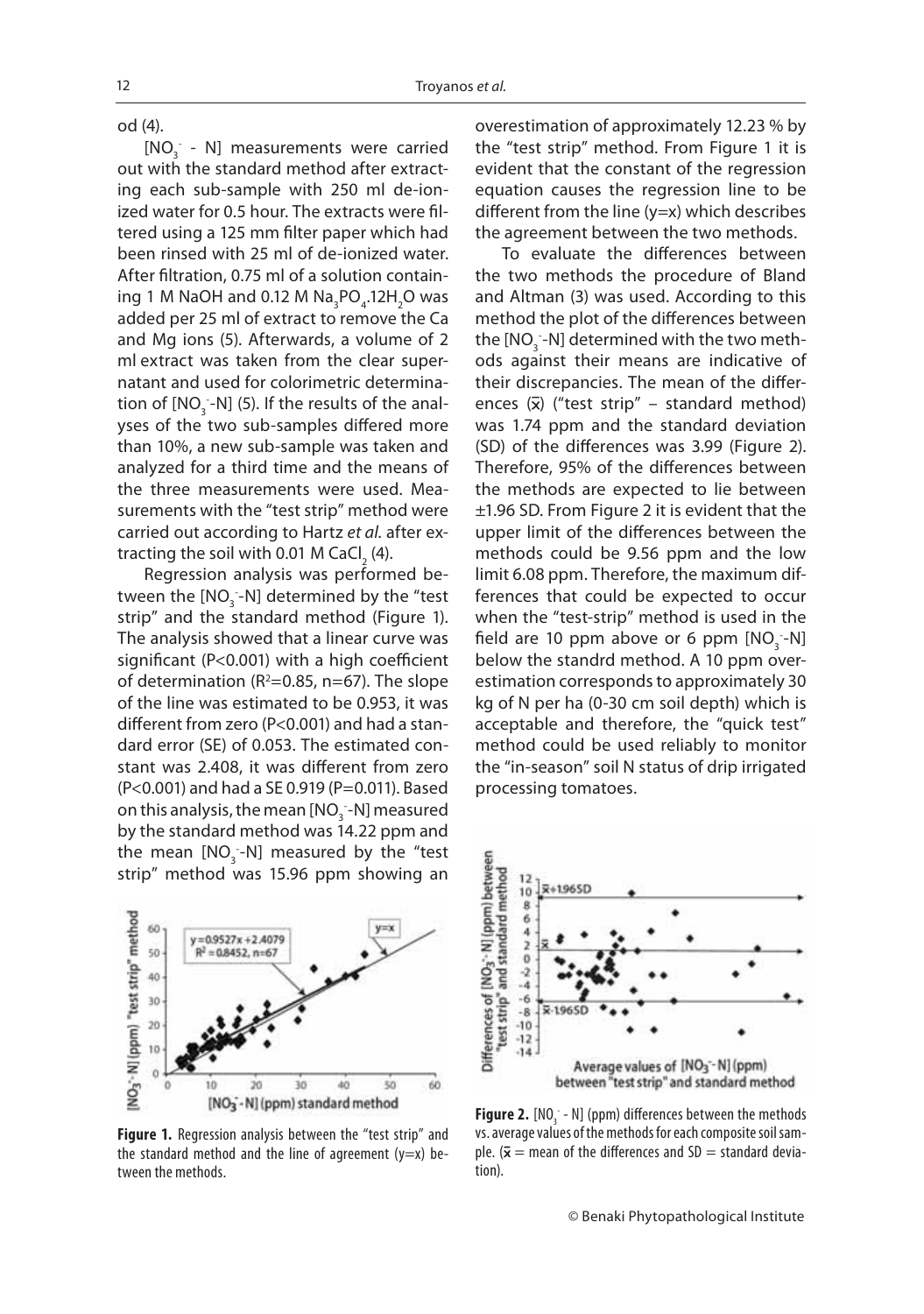od (4).

 $[NO<sub>3</sub> - N]$  measurements were carried out with the standard method after extracting each sub-sample with 250 ml de-ionized water for 0.5 hour. The extracts were filtered using a 125 mm filter paper which had been rinsed with 25 ml of de-ionized water. After filtration, 0.75 ml of a solution containing 1 M NaOH and 0.12 M  $\textsf{Na}_3\textsf{PO}_4$ .12H<sub>2</sub>O was added per 25 ml of extract to remove the Ca and Mg ions (5). Afterwards, a volume of 2 ml extract was taken from the clear supernatant and used for colorimetric determination of  $[NO<sub>3</sub> - N]$  (5). If the results of the analyses of the two sub-samples differed more than 10%, a new sub-sample was taken and analyzed for a third time and the means of the three measurements were used. Measurements with the "test strip" method were carried out according to Hartz *et al.* after extracting the soil with 0.01 M CaCl $_2$  (4).

Regression analysis was performed between the  $\text{[NO}_{\text{3}}\text{-}\text{N}]$  determined by the "test strip" and the standard method (Figure 1). The analysis showed that a linear curve was significant ( $P < 0.001$ ) with a high coefficient of determination ( $R^2$ =0.85, n=67). The slope of the line was estimated to be 0.953, it was different from zero (P<0.001) and had a standard error (SE) of 0.053. The estimated constant was 2.408, it was different from zero (P<0.001) and had a SE 0.919 (P=0.011). Based on this analysis, the mean [NO $_{\text{3}}$  -N] measured by the standard method was 14.22 ppm and the mean  $[NO<sub>3</sub> - N]$  measured by the "test strip" method was 15.96 ppm showing an



**Figure 1.** Regression analysis between the "test strip" and the standard method and the line of agreement  $(y=x)$  between the methods.

overestimation of approximately 12.23 % by the "test strip" method. From Figure 1 it is evident that the constant of the regression equation causes the regression line to be different from the line  $(y=x)$  which describes the agreement between the two methods.

To evaluate the differences between the two methods the procedure of Bland and Altman (3) was used. According to this method the plot of the differences between the [NO $_3$  -N] determined with the two methods against their means are indicative of their discrepancies. The mean of the differences  $(\bar{x})$  ("test strip" – standard method) was 1.74 ppm and the standard deviation (SD) of the differences was 3.99 (Figure 2). Therefore, 95% of the differences between the methods are expected to lie between ±1.96 SD. From Figure 2 it is evident that the upper limit of the differences between the methods could be 9.56 ppm and the low limit 6.08 ppm. Therefore, the maximum differences that could be expected to occur when the "test-strip" method is used in the field are 10 ppm above or 6 ppm  $[NO_{3}-N]$ below the standrd method. A 10 ppm overestimation corresponds to approximately 30 kg of N per ha (0-30 cm soil depth) which is acceptable and therefore, the "quick test" method could be used reliably to monitor the "in-season" soil N status of drip irrigated processing tomatoes.



**Figure 2.** [NO<sub>3</sub> - N] (ppm) differences between the methods<br>ys. average values of the methods for each composite soil samvs. average values of the methods for each composite soil sample.  $\bar{x}$  = mean of the differences and SD = standard deviation).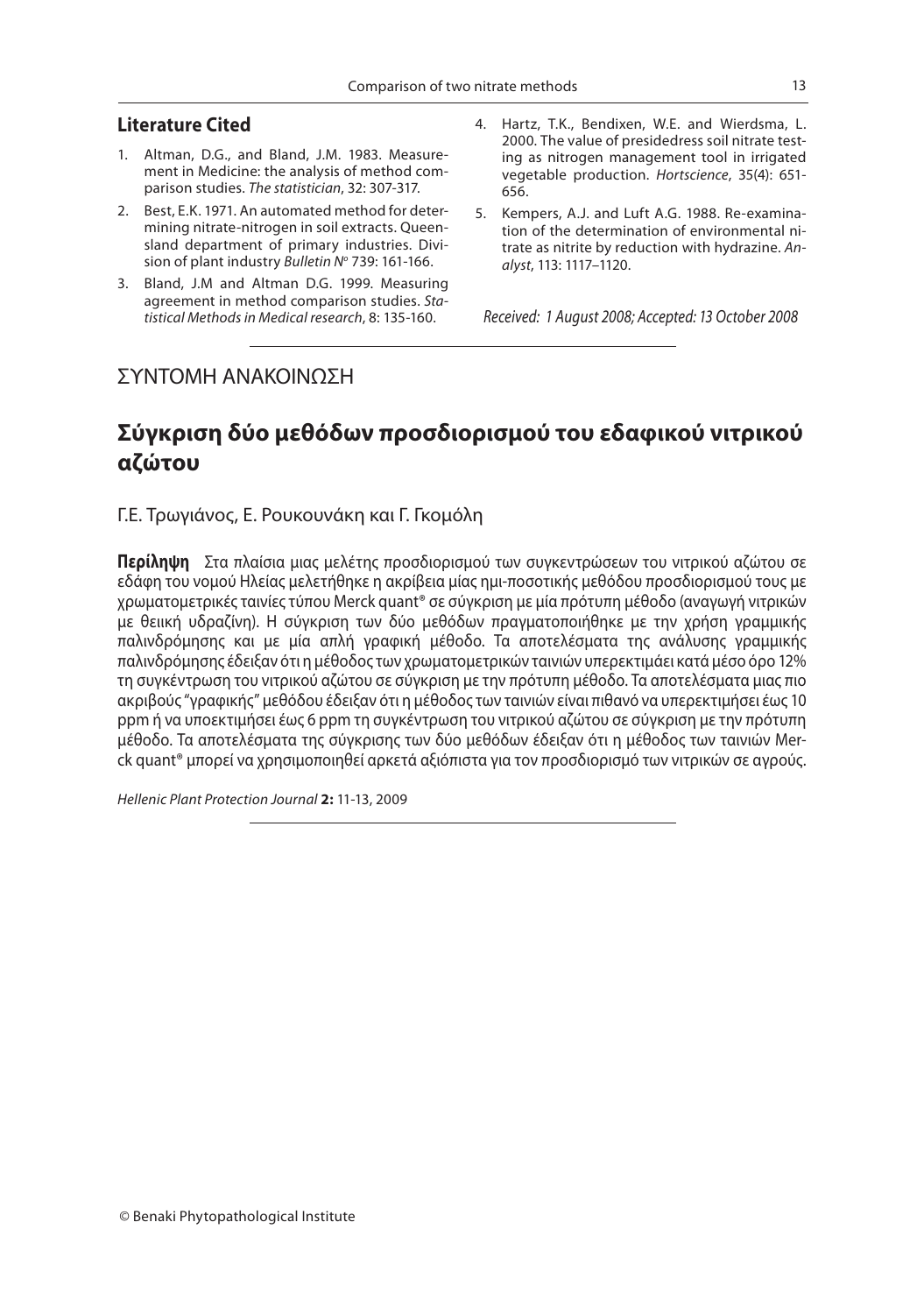### **Literature Cited**

- 1. Altman, D.G., and Bland, J.M. 1983. Measurement in Medicine: the analysis of method comparison studies. *The statistician*, 32: 307-317.
- 2. Best, E.K. 1971. An automated method for determining nitrate-nitrogen in soil extracts. Queensland department of primary industries. Division of plant industry *Bulletin N<sup>o</sup>* 739: 161-166.
- 3. Bland, J.M and Altman D.G. 1999. Measuring agreement in method comparison studies. *Statistical Methods in Medical research*, 8: 135-160.
- 4. Hartz, T.K., Bendixen, W.E. and Wierdsma, L. 2000. The value of presidedress soil nitrate testing as nitrogen management tool in irrigated vegetable production. *Hortscience*, 35(4): 651- 656.
- 5. Kempers, A.J. and Luft A.G. 1988. Re-examination of the determination of environmental nitrate as nitrite by reduction with hydrazine. *Analyst*, 113: 1117–1120.

*Received: 1 August 2008; Accepted: 13 October 2008*

### ΣΥΝΤΟΜΗ ΑΝΑΚΟΙΝΩΣΗ

### **Σύγκριση δύο μεθόδων προσδιορισμού του εδαφικού νιτρικού αζώτου**

Γ.Ε. Τρωγιάνος, E. Ρουκουνάκη και Γ. Γκομόλη

**Περίληψη** Στα πλαίσια μιας μελέτης προσδιορισμού των συγκεντρώσεων του νιτρικού αζώτου σε εδάφη του νομού Ηλείας μελετήθηκε η ακρίβεια μίας ημι-ποσοτικής μεθόδου προσδιορισμού τους με χρωματομετρικές ταινίες τύπου Merck quant® σε σύγκριση με μία πρότυπη μέθοδο (αναγωγή νιτρικών με θειική υδραζίνη). Η σύγκριση των δύο μεθόδων πραγματοποιήθηκε με την χρήση γραμμικής παλινδρόμησης και με μία απλή γραφική μέθοδο. Τα αποτελέσματα της ανάλυσης γραμμικής παλινδρόμησης έδειξαν ότι η μέθοδος των χρωματομετρικών ταινιών υπερεκτιμάει κατά μέσο όρο 12% τη συγκέντρωση του νιτρικού αζώτου σε σύγκριση με την πρότυπη μέθοδο. Τα αποτελέσματα μιας πιο ακριβούς "γραφικής" μεθόδου έδειξαν ότι η μέθοδος των ταινιών είναι πιθανό να υπερεκτιμήσει έως 10 ppm ή να υποεκτιμήσει έως 6 ppm τη συγκέντρωση του νιτρικού αζώτου σε σύγκριση με την πρότυπη μέθοδο. Τα αποτελέσματα της σύγκρισης των δύο μεθόδων έδειξαν ότι η μέθοδος των ταινιών Merck quant® μπορεί να χρησιμοποιηθεί αρκετά αξιόπιστα για τον προσδιορισμό των νιτρικών σε αγρούς.

*Hellenic Plant Protection Journal* **2:** 11-13, 2009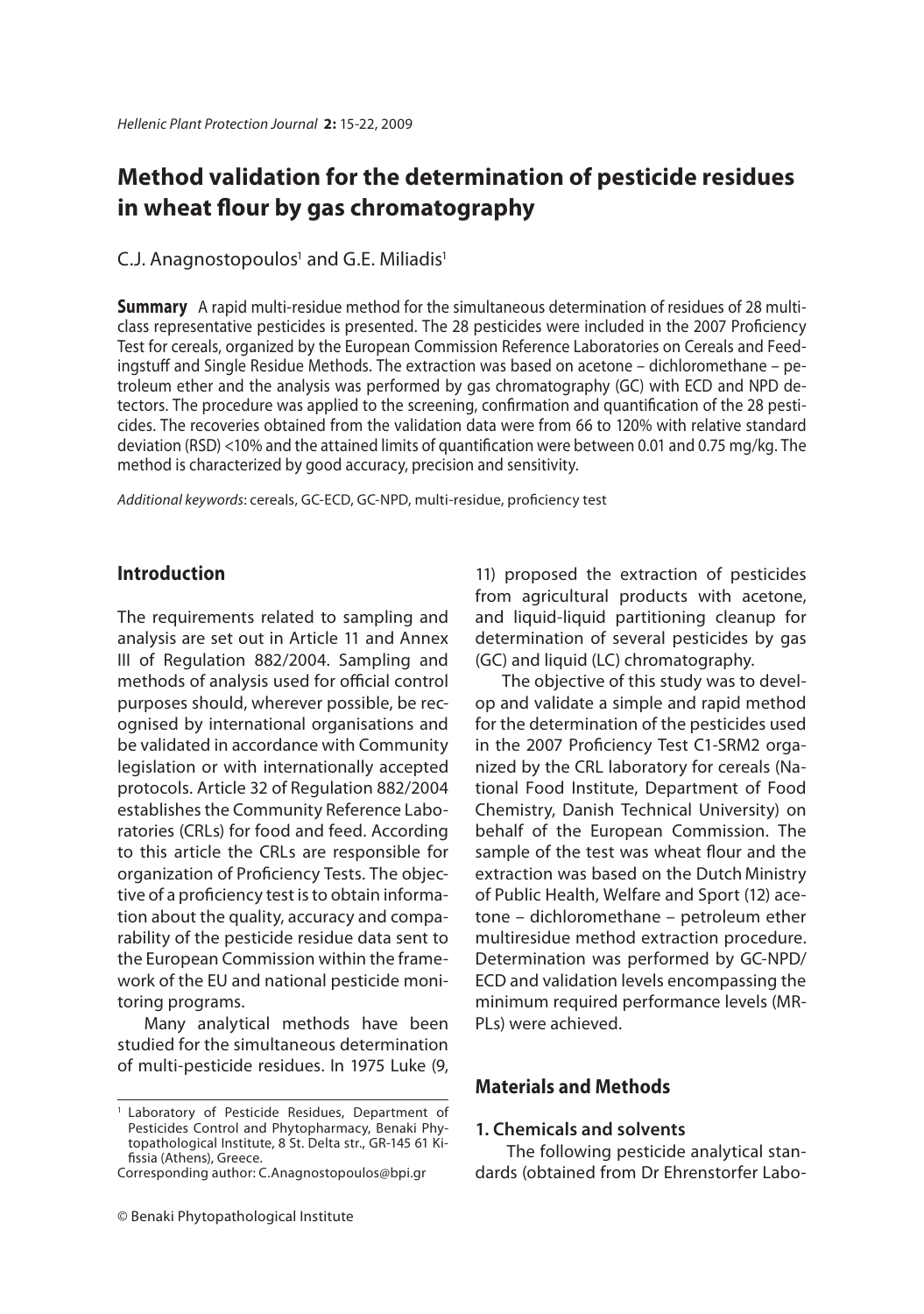### Method validation for the determination of pesticide residues in wheat flour by gas chromatography **in which is a chromatography**

### C.J. Anagnostopoulos $^{\rm 1}$  and G.E. Miliadis $^{\rm 1}$

**Summary** A rapid multi-residue method for the simultaneous determination of residues of 28 multi-<br>class representative pesticides is presented. The 28 pesticides were included in the 2007 Proficiency Test for cereals, organized by the European Commission Reference Laboratories on Cereals and Feedingstuff and Single Residue Methods. The extraction was based on acetone – dichloromethane – petroleum ether and the analysis was performed by gas chromatography (GC) with ECD and NPD detectors. The procedure was applied to the screening, confirmation and quantification of the 28 pesticides. The recoveries obtained from the validation data were from 66 to 120% with relative standard deviation (RSD) <10% and the attained limits of quantification were between 0.01 and 0.75 mg/kg. The method is characterized by good accuracy, precision and sensitivity.

Additional keywords: cereals, GC-ECD, GC-NPD, multi-residue, proficiency test

### **Introduction**

The requirements related to sampling and analysis are set out in Article 11 and Annex III of Regulation 882/2004. Sampling and methods of analysis used for official control purposes should, wherever possible, be recognised by international organisations and be validated in accordance with Community legislation or with internationally accepted protocols. Article 32 of Regulation 882/2004 establishes the Community Reference Laboratories (CRLs) for food and feed. According to this article the CRLs are responsible for organization of Proficiency Tests. The objective of a proficiency test is to obtain information about the quality, accuracy and comparability of the pesticide residue data sent to the European Commission within the framework of the EU and national pesticide monitoring programs.

Many analytical methods have been studied for the simultaneous determination of multi-pesticide residues. In 1975 Luke (9,

Corresponding author: C.Anagnostopoulos@bpi.gr

11) proposed the extraction of pesticides from agricultural products with acetone, and liquid-liquid partitioning cleanup for determination of several pesticides by gas (GC) and liquid (LC) chromatography.

The objective of this study was to develop and validate a simple and rapid method for the determination of the pesticides used in the 2007 Proficiency Test C1-SRM2 organized by the CRL laboratory for cereals (National Food Institute, Department of Food Chemistry, Danish Technical University) on behalf of the European Commission. The sample of the test was wheat flour and the extraction was based on the Dutch Ministry of Public Health, Welfare and Sport (12) acetone – dichloromethane – petroleum ether multiresidue method extraction procedure. Determination was performed by GC-NPD/ ECD and validation levels encompassing the minimum required performance levels (MR-PLs) were achieved.

### **Materials and Methods**

### **1. Chemicals and solvents**

The following pesticide analytical standards (obtained from Dr Ehrenstorfer Labo-

<sup>1</sup> Laboratory of Pesticide Residues, Department of Pesticides Control and Phytopharmacy, Benaki Phytopathological Institute, 8 St. Delta str., GR-145 61 Kifissia (Athens), Greece.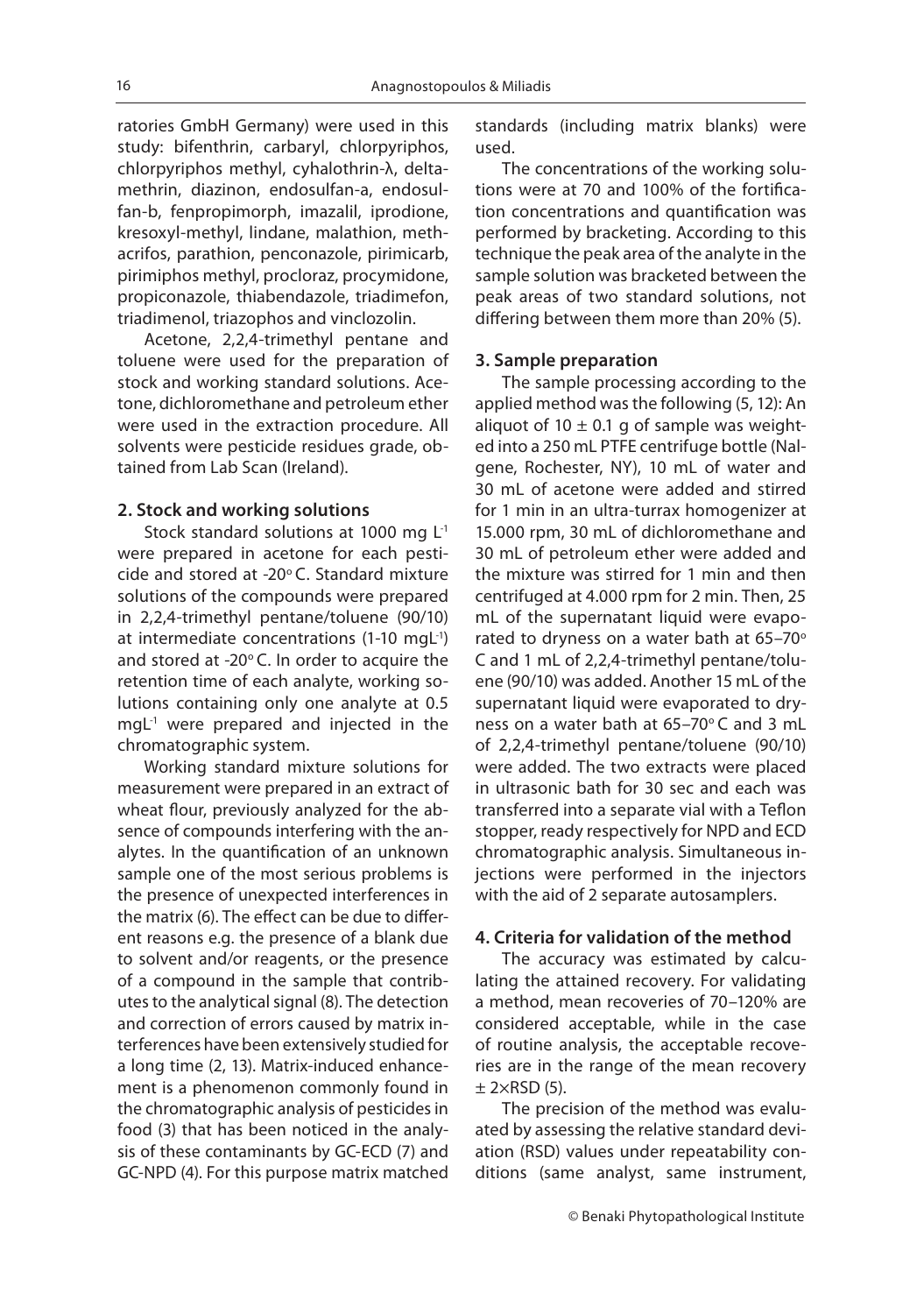ratories GmbH Germany) were used in this study: bifenthrin, carbaryl, chlorpyriphos, chlorpyriphos methyl, cyhalothrin-λ, deltamethrin, diazinon, endosulfan-a, endosulfan-b, fenpropimorph, imazalil, iprodione, kresoxyl-methyl, lindane, malathion, methacrifos, parathion, penconazole, pirimicarb, pirimiphos methyl, procloraz, procymidone, propiconazole, thiabendazole, triadimefon, triadimenol, triazophos and vinclozolin.

Acetone, 2,2,4-trimethyl pentane and toluene were used for the preparation of stock and working standard solutions. Acetone, dichloromethane and petroleum ether were used in the extraction procedure. All solvents were pesticide residues grade, obtained from Lab Scan (Ireland).

#### **2. Stock and working solutions**

Stock standard solutions at 1000 mg  $L^1$ were prepared in acetone for each pesticide and stored at -20°C. Standard mixture solutions of the compounds were prepared in 2,2,4-trimethyl pentane/toluene (90/10) at intermediate concentrations (1-10 mg $L^{-1}$ ) and stored at -20 $^{\circ}$ C. In order to acquire the retention time of each analyte, working solutions containing only one analyte at 0.5  $mqL<sup>-1</sup>$  were prepared and injected in the chromatographic system.

Working standard mixture solutions for measurement were prepared in an extract of wheat flour, previously analyzed for the absence of compounds interfering with the analytes. In the quantification of an unknown sample one of the most serious problems is the presence of unexpected interferences in the matrix (6). The effect can be due to different reasons e.g. the presence of a blank due to solvent and/or reagents, or the presence of a compound in the sample that contributes to the analytical signal (8). The detection and correction of errors caused by matrix interferences have been extensively studied for a long time (2, 13). Matrix-induced enhancement is a phenomenon commonly found in the chromatographic analysis of pesticides in food (3) that has been noticed in the analysis of these contaminants by GC-ECD (7) and GC-NPD (4). For this purpose matrix matched standards (including matrix blanks) were used.

The concentrations of the working solutions were at 70 and 100% of the fortification concentrations and quantification was performed by bracketing. According to this technique the peak area of the analyte in the sample solution was bracketed between the peak areas of two standard solutions, not differing between them more than 20% (5).

#### **3. Sample preparation**

The sample processing according to the applied method was the following (5, 12): An aliquot of 10  $\pm$  0.1 g of sample was weighted into a 250 mL PTFE centrifuge bottle (Nalgene, Rochester, NY), 10 mL of water and 30 mL of acetone were added and stirred for 1 min in an ultra-turrax homogenizer at 15.000 rpm, 30 mL of dichloromethane and 30 mL of petroleum ether were added and the mixture was stirred for 1 min and then centrifuged at 4.000 rpm for 2 min. Then, 25 mL of the supernatant liquid were evaporated to dryness on a water bath at  $65-70^\circ$ C and 1 mL of 2,2,4-trimethyl pentane/toluene (90/10) was added. Another 15 mL of the supernatant liquid were evaporated to dryness on a water bath at 65-70°C and 3 mL of 2,2,4-trimethyl pentane/toluene (90/10) were added. The two extracts were placed in ultrasonic bath for 30 sec and each was transferred into a separate vial with a Teflon stopper, ready respectively for NPD and ECD chromatographic analysis. Simultaneous injections were performed in the injectors with the aid of 2 separate autosamplers.

### **4. Criteria for validation of the method**

The accuracy was estimated by calculating the attained recovery. For validating a method, mean recoveries of 70–120% are considered acceptable, while in the case of routine analysis, the acceptable recoveries are in the range of the mean recovery  $±$  2×RSD (5).

The precision of the method was evaluated by assessing the relative standard deviation (RSD) values under repeatability conditions (same analyst, same instrument,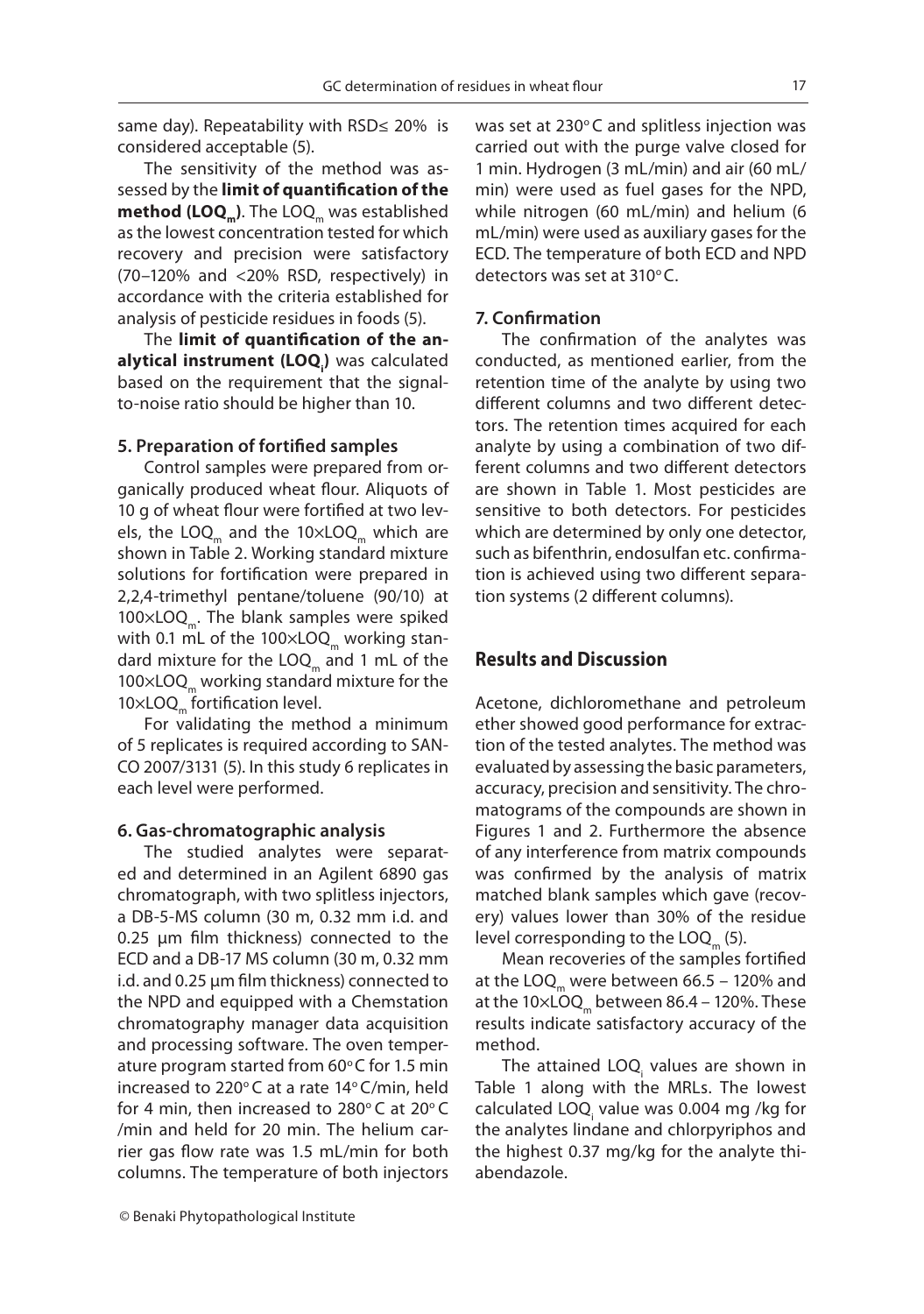same day). Repeatability with RSD≤ 20% is considered acceptable (5).

The sensitivity of the method was assessed by the limit of quantification of the method (LOQ<sub>m</sub>). The LOQ<sub>m</sub> was established as the lowest concentration tested for which recovery and precision were satisfactory (70–120% and <20% RSD, respectively) in accordance with the criteria established for analysis of pesticide residues in foods (5).

The limit of quantification of the anbased on the requirement that the signalalytical instrument (LOQ.) was calculated to-noise ratio should be higher than 10.

### **5. Preparation of fortified samples**

Control samples were prepared from organically produced wheat flour. Aliquots of 10 g of wheat flour were fortified at two levels, the LOQ<sub>m</sub> and the  $10\times$ LOQ<sub>m</sub> which are shown in Table 2. Working standard mixture solutions for fortification were prepared in 2,2,4-trimethyl pentane/toluene (90/10) at 100×LOQ<sub>n</sub>. The blank samples were spiked with 0.1 mL of the  $100\times$ LOQ<sub>m</sub> working standard mixture for the  $LOQ<sub>m</sub>$  and 1 mL of the  $100\times$ LOQ<sub>m</sub> working standard mixture for the  $10\times$ LOQ<sub>m</sub> fortification level.

For validating the method a minimum of 5 replicates is required according to SAN-CO 2007/3131 (5). In this study 6 replicates in each level were performed.

#### **6. Gas-chromatographic analysis**

The studied analytes were separated and determined in an Agilent 6890 gas chromatograph, with two splitless injectors, a DB-5-MS column (30 m, 0.32 mm i.d. and  $0.25$  µm film thickness) connected to the ECD and a DB-17 MS column (30 m, 0.32 mm i.d. and 0.25 µm film thickness) connected to the NPD and equipped with a Chemstation chromatography manager data acquisition and processing software. The oven temperature program started from  $60^{\circ}$ C for 1.5 min increased to 220 $^{\circ}$ C at a rate 14 $^{\circ}$ C/min, held for 4 min, then increased to  $280^\circ$ C at  $20^\circ$ C /min and held for 20 min. The helium carrier gas flow rate was 1.5 mL/min for both columns. The temperature of both injectors

© Benaki Phytopathological Institute

was set at  $230^{\circ}$ C and splitless injection was carried out with the purge valve closed for 1 min. Hydrogen (3 mL/min) and air (60 mL/ min) were used as fuel gases for the NPD, while nitrogen (60 mL/min) and helium (6 mL/min) were used as auxiliary gases for the ECD. The temperature of both ECD and NPD detectors was set at  $310^{\circ}$ C.

### **7. Confi rmation**

The confirmation of the analytes was conducted, as mentioned earlier, from the retention time of the analyte by using two different columns and two different detectors. The retention times acquired for each analyte by using a combination of two different columns and two different detectors are shown in Table 1. Most pesticides are sensitive to both detectors. For pesticides which are determined by only one detector, such as bifenthrin, endosulfan etc. confirmation is achieved using two different separation systems (2 different columns).

### **Results and Discussion**

Acetone, dichloromethane and petroleum ether showed good performance for extraction of the tested analytes. The method was evaluated by assessing the basic parameters, accuracy, precision and sensitivity. The chromatograms of the compounds are shown in Figures 1 and 2. Furthermore the absence of any interference from matrix compounds was confirmed by the analysis of matrix matched blank samples which gave (recovery) values lower than 30% of the residue level corresponding to the  $LOQ_{m}$  (5).

Mean recoveries of the samples fortified at the LOQ<sub>m</sub> were between  $66.5 - 120\%$  and at the  $10\times$ LOQ<sub>m</sub> between 86.4 – 120%. These results indicate satisfactory accuracy of the method.

The attained LOQ<sub>i</sub> values are shown in Table 1 along with the MRLs. The lowest calculated LOQ<sub>i</sub> value was 0.004 mg /kg for the analytes lindane and chlorpyriphos and the highest 0.37 mg/kg for the analyte thiabendazole.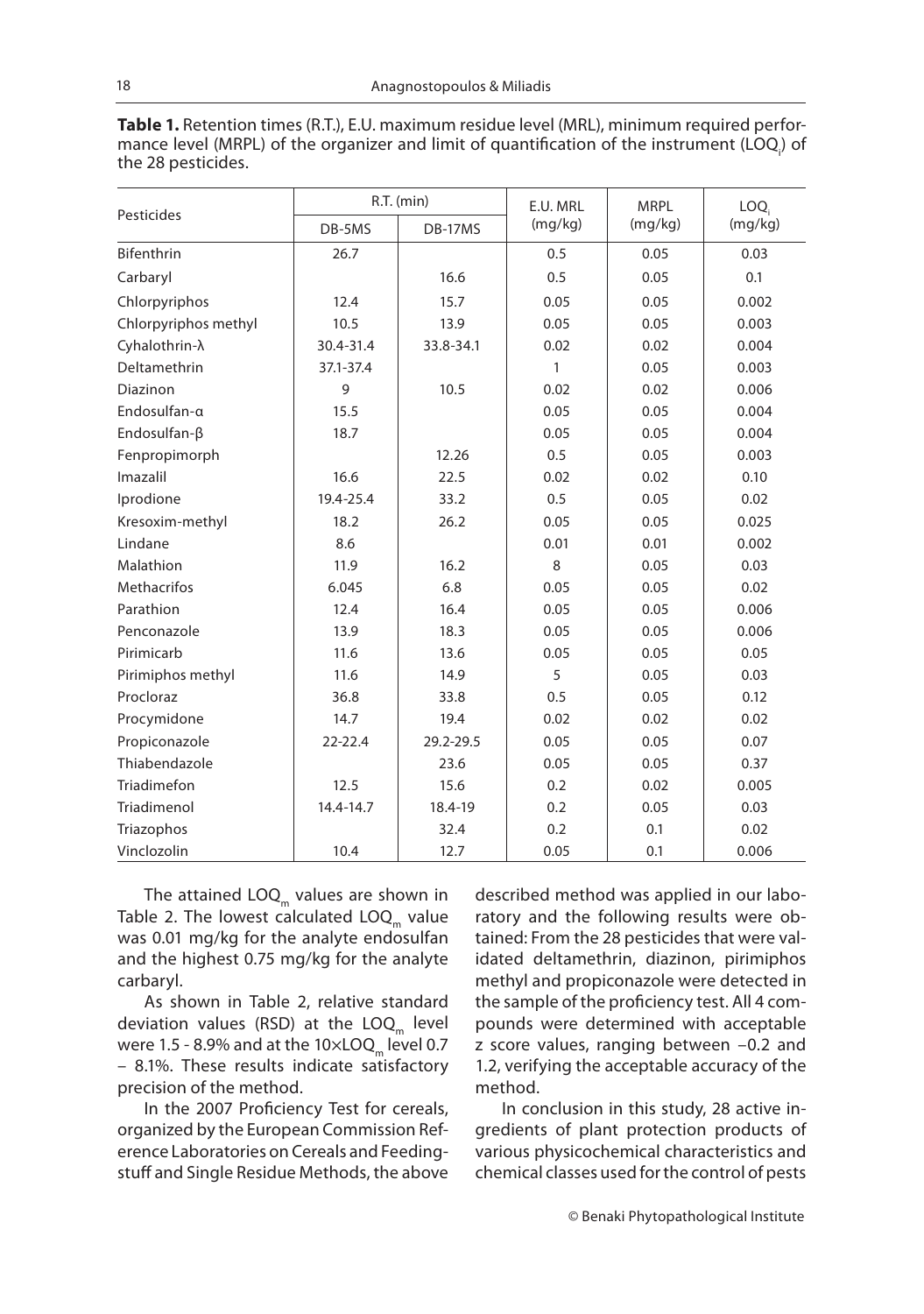| <b>Table 1.</b> Retention times (R.T.), E.U. maximum residue level (MRL), minimum required perfor- |
|----------------------------------------------------------------------------------------------------|
| mance level (MRPL) of the organizer and limit of quantification of the instrument (LOQ) of         |
| the 28 pesticides.                                                                                 |

|                        |             | R.T. (min) | E.U. MRL | <b>MRPL</b> | LOQ.    |
|------------------------|-------------|------------|----------|-------------|---------|
| Pesticides             | DB-5MS      | DB-17MS    | (mg/kg)  | (mg/kg)     | (mg/kg) |
| Bifenthrin             | 26.7        |            | 0.5      | 0.05        | 0.03    |
| Carbaryl               |             | 16.6       | 0.5      | 0.05        | 0.1     |
| Chlorpyriphos          | 12.4        | 15.7       | 0.05     | 0.05        | 0.002   |
| Chlorpyriphos methyl   | 10.5        | 13.9       | 0.05     | 0.05        | 0.003   |
| Cyhalothrin- $\lambda$ | 30.4-31.4   | 33.8-34.1  | 0.02     | 0.02        | 0.004   |
| Deltamethrin           | 37.1-37.4   |            | 1        | 0.05        | 0.003   |
| Diazinon               | 9           | 10.5       | 0.02     | 0.02        | 0.006   |
| Endosulfan-a           | 15.5        |            | 0.05     | 0.05        | 0.004   |
| Endosulfan-ß           | 18.7        |            | 0.05     | 0.05        | 0.004   |
| Fenpropimorph          |             | 12.26      | 0.5      | 0.05        | 0.003   |
| Imazalil               | 16.6        | 22.5       | 0.02     | 0.02        | 0.10    |
| Iprodione              | 19.4-25.4   | 33.2       | 0.5      | 0.05        | 0.02    |
| Kresoxim-methyl        | 18.2        | 26.2       | 0.05     | 0.05        | 0.025   |
| Lindane                | 8.6         |            | 0.01     | 0.01        | 0.002   |
| Malathion              | 11.9        | 16.2       | 8        | 0.05        | 0.03    |
| <b>Methacrifos</b>     | 6.045       | 6.8        | 0.05     | 0.05        | 0.02    |
| Parathion              | 12.4        | 16.4       | 0.05     | 0.05        | 0.006   |
| Penconazole            | 13.9        | 18.3       | 0.05     | 0.05        | 0.006   |
| Pirimicarb             | 11.6        | 13.6       | 0.05     | 0.05        | 0.05    |
| Pirimiphos methyl      | 11.6        | 14.9       | 5        | 0.05        | 0.03    |
| Procloraz              | 36.8        | 33.8       | 0.5      | 0.05        | 0.12    |
| Procymidone            | 14.7        | 19.4       | 0.02     | 0.02        | 0.02    |
| Propiconazole          | $22 - 22.4$ | 29.2-29.5  | 0.05     | 0.05        | 0.07    |
| Thiabendazole          |             | 23.6       | 0.05     | 0.05        | 0.37    |
| Triadimefon            | 12.5        | 15.6       | 0.2      | 0.02        | 0.005   |
| Triadimenol            | 14.4-14.7   | 18.4-19    | 0.2      | 0.05        | 0.03    |
| Triazophos             |             | 32.4       | 0.2      | 0.1         | 0.02    |
| Vinclozolin            | 10.4        | 12.7       | 0.05     | 0.1         | 0.006   |

The attained  $\text{LOQ}_{m}$  values are shown in Table 2. The lowest calculated  $LOQ<sub>m</sub>$  value was 0.01 mg/kg for the analyte endosulfan and the highest 0.75 mg/kg for the analyte carbaryl.

As shown in Table 2, relative standard deviation values (RSD) at the  $LOQ<sub>m</sub>$  level were 1.5 - 8.9% and at the  $10\times$ LOQ<sub>m</sub> level 0.7 – 8.1%. These results indicate satisfactory precision of the method.

In the 2007 Proficiency Test for cereals, organized by the European Commission Reference Laboratories on Cereals and Feedingstuff and Single Residue Methods, the above described method was applied in our laboratory and the following results were obtained: From the 28 pesticides that were validated deltamethrin, diazinon, pirimiphos methyl and propiconazole were detected in the sample of the proficiency test. All 4 compounds were determined with acceptable z score values, ranging between –0.2 and 1.2, verifying the acceptable accuracy of the method.

In conclusion in this study, 28 active ingredients of plant protection products of various physicochemical characteristics and chemical classes used for the control of pests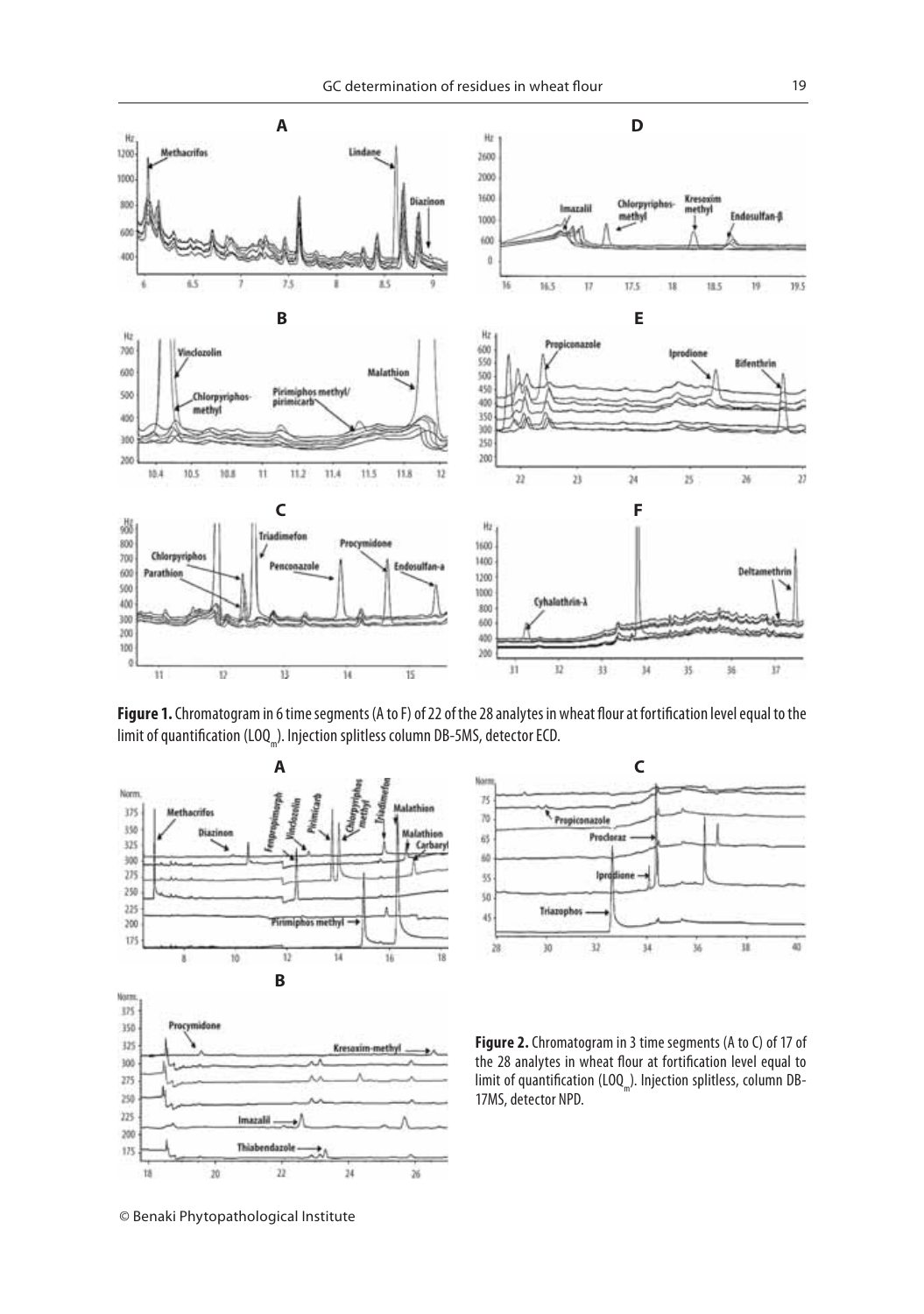

Figure 1. Chromatogram in 6 time segments (A to F) of 22 of the 28 analytes in wheat flour at fortification level equal to the limit of quantification (LOQ<sub>m</sub>). Injection splitless column DB-5MS, detector ECD.





**Figure 2.** Chromatogram in 3 time segments (A to C) of 17 of the 28 analytes in wheat flour at fortification level equal to limit of quantification (LOQ<sub>m</sub>). Injection splitless, column DB-17MS, detector NPD.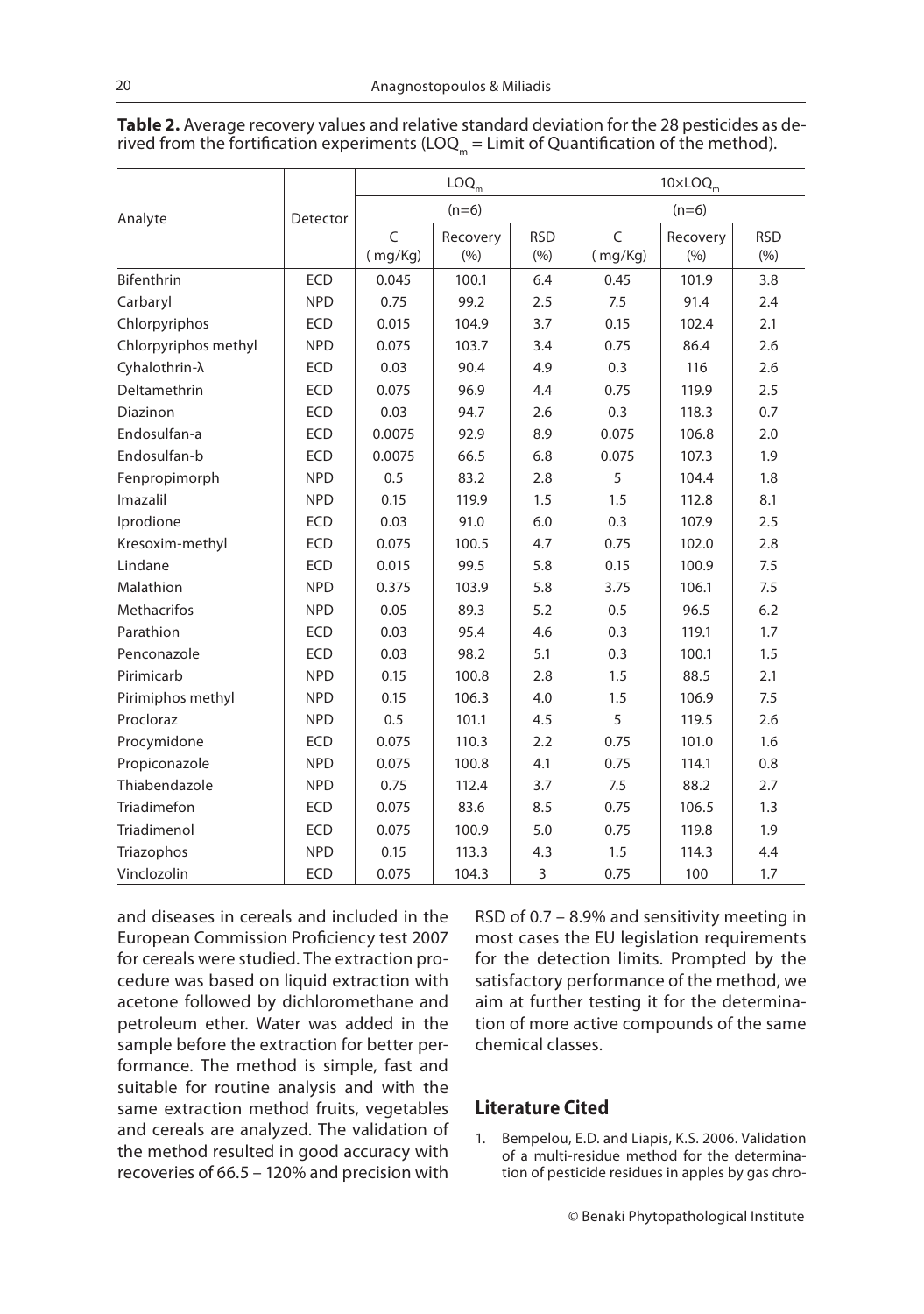|                        |            | $\mathsf{LOQ}_{_{\sf m}}$ |                  |                   | $10\times$ LOQ $_m$ |                   |                   |
|------------------------|------------|---------------------------|------------------|-------------------|---------------------|-------------------|-------------------|
| Analyte                | Detector   | $(n=6)$                   |                  |                   | $(n=6)$             |                   |                   |
|                        |            | C<br>(mg/Kg)              | Recovery<br>(% ) | <b>RSD</b><br>(%) | C<br>(mg/Kg)        | Recovery<br>(9/6) | <b>RSD</b><br>(%) |
| Bifenthrin             | <b>ECD</b> | 0.045                     | 100.1            | 6.4               | 0.45                | 101.9             | 3.8               |
| Carbaryl               | <b>NPD</b> | 0.75                      | 99.2             | 2.5               | 7.5                 | 91.4              | 2.4               |
| Chlorpyriphos          | <b>ECD</b> | 0.015                     | 104.9            | 3.7               | 0.15                | 102.4             | 2.1               |
| Chlorpyriphos methyl   | <b>NPD</b> | 0.075                     | 103.7            | 3.4               | 0.75                | 86.4              | 2.6               |
| Cyhalothrin- $\lambda$ | <b>ECD</b> | 0.03                      | 90.4             | 4.9               | 0.3                 | 116               | 2.6               |
| Deltamethrin           | <b>ECD</b> | 0.075                     | 96.9             | 4.4               | 0.75                | 119.9             | 2.5               |
| Diazinon               | <b>ECD</b> | 0.03                      | 94.7             | 2.6               | 0.3                 | 118.3             | 0.7               |
| Endosulfan-a           | <b>ECD</b> | 0.0075                    | 92.9             | 8.9               | 0.075               | 106.8             | 2.0               |
| Endosulfan-b           | <b>ECD</b> | 0.0075                    | 66.5             | 6.8               | 0.075               | 107.3             | 1.9               |
| Fenpropimorph          | <b>NPD</b> | 0.5                       | 83.2             | 2.8               | 5                   | 104.4             | 1.8               |
| Imazalil               | <b>NPD</b> | 0.15                      | 119.9            | 1.5               | 1.5                 | 112.8             | 8.1               |
| Iprodione              | <b>ECD</b> | 0.03                      | 91.0             | 6.0               | 0.3                 | 107.9             | 2.5               |
| Kresoxim-methyl        | <b>ECD</b> | 0.075                     | 100.5            | 4.7               | 0.75                | 102.0             | 2.8               |
| Lindane                | <b>ECD</b> | 0.015                     | 99.5             | 5.8               | 0.15                | 100.9             | 7.5               |
| Malathion              | <b>NPD</b> | 0.375                     | 103.9            | 5.8               | 3.75                | 106.1             | 7.5               |
| <b>Methacrifos</b>     | <b>NPD</b> | 0.05                      | 89.3             | 5.2               | 0.5                 | 96.5              | 6.2               |
| Parathion              | <b>ECD</b> | 0.03                      | 95.4             | 4.6               | 0.3                 | 119.1             | 1.7               |
| Penconazole            | <b>ECD</b> | 0.03                      | 98.2             | 5.1               | 0.3                 | 100.1             | 1.5               |
| Pirimicarb             | <b>NPD</b> | 0.15                      | 100.8            | 2.8               | 1.5                 | 88.5              | 2.1               |
| Pirimiphos methyl      | <b>NPD</b> | 0.15                      | 106.3            | 4.0               | 1.5                 | 106.9             | 7.5               |
| Procloraz              | <b>NPD</b> | 0.5                       | 101.1            | 4.5               | 5                   | 119.5             | 2.6               |
| Procymidone            | <b>ECD</b> | 0.075                     | 110.3            | 2.2               | 0.75                | 101.0             | 1.6               |
| Propiconazole          | <b>NPD</b> | 0.075                     | 100.8            | 4.1               | 0.75                | 114.1             | 0.8               |
| Thiabendazole          | <b>NPD</b> | 0.75                      | 112.4            | 3.7               | 7.5                 | 88.2              | 2.7               |
| Triadimefon            | <b>ECD</b> | 0.075                     | 83.6             | 8.5               | 0.75                | 106.5             | 1.3               |
| Triadimenol            | <b>ECD</b> | 0.075                     | 100.9            | 5.0               | 0.75                | 119.8             | 1.9               |
| Triazophos             | <b>NPD</b> | 0.15                      | 113.3            | 4.3               | 1.5                 | 114.3             | 4.4               |
| Vinclozolin            | <b>ECD</b> | 0.075                     | 104.3            | 3                 | 0.75                | 100               | 1.7               |

**Table 2.** Average recovery values and relative standard deviation for the 28 pesticides as de-<br>rived from the fortification experiments (LOQ<sub>m</sub> = Limit of Quantification of the method).

and diseases in cereals and included in the European Commission Proficiency test 2007 for cereals were studied. The extraction procedure was based on liquid extraction with acetone followed by dichloromethane and petroleum ether. Water was added in the sample before the extraction for better performance. The method is simple, fast and suitable for routine analysis and with the same extraction method fruits, vegetables and cereals are analyzed. The validation of the method resulted in good accuracy with recoveries of 66.5 – 120% and precision with

RSD of 0.7 – 8.9% and sensitivity meeting in most cases the EU legislation requirements for the detection limits. Prompted by the satisfactory performance of the method, we aim at further testing it for the determination of more active compounds of the same chemical classes.

### Literature Cited

1. Bempelou, E.D. and Liapis, K.S. 2006. Validation of a multi-residue method for the determination of pesticide residues in apples by gas chro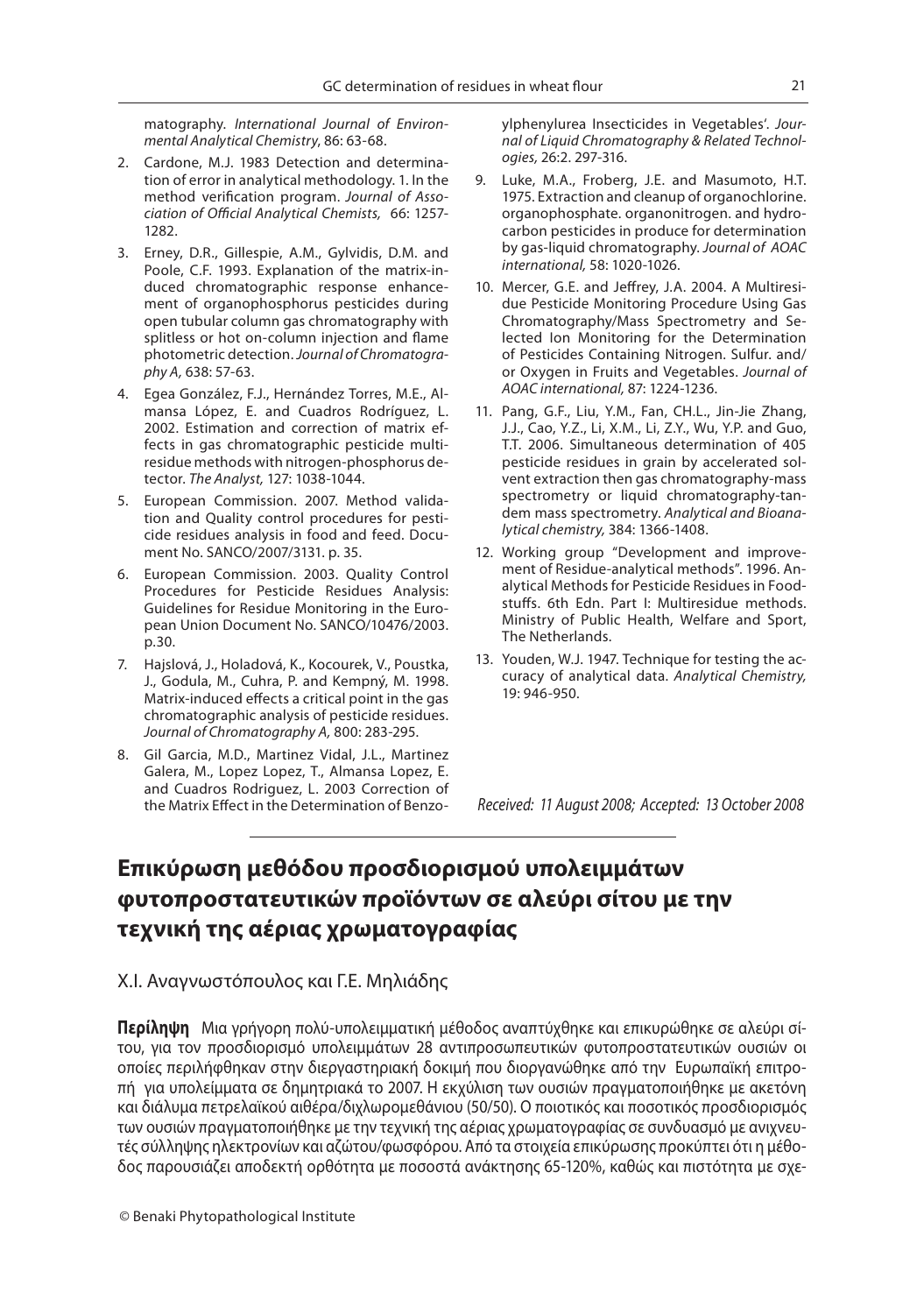matography. International Journal of Environmental Analytical Chemistry, 86: 63-68.

- 2. Cardone, M.J. 1983 Detection and determination of error in analytical methodology. 1. In the method verification program. Journal of Association of Official Analytical Chemists, 66: 1257-1282.
- 3. Erney, D.R., Gillespie, A.M., Gylvidis, D.M. and Poole, C.F. 1993. Explanation of the matrix-induced chromatographic response enhancement of organophosphorus pesticides during open tubular column gas chromatography with splitless or hot on-column injection and flame photometric detection. Journal of Chromatography A, 638: 57-63.
- 4. Egea González, F.J., Hernández Torres, M.E., Almansa López, E. and Cuadros Rodríguez, L. 2002. Estimation and correction of matrix effects in gas chromatographic pesticide multiresidue methods with nitrogen-phosphorus detector. The Analyst, 127: 1038-1044.
- 5. European Commission. 2007. Method validation and Quality control procedures for pesticide residues analysis in food and feed. Document No. SANCO/2007/3131. p. 35.
- 6. European Commission. 2003. Quality Control Procedures for Pesticide Residues Analysis: Guidelines for Residue Monitoring in the European Union Document No. SANCO/10476/2003. p.30.
- 7. Hajslová, J., Holadová, K., Kocourek, V., Poustka, J., Godula, M., Cuhra, P. and Kempný, M. 1998. Matrix-induced effects a critical point in the gas chromatographic analysis of pesticide residues. Journal of Chromatography A, 800: 283-295.
- 8. Gil Garcia, M.D., Martinez Vidal, J.L., Martinez Galera, M., Lopez Lopez, T., Almansa Lopez, E. and Cuadros Rodriguez, L. 2003 Correction of the Matrix Effect in the Determination of Benzo-

ylphenylurea Insecticides in Vegetables'. Journal of Liquid Chromatography & Related Technologies, 26:2. 297-316.

- 9. Luke, M.A., Froberg, J.E. and Masumoto, H.T. 1975. Extraction and cleanup of organochlorine. organophosphate. organonitrogen. and hydrocarbon pesticides in produce for determination by gas-liquid chromatography. Journal of AOAC international, 58: 1020-1026.
- 10. Mercer, G.E. and Jeffrey, J.A. 2004. A Multiresidue Pesticide Monitoring Procedure Using Gas Chromatography/Mass Spectrometry and Selected Ion Monitoring for the Determination of Pesticides Containing Nitrogen. Sulfur. and/ or Oxygen in Fruits and Vegetables. Journal of AOAC international, 87: 1224-1236.
- 11. Pang, G.F., Liu, Y.M., Fan, CH.L., Jin-Jie Zhang, J.J., Cao, Y.Z., Li, X.M., Li, Z.Y., Wu, Y.P. and Guo, T.T. 2006. Simultaneous determination of 405 pesticide residues in grain by accelerated solvent extraction then gas chromatography-mass spectrometry or liquid chromatography-tandem mass spectrometry. Analytical and Bioanalytical chemistry, 384: 1366-1408.
- 12. Working group "Development and improvement of Residue-analytical methods". 1996. Analytical Methods for Pesticide Residues in Foodstuffs. 6th Edn. Part I: Multiresidue methods. Ministry of Public Health, Welfare and Sport, The Netherlands.
- 13. Youden, W.J. 1947. Technique for testing the accuracy of analytical data. Analytical Chemistry, 19: 946-950.

Received: 11 August 2008; Accepted: 13 October 2008

### **Επικύρωση μεθόδου προσδιορισμού υπολειμμάτων τεχνική της αέριας χρωματογραφίας τεχνική της αέριας χρωματογραφίας**

### Χ.I. Αναγνωστόπουλος και Γ.Ε. Μηλιάδης

**Περίληψη** Μια γρήγορη πολύ-υπολειμματική μέθοδος αναπτύχθηκε και επικυρώθηκε σε αλεύρι σίτου, για τον προσδιορισμό υπολειμμάτων 28 αντιπροσωπευτικών φυτοπροστατευτικών ουσιών οι οποίες περιλήφθηκαν στην διεργαστηριακή δοκιμή που διοργανώθηκε από την Ευρωπαϊκή επιτροπή για υπολείμματα σε δημητριακά το 2007. Η εκχύλιση των ουσιών πραγματοποιήθηκε με ακετόνη και διάλυμα πετρελαϊκού αιθέρα/διχλωρομεθάνιου (50/50). Ο ποιοτικός και ποσοτικός προσδιορισμός των ουσιών πραγματοποιήθηκε με την τεχνική της αέριας χρωματογραφίας σε συνδυασμό με ανιχνευτές σύλληψης ηλεκτρονίων και αζώτου/φωσφόρου. Από τα στοιχεία επικύρωσης προκύπτει ότι η μέθοδος παρουσιάζει αποδεκτή ορθότητα με ποσοστά ανάκτησης 65-120%, καθώς και πιστότητα με σχε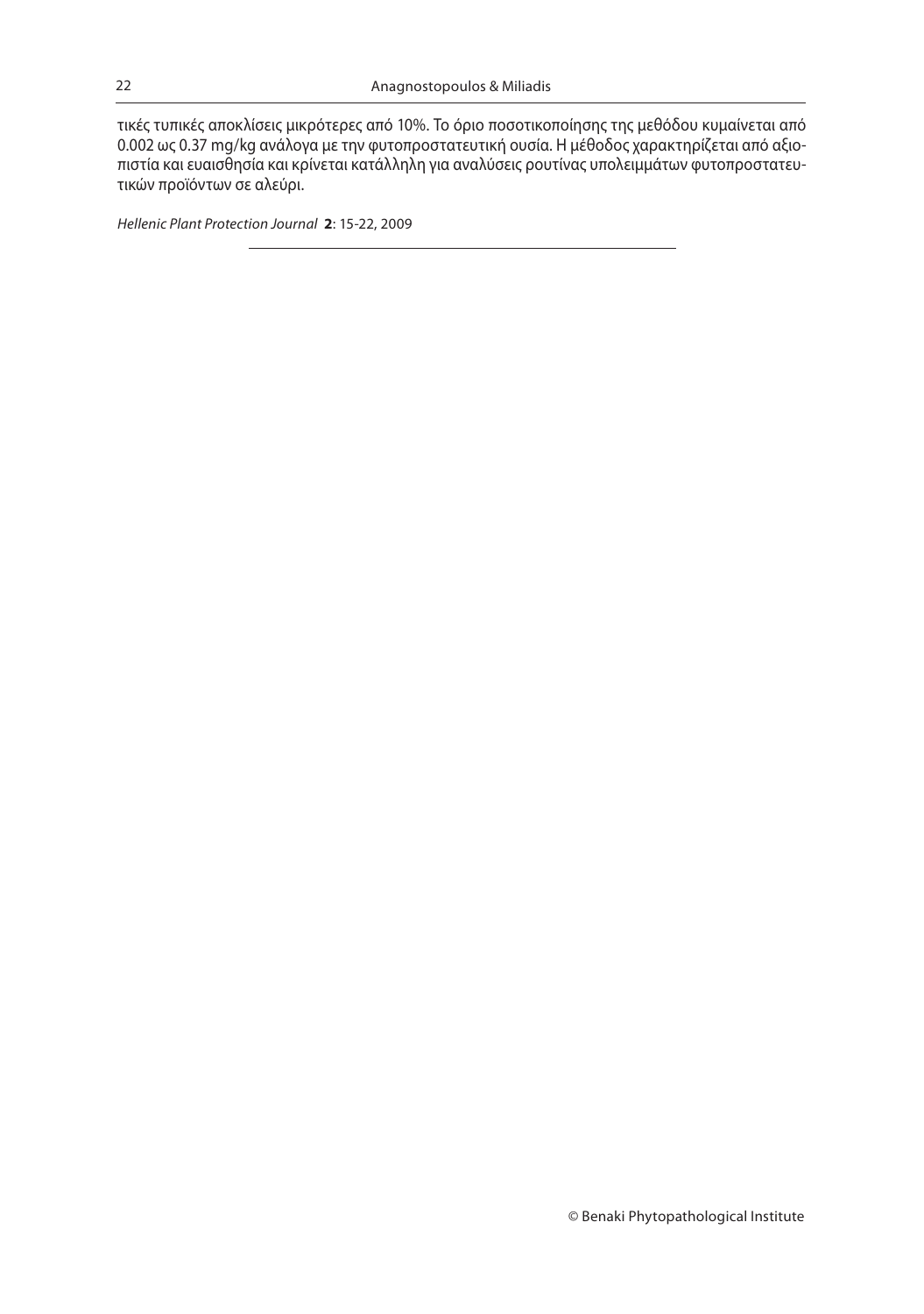τικές τυπικές αποκλίσεις μικρότερες από 10%. Το όριο ποσοτικοποίησης της μεθόδου κυμαίνεται από 0.002 ως 0.37 mg/kg ανάλογα με την φυτοπροστατευτική ουσία. Η μέθοδος χαρακτηρίζεται από αξιοπιστία και ευαισθησία και κρίνεται κατάλληλη για αναλύσεις ρουτίνας υπολειμμάτων φυτοπροστατευτικών προϊόντων σε αλεύρι.

Hellenic Plant Protection Journal **2**: 15-22, 2009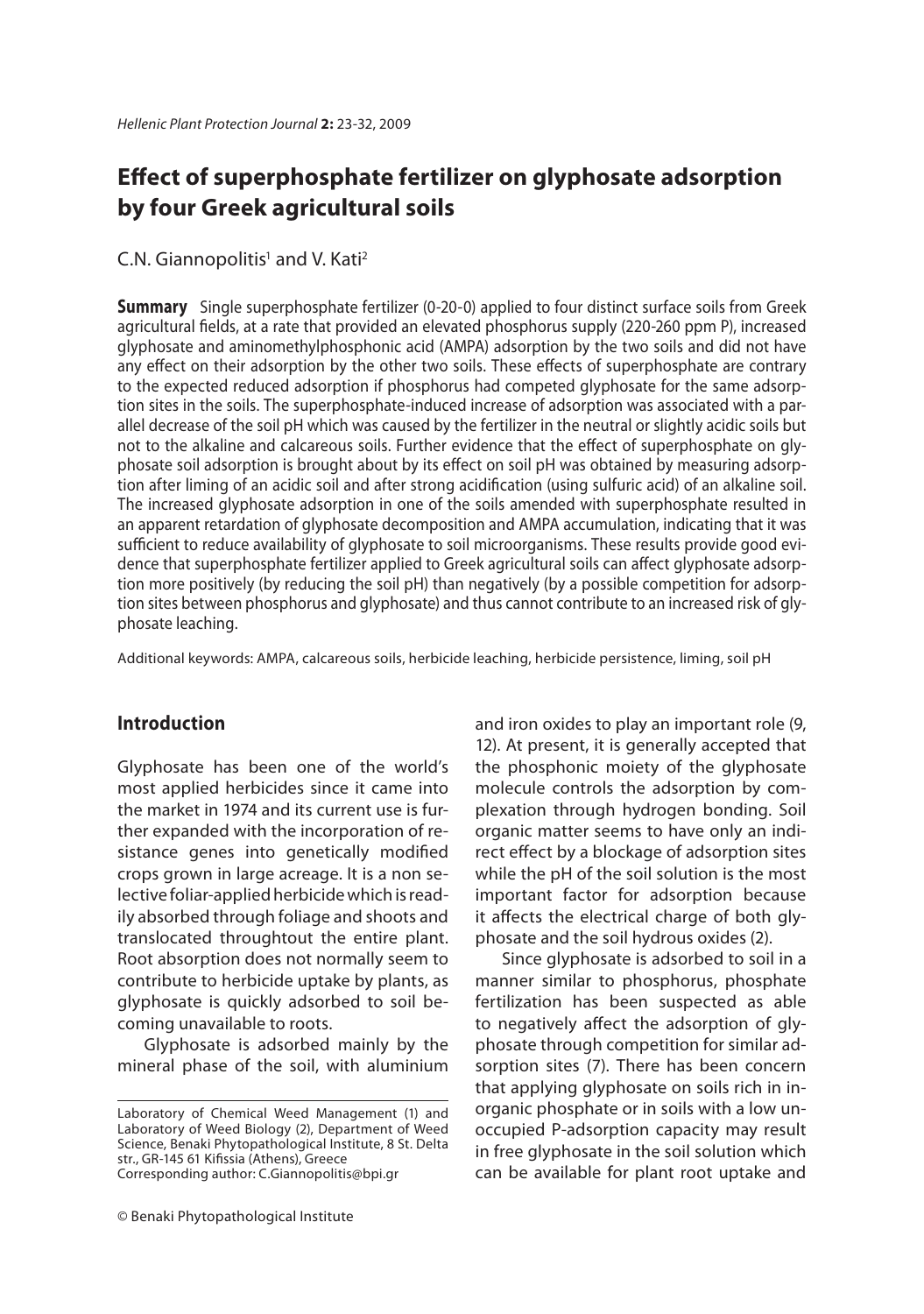### **Effect of superphosphate fertilizer on glyphosate adsorption by four Greek agricultural soils**

### C.N. Giannopolitis<sup>1</sup> and V. Kati<sup>2</sup>

**Summary** Single superphosphate fertilizer (0-20-0) applied to four distinct surface soils from Greek agricultural fields, at a rate that provided an elevated phosphorus supply (220-260 ppm P), increased glyphosate and aminomethylphosphonic acid (AMPA) adsorption by the two soils and did not have any effect on their adsorption by the other two soils. These effects of superphosphate are contrary to the expected reduced adsorption if phosphorus had competed glyphosate for the same adsorption sites in the soils. The superphosphate-induced increase of adsorption was associated with a parallel decrease of the soil pH which was caused by the fertilizer in the neutral or slightly acidic soils but not to the alkaline and calcareous soils. Further evidence that the effect of superphosphate on glyphosate soil adsorption is brought about by its effect on soil pH was obtained by measuring adsorption after liming of an acidic soil and after strong acidification (using sulfuric acid) of an alkaline soil. The increased glyphosate adsorption in one of the soils amended with superphosphate resulted in an apparent retardation of glyphosate decomposition and AMPA accumulation, indicating that it was sufficient to reduce availability of glyphosate to soil microorganisms. These results provide good evidence that superphosphate fertilizer applied to Greek agricultural soils can affect glyphosate adsorption more positively (by reducing the soil pH) than negatively (by a possible competition for adsorption sites between phosphorus and glyphosate) and thus cannot contribute to an increased risk of glyphosate leaching.

Additional keywords: AMPA, calcareous soils, herbicide leaching, herbicide persistence, liming, soil pH

### **Introduction**

Glyphosate has been one of the world's most applied herbicides since it came into the market in 1974 and its current use is further expanded with the incorporation of resistance genes into genetically modified crops grown in large acreage. It is a non selective foliar-applied herbicide which is readily absorbed through foliage and shoots and translocated throughtout the entire plant. Root absorption does not normally seem to contribute to herbicide uptake by plants, as glyphosate is quickly adsorbed to soil becoming unavailable to roots.

Glyphosate is adsorbed mainly by the mineral phase of the soil, with aluminium

Corresponding author: C.Giannopolitis@bpi.gr

and iron oxides to play an important role (9, 12). At present, it is generally accepted that the phosphonic moiety of the glyphosate molecule controls the adsorption by complexation through hydrogen bonding. Soil organic matter seems to have only an indirect effect by a blockage of adsorption sites while the pH of the soil solution is the most important factor for adsorption because it affects the electrical charge of both glyphosate and the soil hydrous oxides (2).

Since glyphosate is adsorbed to soil in a manner similar to phosphorus, phosphate fertilization has been suspected as able to negatively affect the adsorption of glyphosate through competition for similar adsorption sites (7). There has been concern that applying glyphosate on soils rich in inorganic phosphate or in soils with a low unoccupied P-adsorption capacity may result in free glyphosate in the soil solution which can be available for plant root uptake and

Laboratory of Chemical Weed Management (1) and Laboratory of Weed Biology (2), Department of Weed Science, Benaki Phytopathological Institute, 8 St. Delta str., GR-145 61 Kifissia (Athens), Greece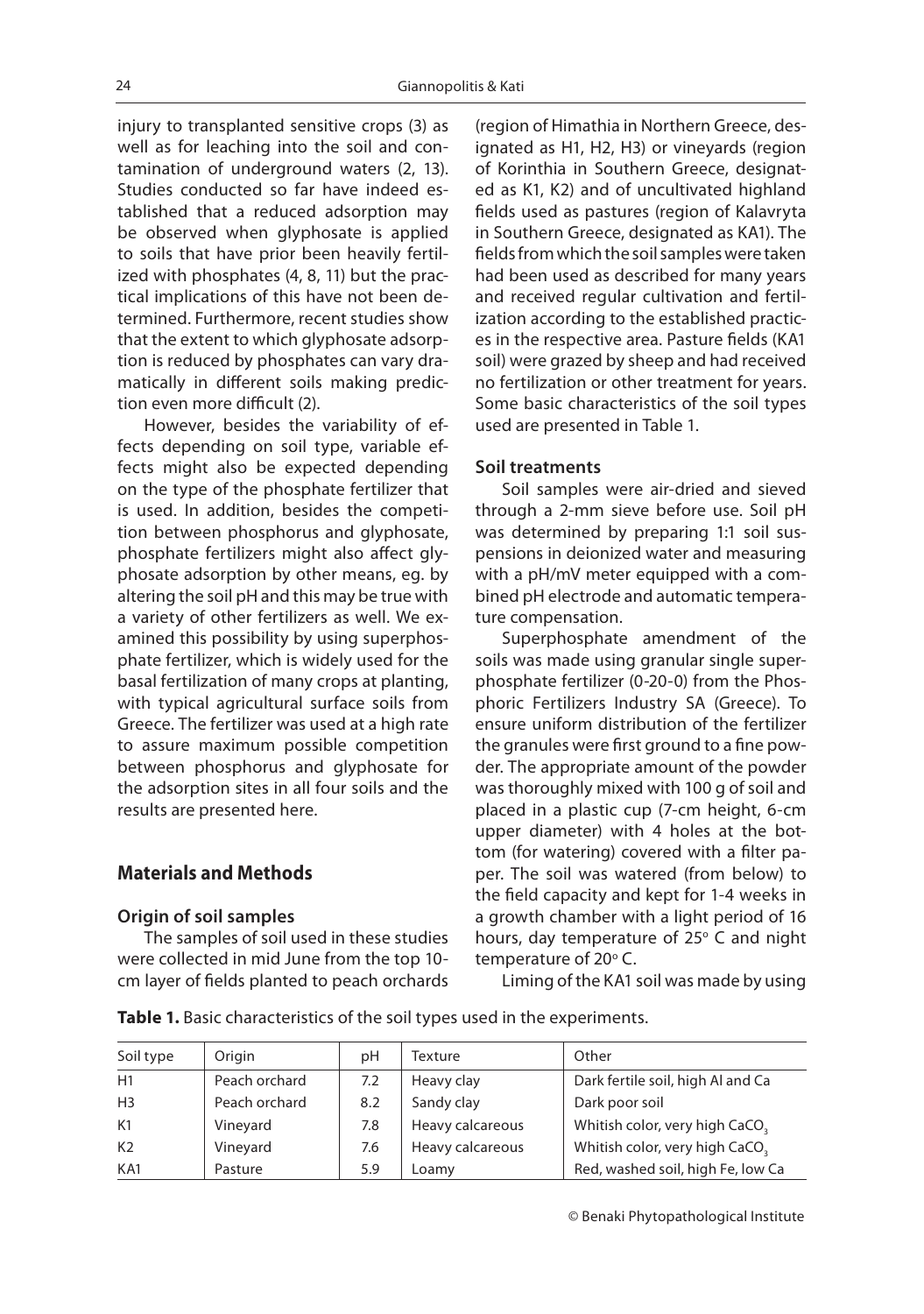injury to transplanted sensitive crops (3) as well as for leaching into the soil and contamination of underground waters (2, 13). Studies conducted so far have indeed established that a reduced adsorption may be observed when glyphosate is applied to soils that have prior been heavily fertilized with phosphates (4, 8, 11) but the practical implications of this have not been determined. Furthermore, recent studies show that the extent to which glyphosate adsorption is reduced by phosphates can vary dramatically in different soils making prediction even more difficult (2).

However, besides the variability of effects depending on soil type, variable effects might also be expected depending on the type of the phosphate fertilizer that is used. In addition, besides the competition between phosphorus and glyphosate, phosphate fertilizers might also affect glyphosate adsorption by other means, eg. by altering the soil pH and this may be true with a variety of other fertilizers as well. We examined this possibility by using superphosphate fertilizer, which is widely used for the basal fertilization of many crops at planting, with typical agricultural surface soils from Greece. The fertilizer was used at a high rate to assure maximum possible competition between phosphorus and glyphosate for the adsorption sites in all four soils and the results are presented here.

### **Materials and Methods**

### **Origin of soil samples**

The samples of soil used in these studies were collected in mid June from the top 10 cm layer of fields planted to peach orchards (region of Himathia in Northern Greece, designated as H1, H2, H3) or vineyards (region of Korinthia in Southern Greece, designated as K1, K2) and of uncultivated highland fields used as pastures (region of Kalavryta in Southern Greece, designated as KA1). The fields from which the soil samples were taken had been used as described for many years and received regular cultivation and fertilization according to the established practices in the respective area. Pasture fields (KA1 soil) were grazed by sheep and had received no fertilization or other treatment for years. Some basic characteristics of the soil types used are presented in Table 1.

### **Soil treatments**

Soil samples were air-dried and sieved through a 2-mm sieve before use. Soil pH was determined by preparing 1:1 soil suspensions in deionized water and measuring with a pH/mV meter equipped with a combined pH electrode and automatic temperature compensation.

Superphosphate amendment of the soils was made using granular single superphosphate fertilizer (0-20-0) from the Phosphoric Fertilizers Industry SA (Greece). To ensure uniform distribution of the fertilizer the granules were first ground to a fine powder. The appropriate amount of the powder was thoroughly mixed with 100 g of soil and placed in a plastic cup (7-cm height, 6-cm upper diameter) with 4 holes at the bottom (for watering) covered with a filter paper. The soil was watered (from below) to the field capacity and kept for 1-4 weeks in a growth chamber with a light period of 16 hours, day temperature of 25 $\degree$  C and night temperature of 20° C.

Liming of the KA1 soil was made by using

**Table 1.** Basic characteristics of the soil types used in the experiments.

| Soil type      | Origin        | рH  | Texture          | Other                             |
|----------------|---------------|-----|------------------|-----------------------------------|
| H1             | Peach orchard | 7.2 | Heavy clay       | Dark fertile soil, high Al and Ca |
| H <sub>3</sub> | Peach orchard | 8.2 | Sandy clay       | Dark poor soil                    |
| K1             | Vineyard      | 7.8 | Heavy calcareous | Whitish color, very high CaCO.    |
| K <sub>2</sub> | Vineyard      | 7.6 | Heavy calcareous | Whitish color, very high CaCO.    |
| KA1            | Pasture       | 5.9 | Loamv            | Red, washed soil, high Fe, low Ca |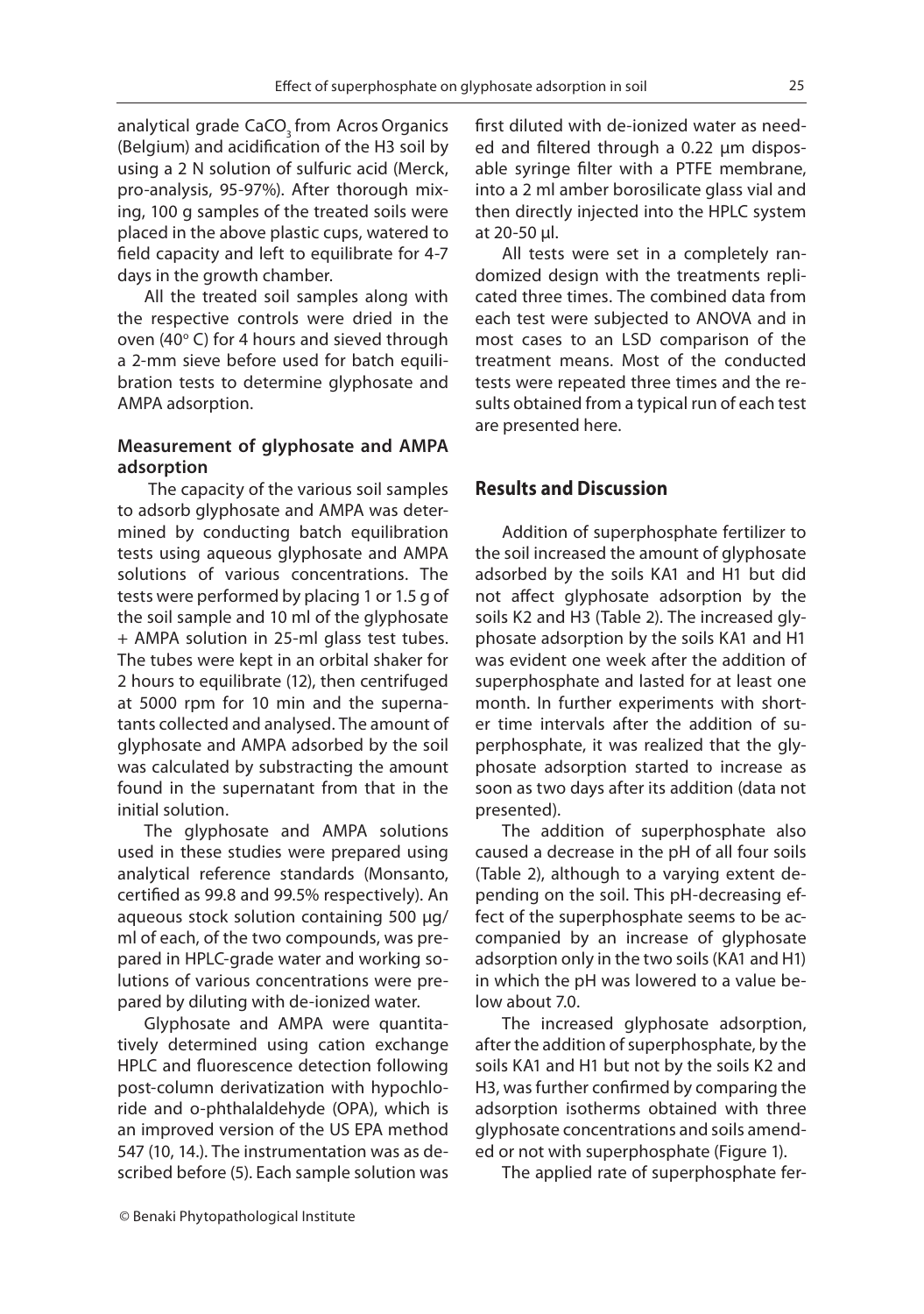analytical grade CaCO<sub>3</sub> from Acros Organics (Belgium) and acidification of the H3 soil by using a 2 N solution of sulfuric acid (Merck, pro-analysis, 95-97%). After thorough mixing, 100 g samples of the treated soils were placed in the above plastic cups, watered to field capacity and left to equilibrate for 4-7 days in the growth chamber.

All the treated soil samples along with the respective controls were dried in the oven (40 $\degree$  C) for 4 hours and sieved through a 2-mm sieve before used for batch equilibration tests to determine glyphosate and AMPA adsorption.

### **Measurement of glyphosate and AMPA adsorption**

 The capacity of the various soil samples to adsorb glyphosate and AMPA was determined by conducting batch equilibration tests using aqueous glyphosate and AMPA solutions of various concentrations. The tests were performed by placing 1 or 1.5 g of the soil sample and 10 ml of the glyphosate + AMPA solution in 25-ml glass test tubes. The tubes were kept in an orbital shaker for 2 hours to equilibrate (12), then centrifuged at 5000 rpm for 10 min and the supernatants collected and analysed. The amount of glyphosate and AMPA adsorbed by the soil was calculated by substracting the amount found in the supernatant from that in the initial solution.

The glyphosate and AMPA solutions used in these studies were prepared using analytical reference standards (Monsanto, certified as 99.8 and 99.5% respectively). An aqueous stock solution containing 500 μg/ ml of each, of the two compounds, was prepared in HPLC-grade water and working solutions of various concentrations were prepared by diluting with de-ionized water.

Glyphosate and AMPA were quantitatively determined using cation exchange HPLC and fluorescence detection following post-column derivatization with hypochloride and o-phthalaldehyde (OPA), which is an improved version of the US EPA method 547 (10, 14.). The instrumentation was as described before (5). Each sample solution was first diluted with de-ionized water as needed and filtered through a 0.22 μm disposable syringe filter with a PTFE membrane, into a 2 ml amber borosilicate glass vial and then directly injected into the HPLC system at 20-50 μl.

All tests were set in a completely randomized design with the treatments replicated three times. The combined data from each test were subjected to ANOVA and in most cases to an LSD comparison of the treatment means. Most of the conducted tests were repeated three times and the results obtained from a typical run of each test are presented here.

### **Results and Discussion**

Addition of superphosphate fertilizer to the soil increased the amount of glyphosate adsorbed by the soils KA1 and H1 but did not affect glyphosate adsorption by the soils K2 and H3 (Table 2). The increased glyphosate adsorption by the soils KA1 and H1 was evident one week after the addition of superphosphate and lasted for at least one month. In further experiments with shorter time intervals after the addition of superphosphate, it was realized that the glyphosate adsorption started to increase as soon as two days after its addition (data not presented).

The addition of superphosphate also caused a decrease in the pH of all four soils (Table 2), although to a varying extent depending on the soil. This pH-decreasing effect of the superphosphate seems to be accompanied by an increase of glyphosate adsorption only in the two soils (KA1 and H1) in which the pH was lowered to a value below about 7.0.

The increased glyphosate adsorption, after the addition of superphosphate, by the soils KA1 and H1 but not by the soils K2 and H3, was further confirmed by comparing the adsorption isotherms obtained with three glyphosate concentrations and soils amended or not with superphosphate (Figure 1).

The applied rate of superphosphate fer-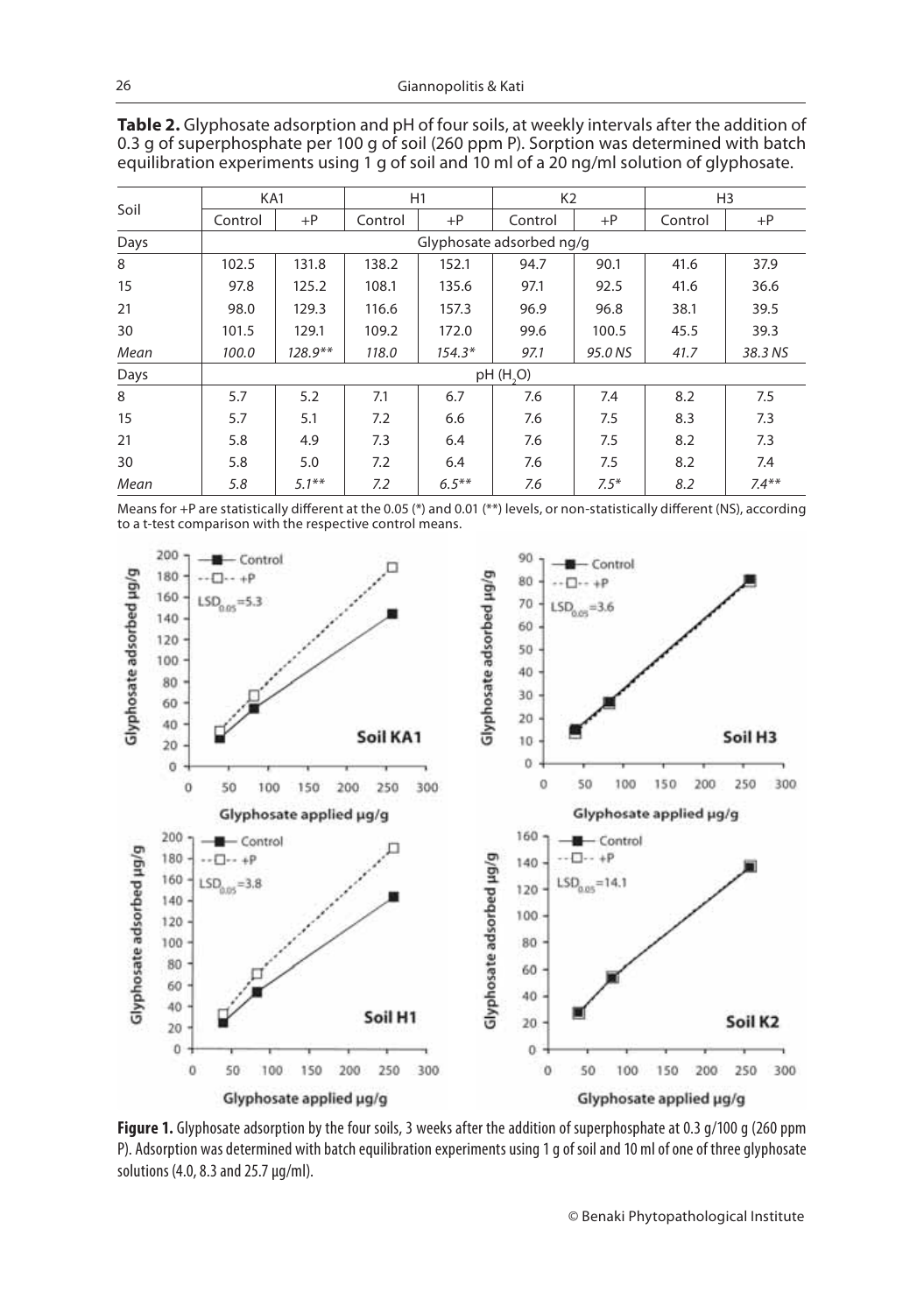| Soil | KA1      |                          | H1      |          | K <sub>2</sub> |         | H <sub>3</sub> |          |
|------|----------|--------------------------|---------|----------|----------------|---------|----------------|----------|
|      | Control  | $+P$                     | Control | $+P$     | Control        | $+P$    | Control        | $+P$     |
| Days |          | Glyphosate adsorbed ng/g |         |          |                |         |                |          |
| 8    | 102.5    | 131.8                    | 138.2   | 152.1    | 94.7           | 90.1    | 41.6           | 37.9     |
| 15   | 97.8     | 125.2                    | 108.1   | 135.6    | 97.1           | 92.5    | 41.6           | 36.6     |
| 21   | 98.0     | 129.3                    | 116.6   | 157.3    | 96.9           | 96.8    | 38.1           | 39.5     |
| 30   | 101.5    | 129.1                    | 109.2   | 172.0    | 99.6           | 100.5   | 45.5           | 39.3     |
| Mean | 100.0    | $128.9**$                | 118.0   | $154.3*$ | 97.1           | 95.0 NS | 41.7           | 38.3 NS  |
| Days | pH(H, O) |                          |         |          |                |         |                |          |
| 8    | 5.7      | 5.2                      | 7.1     | 6.7      | 7.6            | 7.4     | 8.2            | 7.5      |
| 15   | 5.7      | 5.1                      | 7.2     | 6.6      | 7.6            | 7.5     | 8.3            | 7.3      |
| 21   | 5.8      | 4.9                      | 7.3     | 6.4      | 7.6            | 7.5     | 8.2            | 7.3      |
| 30   | 5.8      | 5.0                      | 7.2     | 6.4      | 7.6            | 7.5     | 8.2            | 7.4      |
| Mean | 5.8      | $5.1***$                 | 7.2     | $6.5***$ | 7.6            | $7.5*$  | 8.2            | $7.4***$ |

**Table 2.** Glyphosate adsorption and pH of four soils, at weekly intervals after the addition of 0.3 g of superphosphate per 100 g of soil (260 ppm P). Sorption was determined with batch equilibration experiments using 1 g of soil and 10 ml of a 20 ng/ml solution of glyphosate.

Means for +P are statistically different at the 0.05 (\*) and 0.01 (\*\*) levels, or non-statistically different (NS), according to a t-test comparison with the respective control means.



Figure 1. Glyphosate adsorption by the four soils, 3 weeks after the addition of superphosphate at 0.3 q/100 q (260 ppm P). Adsorption was determined with batch equilibration experiments using 1 g of soil and 10 ml of one of three glyphosate solutions (4.0, 8.3 and 25.7 μg/ml).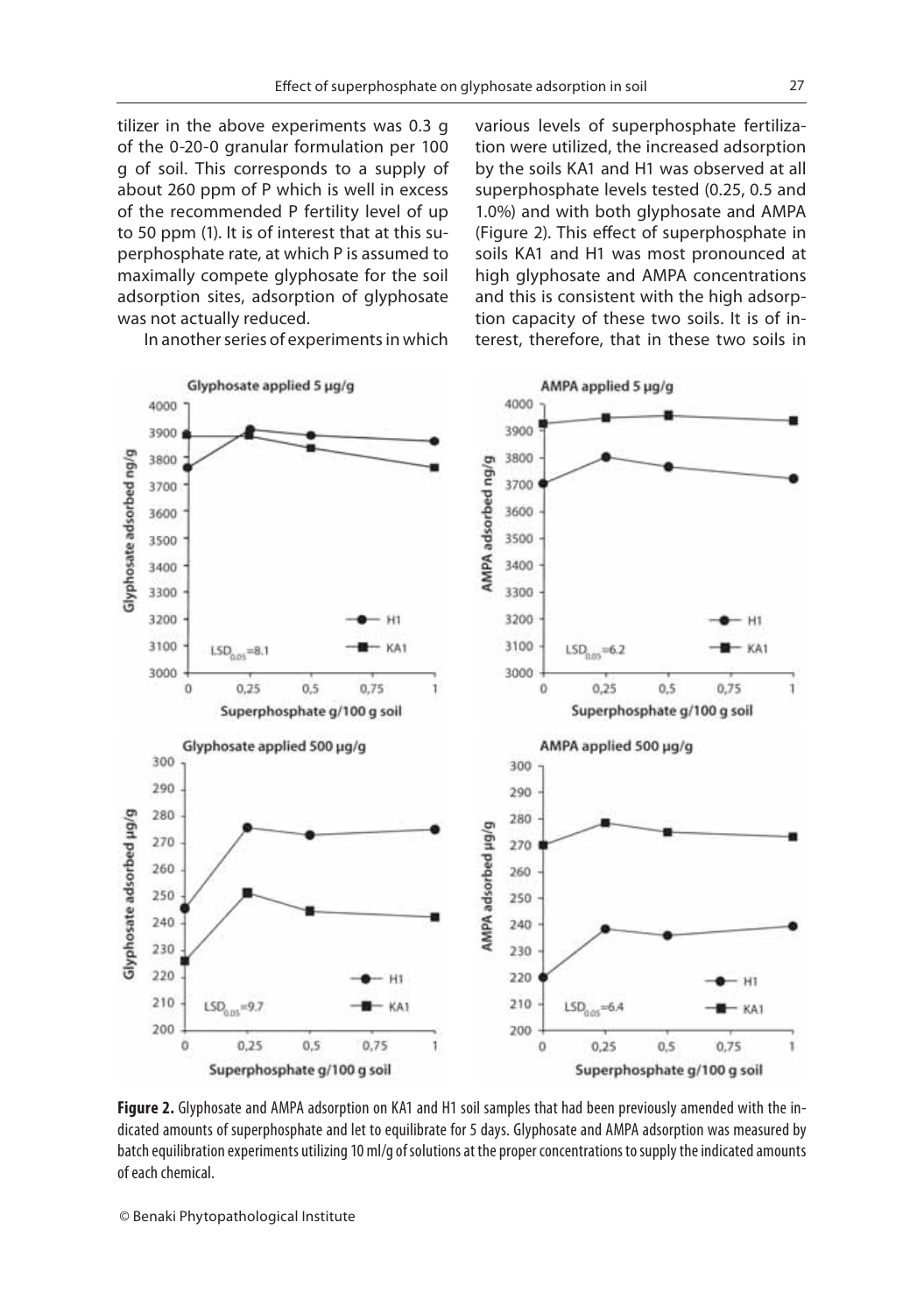tilizer in the above experiments was 0.3 g of the 0-20-0 granular formulation per 100 g of soil. This corresponds to a supply of about 260 ppm of P which is well in excess of the recommended P fertility level of up to 50 ppm (1). It is of interest that at this superphosphate rate, at which P is assumed to maximally compete glyphosate for the soil adsorption sites, adsorption of glyphosate was not actually reduced.

In another series of experiments in which

various levels of superphosphate fertilization were utilized, the increased adsorption by the soils KA1 and H1 was observed at all superphosphate levels tested (0.25, 0.5 and 1.0%) and with both glyphosate and AMPA (Figure 2). This effect of superphosphate in soils KA1 and H1 was most pronounced at high glyphosate and AMPA concentrations and this is consistent with the high adsorption capacity of these two soils. It is of interest, therefore, that in these two soils in



**Figure 2.** Glyphosate and AMPA adsorption on KA1 and H1 soil samples that had been previously amended with the indicated amounts of superphosphate and let to equilibrate for 5 days. Glyphosate and AMPA adsorption was measured by batch equilibration experiments utilizing 10 ml/g of solutions at the proper concentrations to supply the indicated amounts of each chemical.

© Benaki Phytopathological Institute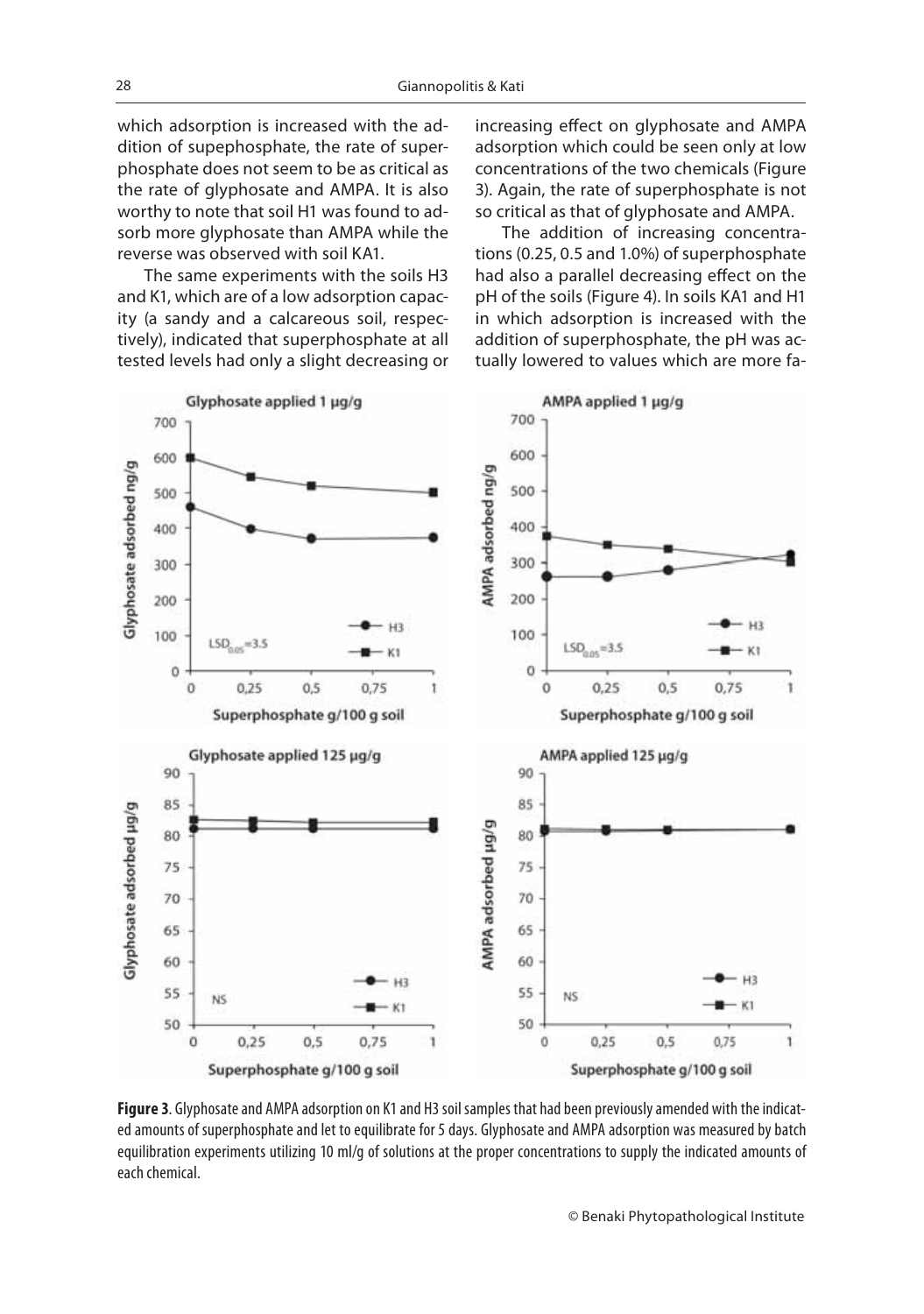which adsorption is increased with the addition of supephosphate, the rate of superphosphate does not seem to be as critical as the rate of glyphosate and AMPA. It is also worthy to note that soil H1 was found to adsorb more glyphosate than AMPA while the reverse was observed with soil KA1.

The same experiments with the soils H3 and K1, which are of a low adsorption capacity (a sandy and a calcareous soil, respectively), indicated that superphosphate at all tested levels had only a slight decreasing or increasing effect on glyphosate and AMPA adsorption which could be seen only at low concentrations of the two chemicals (Figure 3). Again, the rate of superphosphate is not so critical as that of glyphosate and AMPA.

The addition of increasing concentrations (0.25, 0.5 and 1.0%) of superphosphate had also a parallel decreasing effect on the pH of the soils (Figure 4). In soils KA1 and H1 in which adsorption is increased with the addition of superphosphate, the pH was actually lowered to values which are more fa-



**Figure 3**. Glyphosate and AMPA adsorption on K1 and H3 soil samples that had been previously amended with the indicated amounts of superphosphate and let to equilibrate for 5 days. Glyphosate and AMPA adsorption was measured by batch equilibration experiments utilizing 10 ml/g of solutions at the proper concentrations to supply the indicated amounts of each chemical.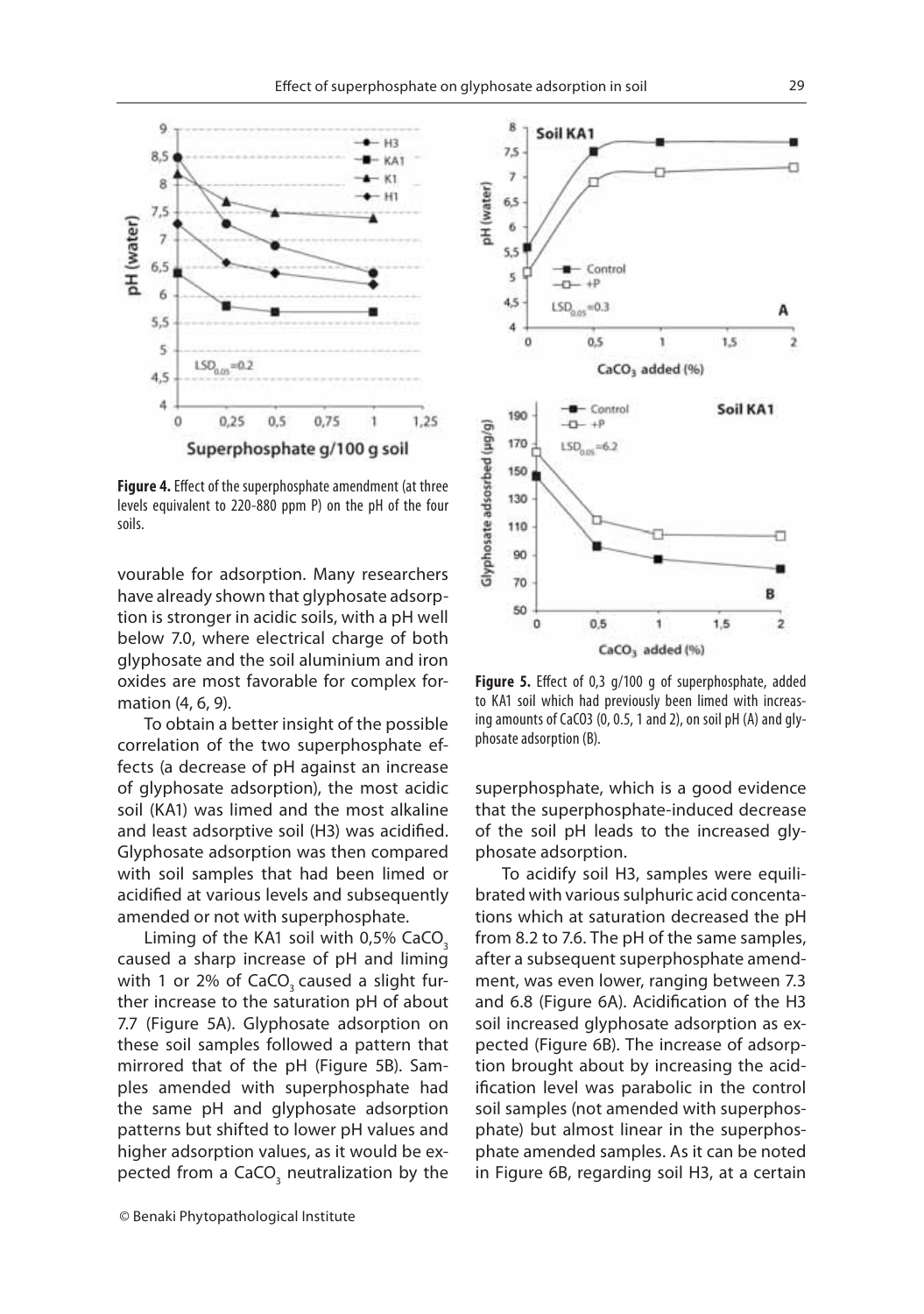8

 $7.5$ 

 $\overline{7}$ 

Soil KA1



**Figure 4.** Effect of the superphosphate amendment (at three<br>levels equivalent to 220-880 ppm P) on the pH of the four soils.

vourable for adsorption. Many researchers have already shown that glyphosate adsorption is stronger in acidic soils, with a pH well below 7.0, where electrical charge of both glyphosate and the soil aluminium and iron oxides are most favorable for complex formation (4, 6, 9).

To obtain a better insight of the possible correlation of the two superphosphate effects (a decrease of pH against an increase of glyphosate adsorption), the most acidic soil (KA1) was limed and the most alkaline and least adsorptive soil (H3) was acidified. Glyphosate adsorption was then compared with soil samples that had been limed or acidified at various levels and subsequently amended or not with superphosphate.

Liming of the KA1 soil with  $0.5\%$  CaCO<sub>3</sub> caused a sharp increase of pH and liming with 1 or 2% of CaCO<sub>2</sub> caused a slight further increase to the saturation pH of about 7.7 (Figure 5A). Glyphosate adsorption on these soil samples followed a pattern that mirrored that of the pH (Figure 5B). Samples amended with superphosphate had the same pH and glyphosate adsorption patterns but shifted to lower pH values and higher adsorption values, as it would be expected from a CaCO<sub>3</sub> neutralization by the



**Figure 5.** Effect of 0,3 g/100 g of superphosphate, added to KA1 soil which had previously been limed with increasing amounts of CaCO3 (0, 0.5, 1 and 2), on soil pH (A) and glyphosate adsorption (B).

superphosphate, which is a good evidence that the superphosphate-induced decrease of the soil pH leads to the increased glyphosate adsorption.

To acidify soil H3, samples were equilibrated with various sulphuric acid concentations which at saturation decreased the pH from 8.2 to 7.6. The pH of the same samples, after a subsequent superphosphate amendment, was even lower, ranging between 7.3 and 6.8 (Figure 6A). Acidification of the H3 soil increased glyphosate adsorption as expected (Figure 6B). The increase of adsorption brought about by increasing the acidification level was parabolic in the control soil samples (not amended with superphosphate) but almost linear in the superphosphate amended samples. As it can be noted in Figure 6B, regarding soil H3, at a certain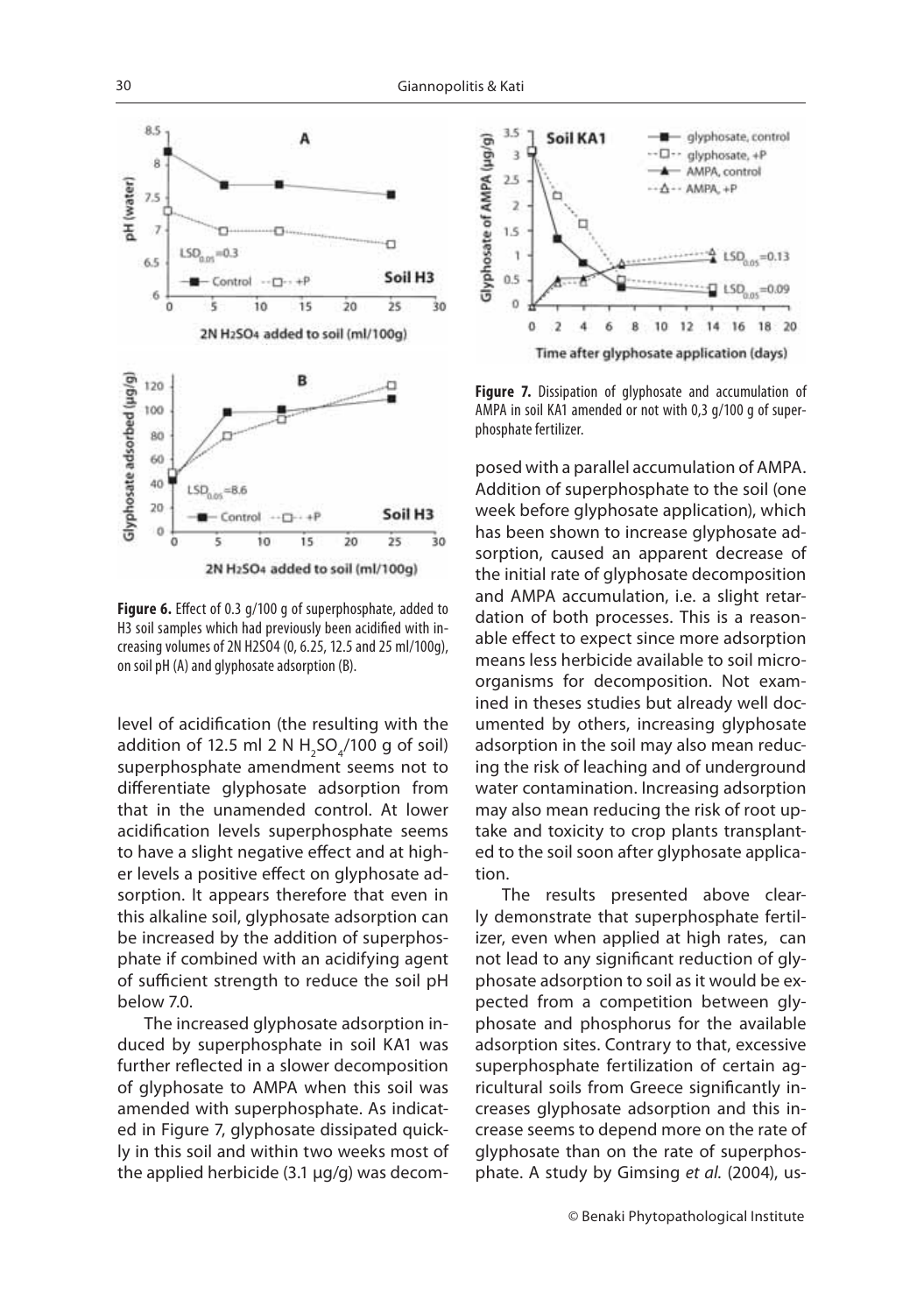

**Figure 6.** Effect of 0.3 g/100 g of superphosphate, added to<br>H3 soil samples which had previously been acidified with increasing volumes of 2N H2SO4 (0, 6.25, 12.5 and 25 ml/100g), on soil pH (A) and glyphosate adsorption (B).

level of acidification (the resulting with the addition of 12.5 ml 2 N  $H_2$ SO $_4$ /100 g of soil) superphosphate amendment seems not to differentiate glyphosate adsorption from that in the unamended control. At lower acidification levels superphosphate seems to have a slight negative effect and at higher levels a positive effect on glyphosate adsorption. It appears therefore that even in this alkaline soil, glyphosate adsorption can be increased by the addition of superphosphate if combined with an acidifying agent of sufficient strength to reduce the soil pH below 7.0.

The increased glyphosate adsorption induced by superphosphate in soil KA1 was further reflected in a slower decomposition of glyphosate to AMPA when this soil was amended with superphosphate. As indicated in Figure 7, glyphosate dissipated quickly in this soil and within two weeks most of the applied herbicide (3.1 μg/g) was decom-



**Figure 7.** Dissipation of glyphosate and accumulation of AMPA in soil KA1 amended or not with 0,3 g/100 g of superphosphate fertilizer.

posed with a parallel accumulation of AMPA. Addition of superphosphate to the soil (one week before glyphosate application), which has been shown to increase glyphosate adsorption, caused an apparent decrease of the initial rate of glyphosate decomposition and AMPA accumulation, i.e. a slight retardation of both processes. This is a reasonable effect to expect since more adsorption means less herbicide available to soil microorganisms for decomposition. Not examined in theses studies but already well documented by others, increasing glyphosate adsorption in the soil may also mean reducing the risk of leaching and of underground water contamination. Increasing adsorption may also mean reducing the risk of root uptake and toxicity to crop plants transplanted to the soil soon after glyphosate application.

The results presented above clearly demonstrate that superphosphate fertilizer, even when applied at high rates, can not lead to any significant reduction of glyphosate adsorption to soil as it would be expected from a competition between glyphosate and phosphorus for the available adsorption sites. Contrary to that, excessive superphosphate fertilization of certain agricultural soils from Greece significantly increases glyphosate adsorption and this increase seems to depend more on the rate of glyphosate than on the rate of superphosphate. A study by Gimsing et al. (2004), us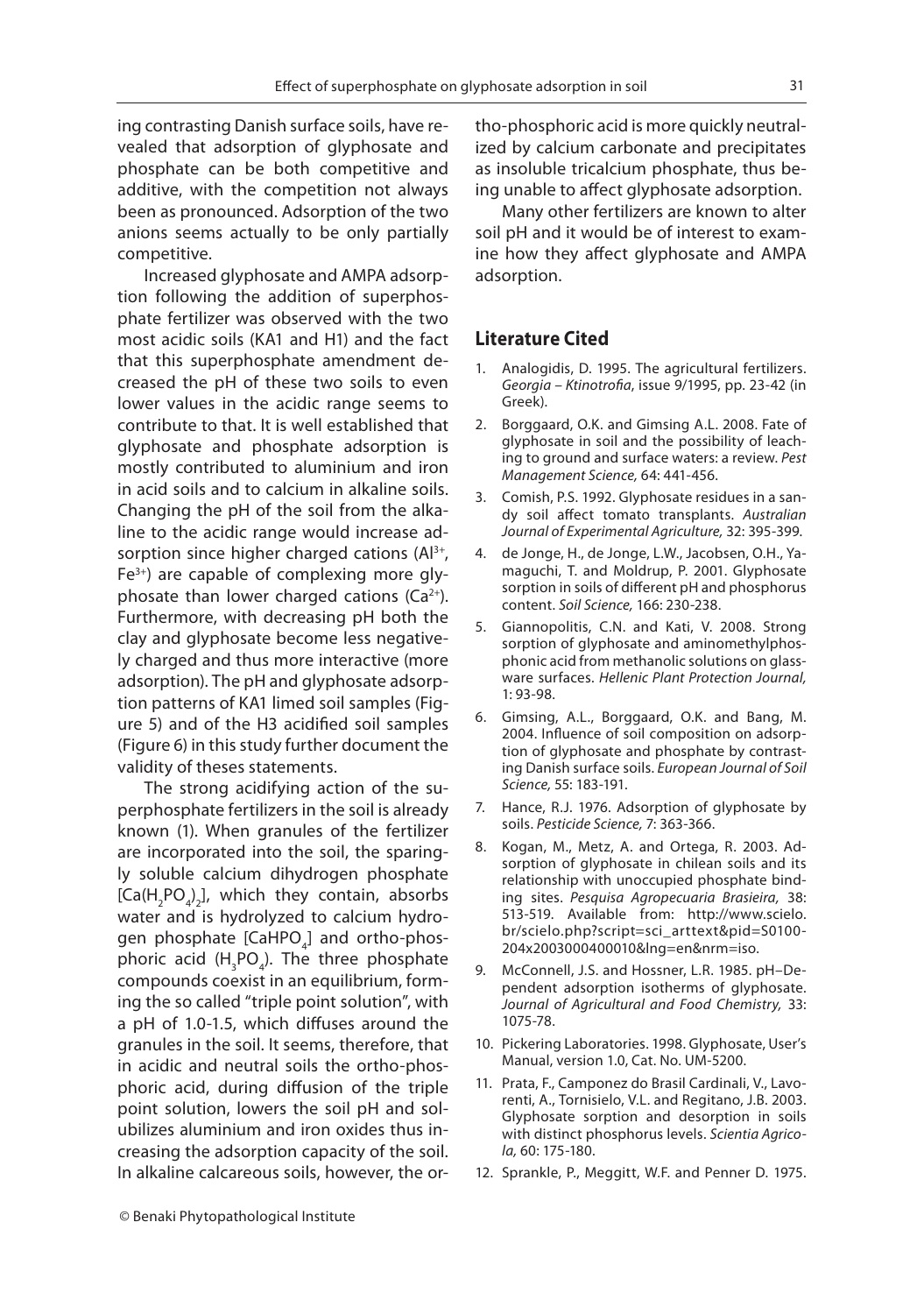ing contrasting Danish surface soils, have revealed that adsorption of glyphosate and phosphate can be both competitive and additive, with the competition not always been as pronounced. Adsorption of the two anions seems actually to be only partially competitive.

Increased glyphosate and AMPA adsorption following the addition of superphosphate fertilizer was observed with the two most acidic soils (KA1 and H1) and the fact that this superphosphate amendment decreased the pH of these two soils to even lower values in the acidic range seems to contribute to that. It is well established that glyphosate and phosphate adsorption is mostly contributed to aluminium and iron in acid soils and to calcium in alkaline soils. Changing the pH of the soil from the alkaline to the acidic range would increase adsorption since higher charged cations  $(A]^{3+}$ , Fe3+) are capable of complexing more glyphosate than lower charged cations  $(Ca^{2+})$ . Furthermore, with decreasing pH both the clay and glyphosate become less negatively charged and thus more interactive (more adsorption). The pH and glyphosate adsorption patterns of KA1 limed soil samples (Figure 5) and of the H3 acidified soil samples (Figure 6) in this study further document the validity of theses statements.

The strong acidifying action of the superphosphate fertilizers in the soil is already known (1). When granules of the fertilizer are incorporated into the soil, the sparingly soluble calcium dihydrogen phosphate  $[Ca(H<sub>2</sub>PO<sub>4</sub>)<sub>2</sub>]$ , which they contain, absorbs water and is hydrolyzed to calcium hydrogen phosphate [CaHPO $_{\scriptscriptstyle 4}$ ] and ortho-phosphoric acid  $(H_{\frac{1}{3}}PO_{\frac{1}{4}})$ . The three phosphate compounds coexist in an equilibrium, forming the so called "triple point solution", with a pH of 1.0-1.5, which diffuses around the granules in the soil. It seems, therefore, that in acidic and neutral soils the ortho-phosphoric acid, during diffusion of the triple point solution, lowers the soil pH and solubilizes aluminium and iron oxides thus increasing the adsorption capacity of the soil. In alkaline calcareous soils, however, the ortho-phosphoric acid is more quickly neutralized by calcium carbonate and precipitates as insoluble tricalcium phosphate, thus being unable to affect glyphosate adsorption.

Many other fertilizers are known to alter soil pH and it would be of interest to examine how they affect glyphosate and AMPA adsorption.

### **Literature Cited**

- 1. Analogidis, D. 1995. The agricultural fertilizers. Georgia – Ktinotrofia, issue 9/1995, pp. 23-42 (in Greek).
- 2. Borggaard, O.K. and Gimsing A.L. 2008. Fate of glyphosate in soil and the possibility of leaching to ground and surface waters: a review. Pest Management Science, 64: 441-456.
- 3. Comish, P.S. 1992. Glyphosate residues in a sandy soil affect tomato transplants. Australian Journal of Experimental Agriculture, 32: 395-399.
- 4. de Jonge, H., de Jonge, L.W., Jacobsen, O.H., Yamaguchi, T. and Moldrup, P. 2001. Glyphosate sorption in soils of different pH and phosphorus content. Soil Science, 166: 230-238.
- 5. Giannopolitis, C.N. and Kati, V. 2008. Strong sorption of glyphosate and aminomethylphosphonic acid from methanolic solutions on glassware surfaces. Hellenic Plant Protection Journal, 1: 93-98.
- 6. Gimsing, A.L., Borggaard, O.K. and Bang, M. 2004. Influence of soil composition on adsorption of glyphosate and phosphate by contrasting Danish surface soils. European Journal of Soil Science, 55: 183-191.
- 7. Hance, R.J. 1976. Adsorption of glyphosate by soils. Pesticide Science, 7: 363-366.
- 8. Kogan, M., Metz, A. and Ortega, R. 2003. Adsorption of glyphosate in chilean soils and its relationship with unoccupied phosphate binding sites. Pesquisa Agropecuaria Brasieira, 38: 513-519. Available from: http://www.scielo. br/scielo.php?script=sci\_arttext&pid=S0100- 204x2003000400010&lng=en&nrm=iso.
- 9. McConnell, J.S. and Hossner, L.R. 1985. pH–Dependent adsorption isotherms of glyphosate. Journal of Agricultural and Food Chemistry, 33: 1075-78.
- 10. Pickering Laboratories. 1998. Glyphosate, User's Manual, version 1.0, Cat. No. UM-5200.
- 11. Prata, F., Camponez do Brasil Cardinali, V., Lavorenti, A., Tornisielo, V.L. and Regitano, J.B. 2003. Glyphosate sorption and desorption in soils with distinct phosphorus levels. Scientia Agricola, 60: 175-180.
- 12. Sprankle, P., Meggitt, W.F. and Penner D. 1975.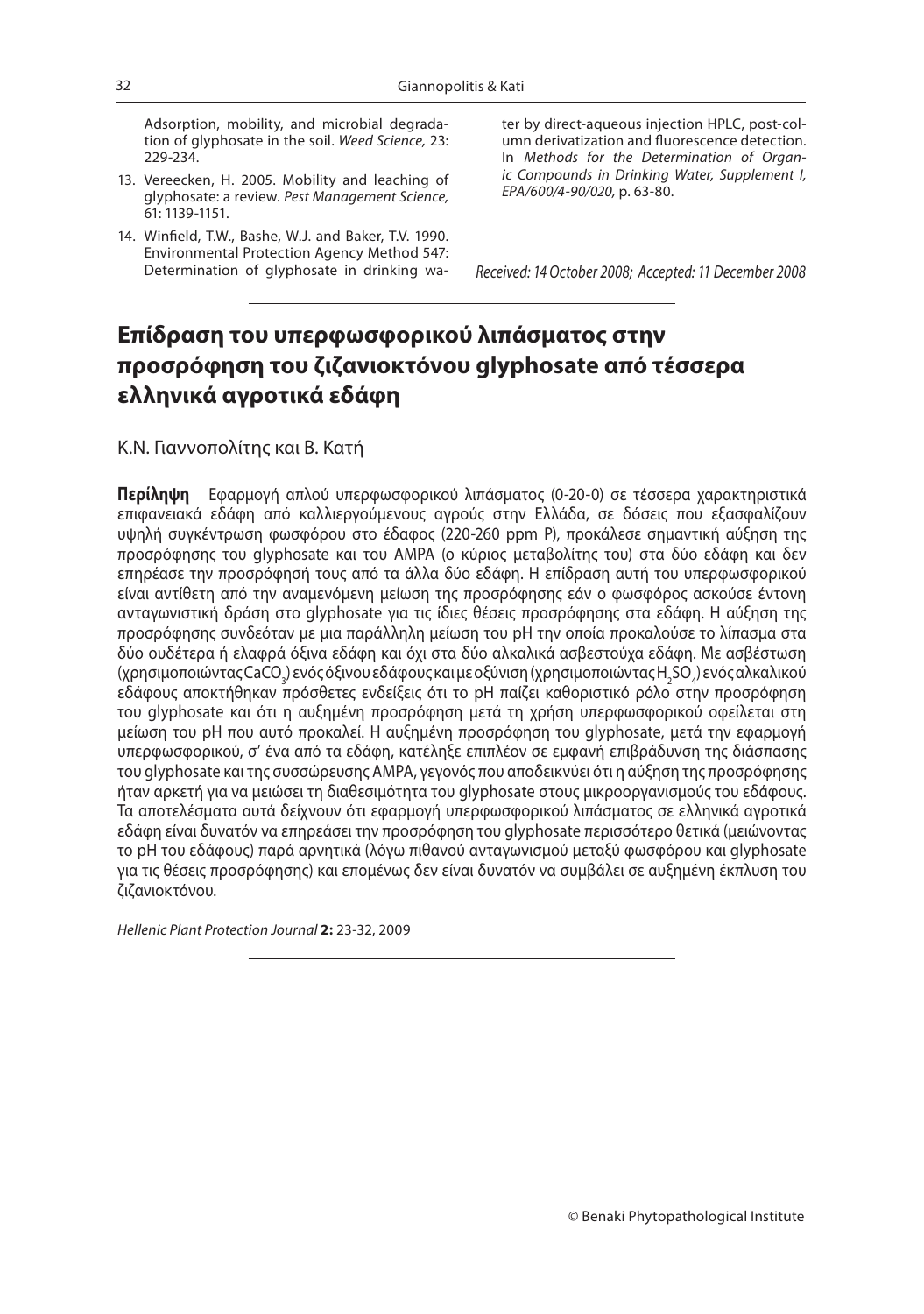Adsorption, mobility, and microbial degradation of glyphosate in the soil. Weed Science, 23: 229-234.

- 13. Vereecken, H. 2005. Mobility and leaching of glyphosate: a review. Pest Management Science, 61: 1139-1151.
- 14. Winfield, T.W., Bashe, W.J. and Baker, T.V. 1990. Environmental Protection Agency Method 547: Determination of glyphosate in drinking wa-

ter by direct-aqueous injection HPLC, post-column derivatization and fluorescence detection. In Methods for the Determination of Organic Compounds in Drinking Water, Supplement I, EPA/600/4-90/020, p. 63-80.

Received: 14 October 2008; Accepted: 11 December 2008

### **Επίδραση τoυ υπερφωσφορικού λιπάσματος στην προσρόφηση του ζιζανιοκτόνου glyphosate από τέσσερα ελληνικά αγροτικά εδάφη**

Κ.Ν. Γιαννοπολίτης και Β. Κατή

**Περίληψη** Εφαρμογή απλού υπερφωσφορικού λιπάσματος (0-20-0) σε τέσσερα χαρακτηριστικά επιφανειακά εδάφη από καλλιεργούμενους αγρούς στην Ελλάδα, σε δόσεις που εξασφαλίζουν υψηλή συγκέντρωση φωσφόρου στο έδαφος (220-260 ppm P), προκάλεσε σημαντική αύξηση της προσρόφησης του glyphosate και του AMPA (ο κύριος μεταβολίτης του) στα δύο εδάφη και δεν επηρέασε την προσρόφησή τους από τα άλλα δύο εδάφη. Η επίδραση αυτή του υπερφωσφορικού είναι αντίθετη από την αναμενόμενη μείωση της προσρόφησης εάν ο φωσφόρος ασκούσε έντονη ανταγωνιστική δράση στο glyphosate για τις ίδιες θέσεις προσρόφησης στα εδάφη. Η αύξηση της προσρόφησης συνδεόταν με μια παράλληλη μείωση του pH την οποία προκαλούσε το λίπασμα στα δύο ουδέτερα ή ελαφρά όξινα εδάφη και όχι στα δύο αλκαλικά ασβεστούχα εδάφη. Με ασβέστωση (χρησιμοποιώντας CaCO<sub>3</sub>) ενός όξινου εδάφους και με οξύνιση (χρησιμοποιώντας H<sub>2</sub>SO<sub>4</sub>) ενός αλκαλικού εδάφους αποκτήθηκαν πρόσθετες ενδείξεις ότι το pH παίζει καθοριστικό ρόλο στην προσρόφηση του glyphosate και ότι η αυξημένη προσρόφηση μετά τη χρήση υπερφωσφορικού οφείλεται στη μείωση του pH που αυτό προκαλεί. Η αυξημένη προσρόφηση του glyphosate, μετά την εφαρμογή υπερφωσφορικού, σ' ένα από τα εδάφη, κατέληξε επιπλέον σε εμφανή επιβράδυνση της διάσπασης του glyphosate και της συσσώρευσης AMPA, γεγονός που αποδεικνύει ότι η αύξηση της προσρόφησης ήταν αρκετή για να μειώσει τη διαθεσιμότητα του glyphosate στους μικροοργανισμούς του εδάφους. Τα αποτελέσματα αυτά δείχνουν ότι εφαρμογή υπερφωσφορικού λιπάσματος σε ελληνικά αγροτικά εδάφη είναι δυνατόν να επηρεάσει την προσρόφηση του glyphosate περισσότερο θετικά (μειώνοντας το pH του εδάφους) παρά αρνητικά (λόγω πιθανού ανταγωνισμού μεταξύ φωσφόρου και glyphosate για τις θέσεις προσρόφησης) και επομένως δεν είναι δυνατόν να συμβάλει σε αυξημένη έκπλυση του ζιζανιοκτόνου.

Hellenic Plant Protection Journal **2:** 23-32, 2009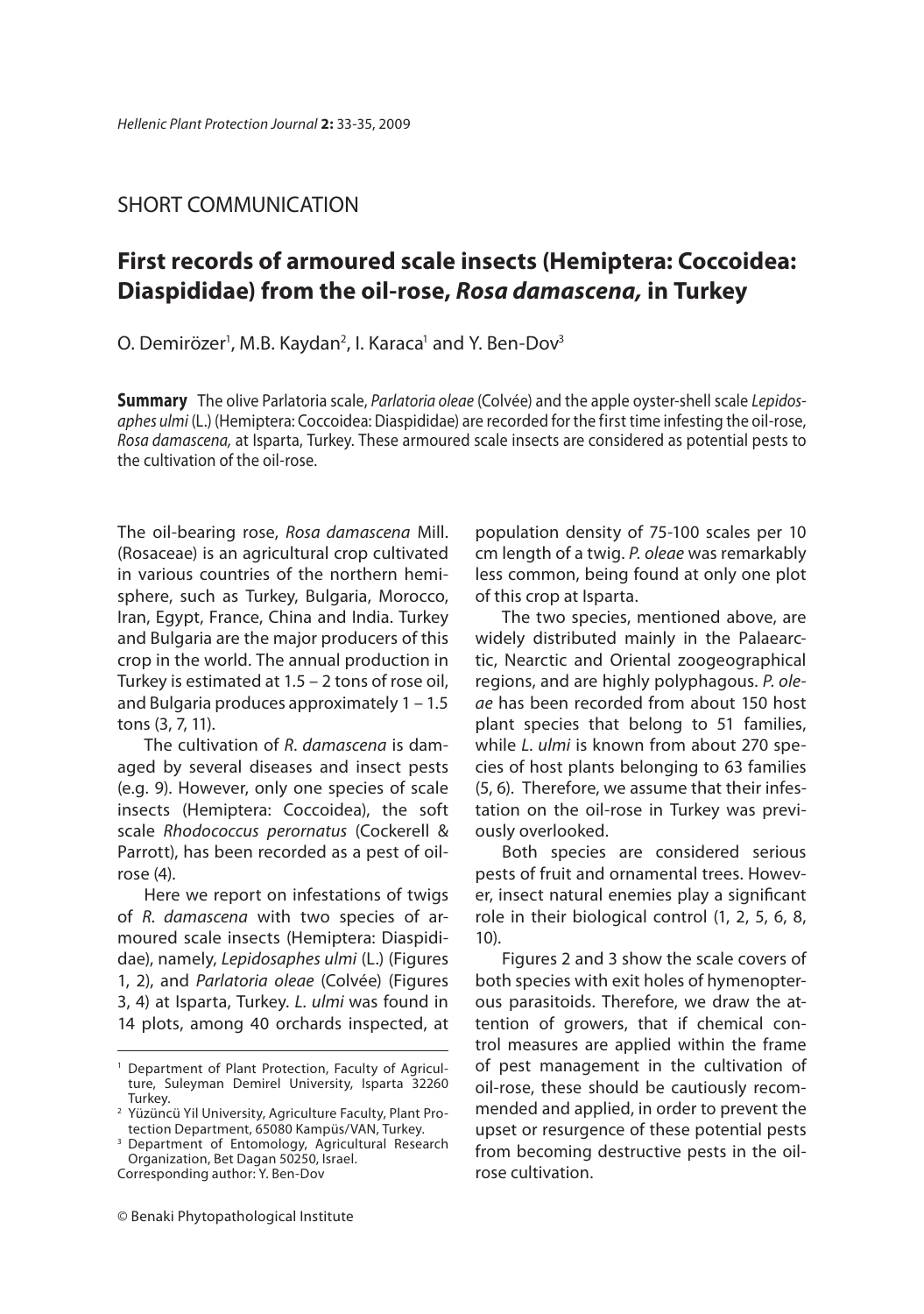### SHORT COMMUNICATION

# **First records of armoured scale insects (Hemiptera: Coccoidea: Diaspididae) from the oil-rose,** *Rosa damascena,* **in Turkey**

O. Demirözer<sup>1</sup>, M.B. Kaydan<sup>2</sup>, I. Karaca<sup>1</sup> and Y. Ben-Dov<sup>3</sup>

**Summary** The olive Parlatoria scale, *Parlatoria oleae* (Colvée) and the apple oyster-shell scale *Lepidosaphes ulmi* (L.) (Hemiptera: Coccoidea: Diaspididae) are recorded for the first time infesting the oil-rose,<br>Rosa damascena, at Isparta, Turkey, These armoured scale insects are considered as potential pests to *Rosa damascena,* at Isparta, Turkey. These armoured scale insects are considered as potential pests to the cultivation of the oil-rose.

The oil-bearing rose, *Rosa damascena* Mill. (Rosaceae) is an agricultural crop cultivated in various countries of the northern hemisphere, such as Turkey, Bulgaria, Morocco, Iran, Egypt, France, China and India. Turkey and Bulgaria are the major producers of this crop in the world. The annual production in Turkey is estimated at 1.5 – 2 tons of rose oil, and Bulgaria produces approximately 1 – 1.5 tons (3, 7, 11).

The cultivation of *R. damascena* is dam-aged by several diseases and insect pests (e.g. 9). However, only one species of scale insects (Hemiptera: Coccoidea), the soft scale *Rhodococcus perornatus* (Cockerell & Parrott), has been recorded as a pest of oilrose (4).

Here we report on infestations of twigs of *R. damascena* with two species of armoured scale insects (Hemiptera: Diaspididae), namely, *Lepidosaphes ulmi* (L.) (Figures 1, 2), and *Parlatoria oleae* (Colvée) (Figures 3, 4) at Isparta, Turkey. *L. ulmi* was found in 14 plots, among 40 orchards inspected, at population density of 75-100 scales per 10 cm length of a twig. *P. oleae* was remarkably less common, being found at only one plot of this crop at Isparta.

The two species, mentioned above, are widely distributed mainly in the Palaearctic, Nearctic and Oriental zoogeographical regions, and are highly polyphagous. *P. oleae* has been recorded from about 150 host plant species that belong to 51 families, while *L. ulmi* is known from about 270 species of host plants belonging to 63 families (5, 6). Therefore, we assume that their infestation on the oil-rose in Turkey was previously overlooked.

Both species are considered serious pests of fruit and ornamental trees. However, insect natural enemies play a significant role in their biological control (1, 2, 5, 6, 8, 10).

Figures 2 and 3 show the scale covers of both species with exit holes of hymenopterous parasitoids. Therefore, we draw the attention of growers, that if chemical control measures are applied within the frame of pest management in the cultivation of oil-rose, these should be cautiously recommended and applied, in order to prevent the upset or resurgence of these potential pests from becoming destructive pests in the oilrose cultivation.

Department of Plant Protection, Faculty of Agriculture, Suleyman Demirel University, Isparta 32260 Turkey.

<sup>2</sup> Yüzüncü Yil University, Agriculture Faculty, Plant Protection Department, 65080 Kampüs/VAN, Turkey.

<sup>&</sup>lt;sup>3</sup> Department of Entomology, Agricultural Research Organization, Bet Dagan 50250, Israel.

Corresponding author: Y. Ben-Dov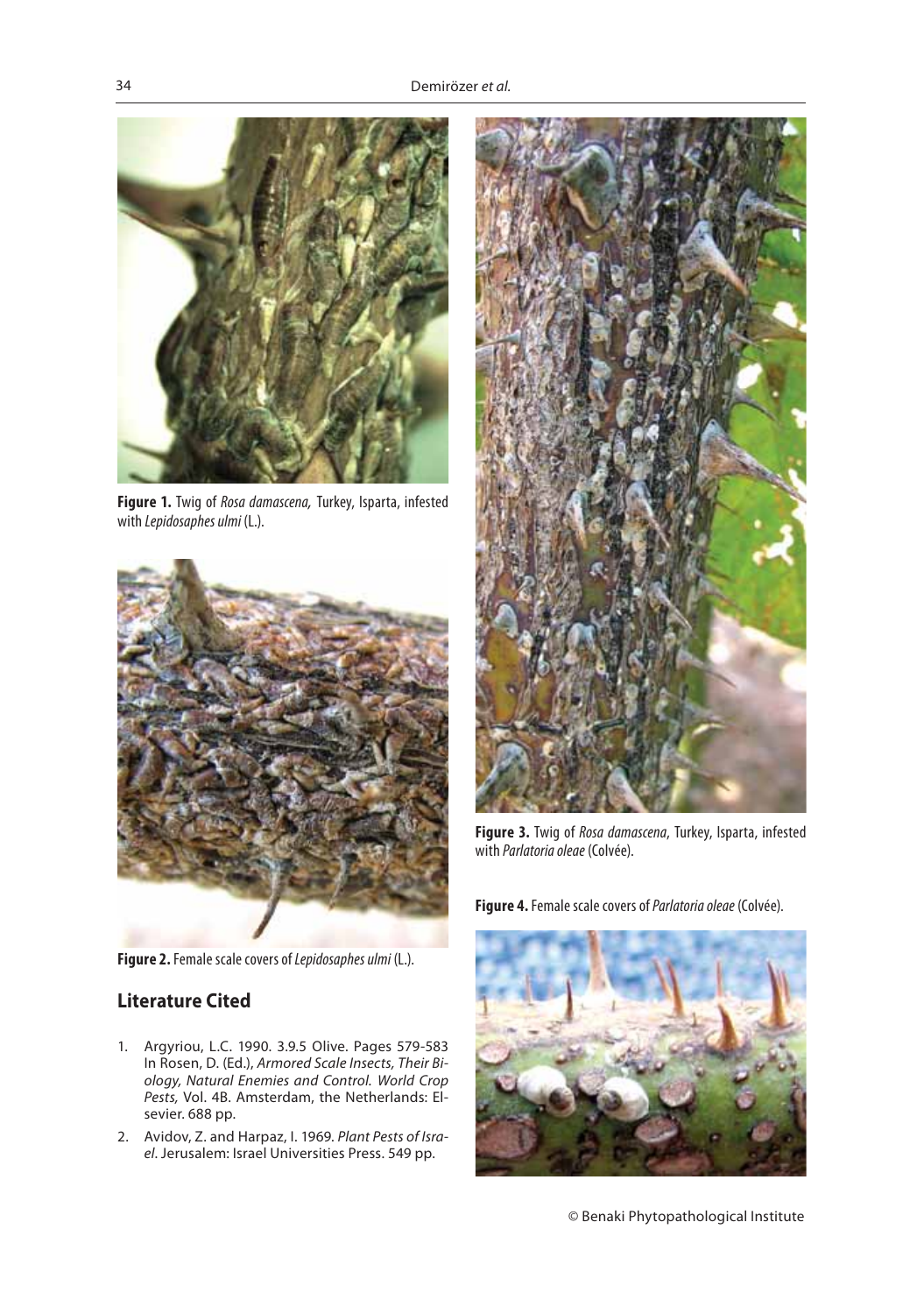

**Figure 1.** Twig of *Rosa damascena,* Turkey, Isparta, infested with *Lepidosaphes ulmi* (L.).



**Figure 2.** Female scale covers of *Lepidosaphes ulmi* (L.).

### **Literature Cited**

- 1. Argyriou, L.C. 1990. 3.9.5 Olive. Pages 579-583<br>In Rosen, D. (Ed.), Armored Scale Insects, Their Biology, Natural Enemies and Control. World Crop *ology, Natural Enemies and Control. World Crop Pests,* Vol. 4B. Amsterdam, the Netherlands: Elsevier. 688 pp.
- 2. Avidov, Z. and Harpaz, I. 1969. *Plant Pests of Israel*. Jerusalem: Israel Universities Press. 549 pp.



**Figure 3.** Twig of *Rosa damascena*, Turkey, Isparta, infested with *Parlatoria oleae* (Colvée).

**Figure 4.** Female scale covers of *Parlatoria oleae* (Colvée).



© Benaki Phytopathological Institute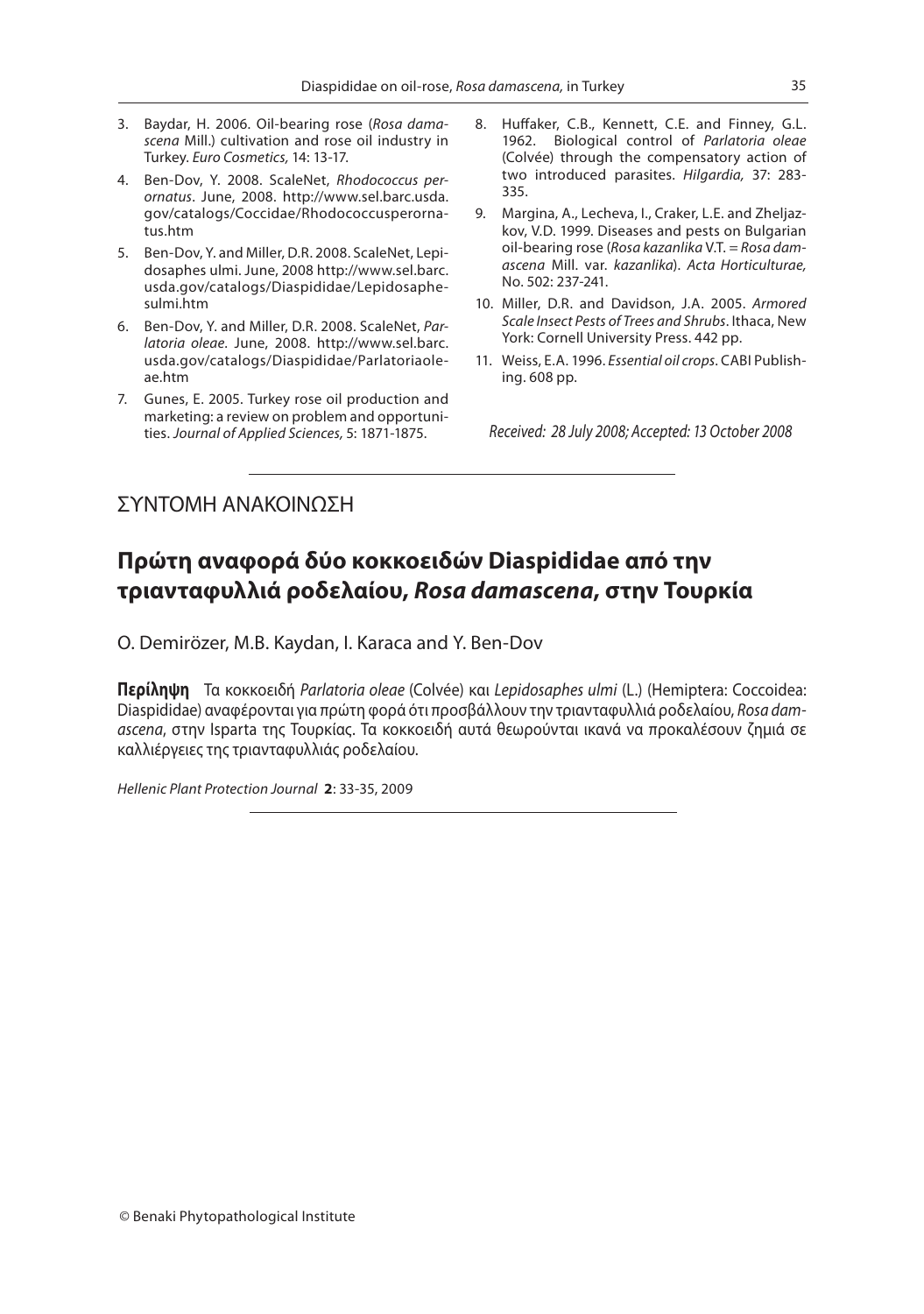- 3. Baydar, H. 2006. Oil-bearing rose (*Rosa damascena* Mill.) cultivation and rose oil industry in Turkey. *Euro Cosmetics,* 14: 13-17.
- ornatus. June, 2008. http://www.sel.barc.usda. *ornatus.* June, 2008. http://www.sel.barc.usda.<br>gov/catalogs/Coccidae/Rhodococcusperornatus.htm
- 5. Ben-Dov, Y. and Miller, D.R. 2008. ScaleNet, Lepidosaphes ulmi. June, 2008 http://www.sel.barc. usda.gov/catalogs/Diaspididae/Lepidosaphesulmi.htm
- 6. Ben-Dov, Y. and Miller, D.R. 2008. ScaleNet, *Parlatoria oleae*. June, 2008. http://www.sel.barc. usda.gov/catalogs/Diaspididae/Parlatoriaoleae.htm
- 7. Gunes, E. 2005. Turkey rose oil production and marketing: a review on problem and opportunities. *Journal of Applied Sciences,* 5: 1871-1875.
- 8. Huffaker, C.B., Kennett, C.E. and Finney, G.L.<br>1962. Biological control of *Parlatoria olege* 1962. Biological control of *Parlatoria oleae* (Colvée) through the compensatory action of two introduced parasites. *Hilgardia,* 37: 283- 335.
- 9. Margina, A., Lecheva, I., Craker, L.E. and Zheljazkov, V.D. 1999. Diseases and pests on Bulgarian oil-bearing rose (Rosa kazanlika V.T. = Rosa damoil-bearing rose (*Rosa kazanlika* V.T. = *Rosa damascena* Mill. var. *kazanlika*). *Acta Horticulturae,* No. 502: 237-241.
- 10. Miller, D.R. and Davidson, J.A. 2005. *Armored Scale Insect Pests of Trees and Shrubs*. Ithaca, New York: Cornell University Press. 442 pp.
- 11. Weiss, E.A. 1996. *Essential oil crops*. CABI Publishing. 608 pp.

*Received: 28 July 2008; Accepted: 13 October 2008*

### ΣΥΝΤΟΜΗ ΑΝΑΚΟΙΝΩΣΗ

# **-**<br>τριανταφυλλιά ροδελαίου, *Rosa damascena*, στην Τουρκία

O. Demirözer, M.B. Kaydan, I. Karaca and Y. Ben-Dov

**Περίληψη** Τα κοκκοειδή *Parlatoria oleae* (Colvée) και *Lepidosaphes ulmi* (L.) (Hemiptera: Coccoidea: Diaspididae) αναφέρονται για πρώτη φορά ότι προσβάλλουν την τριανταφυλλιά ροδελαίου, *Rosa damascena*, στην Isparta της Τουρκίας. Τα κοκκοειδή αυτά θεωρούνται ικανά να προκαλέσουν ζημιά σε καλλιέργειες της τριανταφυλλιάς ροδελαίου.

*Hellenic Plant Protection Journal* **2**: 33-35, 2009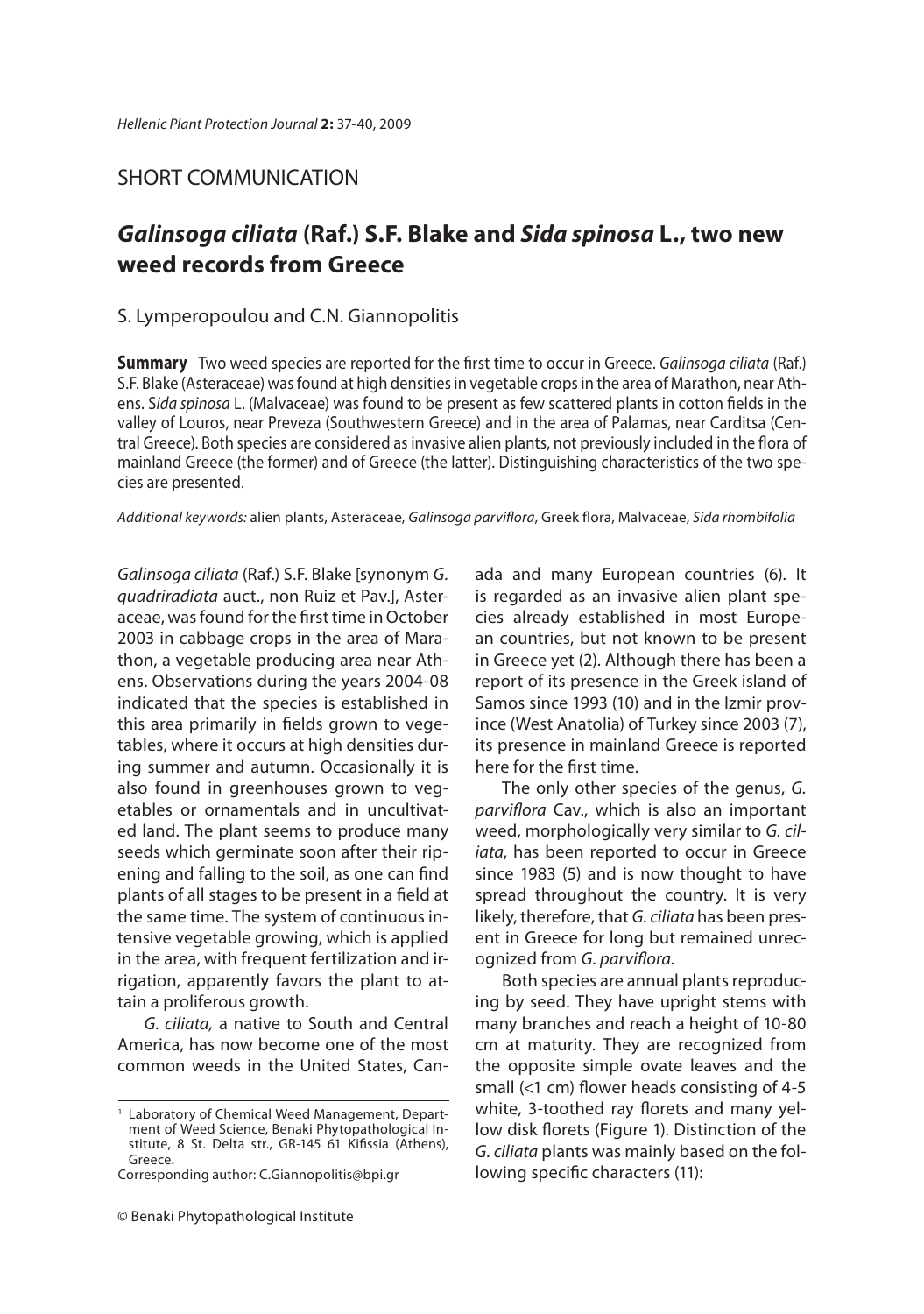### SHORT COMMUNICATION

# *Galinsoga ciliata* **(Raf.) S.F. Blake and** *Sida spinosa* **L., two new**

### S. Lymperopoulou and C.N. Giannopolitis

**Summary** Two weed species are reported for the first time to occur in Greece. Galinsoga ciliata (Raf.) S.F. Blake (Asteraceae) was found at high densities in vegetable crops in the area of Marathon, near Athens. Sida spinosa L. (Malvaceae) was found to be present as few scattered plants in cotton fields in the valley of Louros, near Preveza (Southwestern Greece) and in the area of Palamas, near Carditsa (Central Greece). Both species are considered as invasive alien plants, not previously included in the flora of mainland Greece (the former) and of Greece (the latter). Distinguishing characteristics of the two species are presented.

Additional keywords: alien plants, Asteraceae, Galinsoga parviflora, Greek flora, Malvaceae, Sida rhombifolia

Galinsoga ciliata (Raf.) S.F. Blake [synonym G. quadriradiata auct., non Ruiz et Pav.], Asteraceae, was found for the first time in October 2003 in cabbage crops in the area of Marathon, a vegetable producing area near Athens. Observations during the years 2004-08 indicated that the species is established in this area primarily in fields grown to vegetables, where it occurs at high densities during summer and autumn. Occasionally it is also found in greenhouses grown to vegetables or ornamentals and in uncultivated land. The plant seems to produce many seeds which germinate soon after their ripening and falling to the soil, as one can find plants of all stages to be present in a field at the same time. The system of continuous intensive vegetable growing, which is applied in the area, with frequent fertilization and irrigation, apparently favors the plant to attain a proliferous growth.

G. ciliata, a native to South and Central America, has now become one of the most common weeds in the United States, Canada and many European countries (6). It is regarded as an invasive alien plant species already established in most European countries, but not known to be present in Greece yet (2). Although there has been a report of its presence in the Greek island of Samos since 1993 (10) and in the Izmir province (West Anatolia) of Turkey since 2003 (7), its presence in mainland Greece is reported here for the first time.

The only other species of the genus, G. parviflora Cav., which is also an important weed, morphologically very similar to G. ciliata, has been reported to occur in Greece since 1983 (5) and is now thought to have spread throughout the country. It is very likely, therefore, that G. ciliata has been present in Greece for long but remained unrecognized from G. parviflora.

Both species are annual plants reproducing by seed. They have upright stems with many branches and reach a height of 10-80 cm at maturity. They are recognized from the opposite simple ovate leaves and the small  $($  <math>1 \text{ cm}</math>) flower heads consisting of 4-5 white, 3-toothed ray florets and many yellow disk florets (Figure 1). Distinction of the G. ciliata plants was mainly based on the following specific characters (11):

<sup>1</sup> Laboratory of Chemical Weed Management, Department of Weed Science, Benaki Phytopathological Institute, 8 St. Delta str., GR-145 61 Kifissia (Athens), Greece.

Corresponding author: C.Giannopolitis@bpi.gr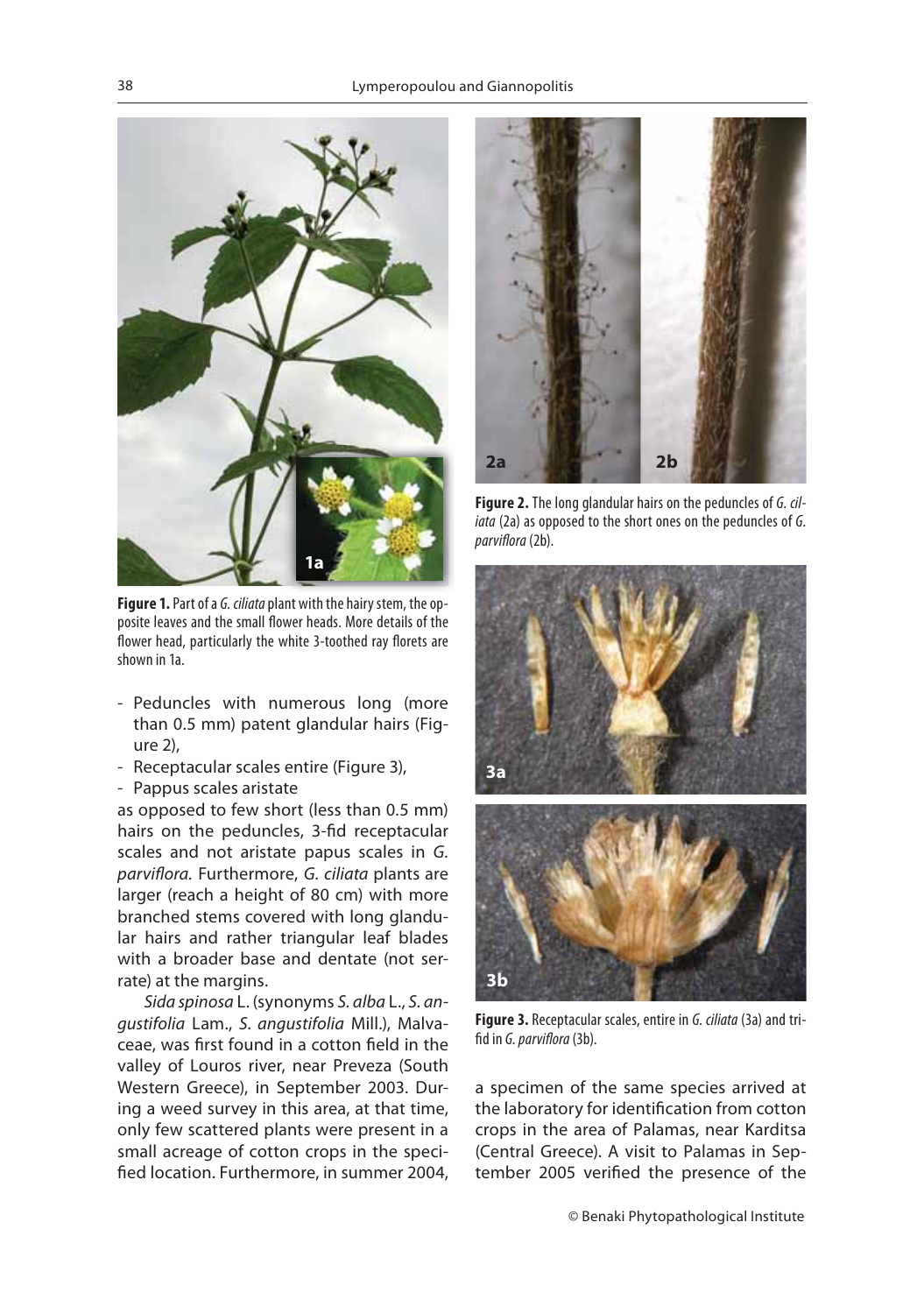

**Figure 1.** Part of a G. ciliata plant with the hairy stem, the opposite leaves and the small flower heads. More details of the flower head, particularly the white 3-toothed ray florets are shown in 1a.

- Peduncles with numerous long (more than 0.5 mm) patent glandular hairs (Figure 2),
- Receptacular scales entire (Figure 3),
- Pappus scales aristate

as opposed to few short (less than 0.5 mm) hairs on the peduncles, 3-fid receptacular scales and not aristate papus scales in G. parviflora. Furthermore, G. ciliata plants are larger (reach a height of 80 cm) with more branched stems covered with long glandular hairs and rather triangular leaf blades with a broader base and dentate (not serrate) at the margins.

Sida spinosa L. (synonyms S. alba L., S. angustifolia Lam., S. angustifolia Mill.), Malvaceae, was first found in a cotton field in the valley of Louros river, near Preveza (South Western Greece), in September 2003. During a weed survey in this area, at that time, only few scattered plants were present in a small acreage of cotton crops in the specified location. Furthermore, in summer 2004,



**Figure 2.** The long glandular hairs on the peduncles of G. ciliata (2a) as opposed to the short ones on the peduncles of G. parviflora (2b).



**Figure 3.** Receptacular scales, entire in G. ciliata (3a) and trifid in G. parviflora (3b).

a specimen of the same species arrived at the laboratory for identification from cotton crops in the area of Palamas, near Karditsa (Central Greece). A visit to Palamas in September 2005 verified the presence of the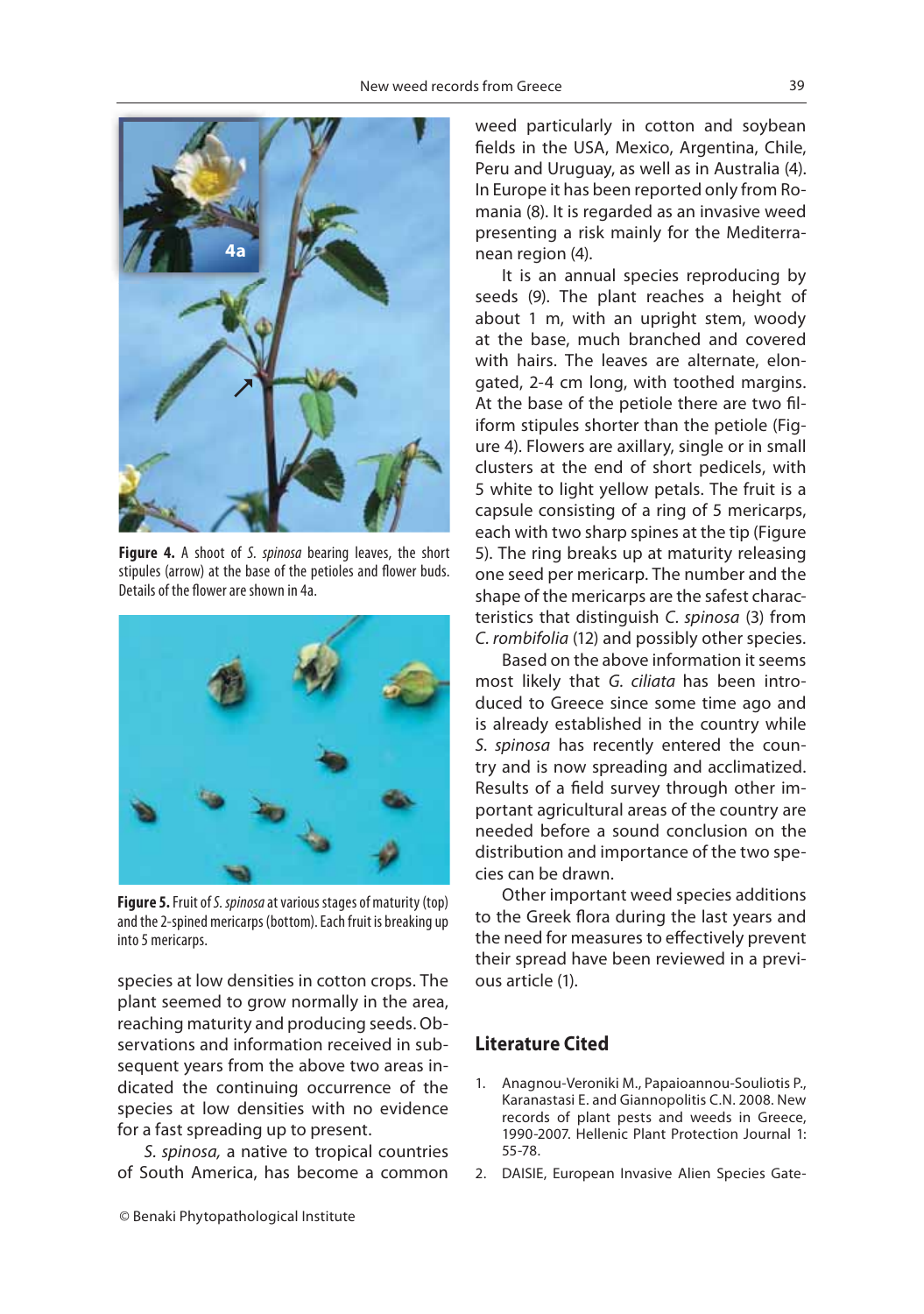

**Figure 4.** A shoot of S. spinosa bearing leaves, the short stipules (arrow) at the base of the petioles and flower buds. Details of the flower are shown in 4a.



**Figure 5.** Fruit of S. spinosa at various stages of maturity (top) and the 2-spined mericarps (bottom). Each fruit is breaking up into 5 mericarps.

species at low densities in cotton crops. The plant seemed to grow normally in the area, reaching maturity and producing seeds. Observations and information received in subsequent years from the above two areas indicated the continuing occurrence of the species at low densities with no evidence for a fast spreading up to present.

S. spinosa, a native to tropical countries of South America, has become a common weed particularly in cotton and soybean fields in the USA, Mexico, Argentina, Chile, Peru and Uruguay, as well as in Australia (4). In Europe it has been reported only from Romania (8). It is regarded as an invasive weed presenting a risk mainly for the Mediterranean region (4).

It is an annual species reproducing by seeds (9). The plant reaches a height of about 1 m, with an upright stem, woody at the base, much branched and covered with hairs. The leaves are alternate, elongated, 2-4 cm long, with toothed margins. At the base of the petiole there are two filiform stipules shorter than the petiole (Figure 4). Flowers are axillary, single or in small clusters at the end of short pedicels, with 5 white to light yellow petals. The fruit is a capsule consisting of a ring of 5 mericarps, each with two sharp spines at the tip (Figure 5). The ring breaks up at maturity releasing one seed per mericarp. The number and the shape of the mericarps are the safest characteristics that distinguish C. spinosa (3) from C. rombifolia (12) and possibly other species.

Based on the above information it seems most likely that G. ciliata has been introduced to Greece since some time ago and is already established in the country while S. spinosa has recently entered the country and is now spreading and acclimatized. Results of a field survey through other important agricultural areas of the country are needed before a sound conclusion on the distribution and importance of the two species can be drawn.

Other important weed species additions to the Greek flora during the last years and the need for measures to effectively prevent their spread have been reviewed in a previous article (1).

- 1. Anagnou-Veroniki M., Papaioannou-Souliotis P., Karanastasi E. and Giannopolitis C.N. 2008. New records of plant pests and weeds in Greece, 1990-2007. Hellenic Plant Protection Journal 1: 55-78.
- 2. DAISIE, European Invasive Alien Species Gate-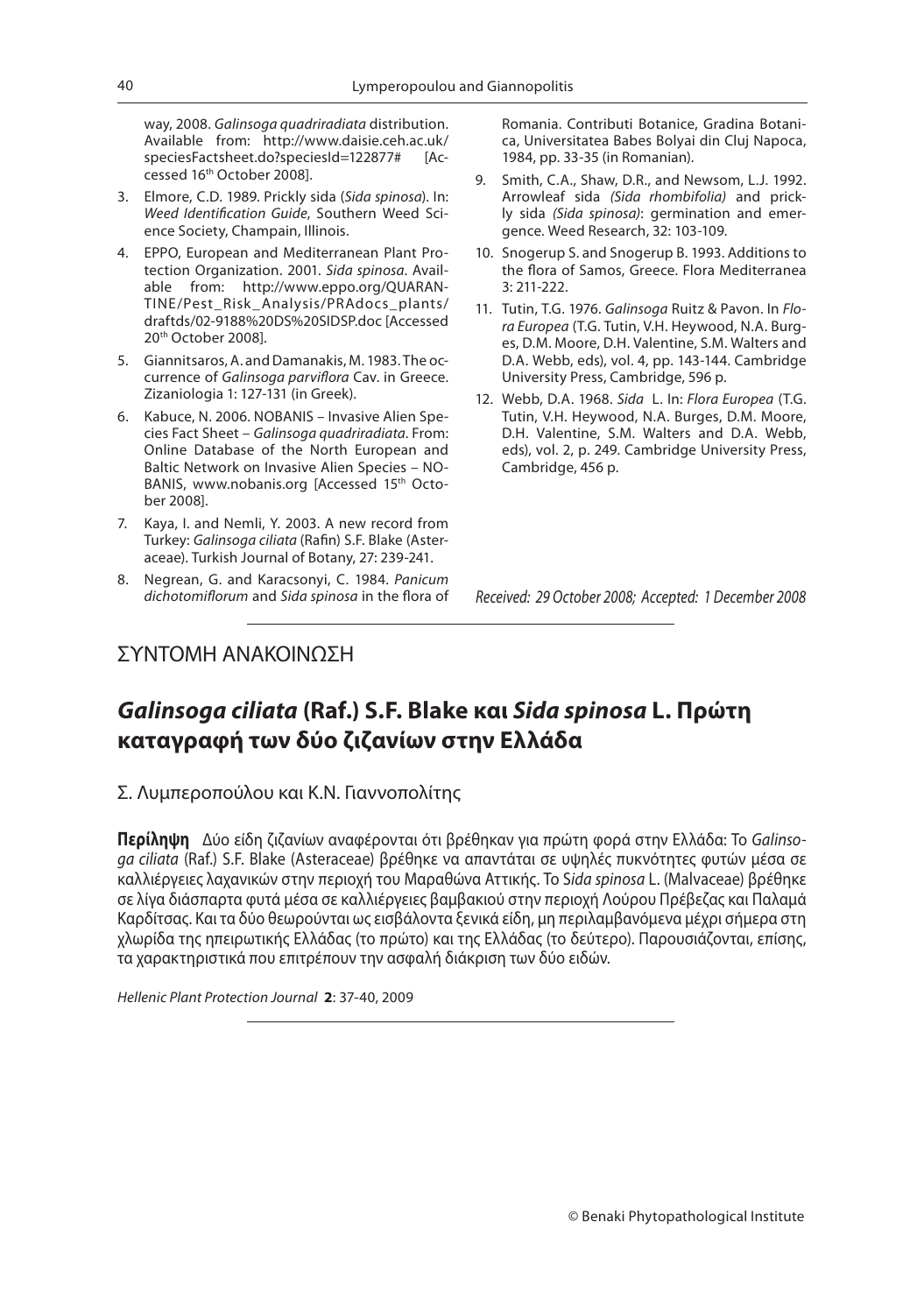way, 2008. Galinsoga quadriradiata distribution. Available from: http://www.daisie.ceh.ac.uk/ speciesFactsheet.do?speciesId=122877# cessed 16<sup>th</sup> October 2008].

- 3. Elmore, C.D. 1989. Prickly sida (Sida spinosa). In: Weed Identification Guide, Southern Weed Science Society, Champain, Illinois.
- 4. EPPO, European and Mediterranean Plant Protection Organization. 2001. Sida spinosa. Available from: http://www.eppo.org/QUARAN-TINE/Pest\_Risk\_Analysis/PRAdocs\_plants/ draftds/02-9188%20DS%20SIDSP.doc [Accessed 20th October 2008].
- 5. Giannitsaros, A. and Damanakis, M. 1983. The occurrence of Galinsoga parviflora Cav. in Greece. Zizaniologia 1: 127-131 (in Greek).
- 6. Kabuce, N. 2006. NOBANIS Invasive Alien Species Fact Sheet – Galinsoga quadriradiata. From: Online Database of the North European and Baltic Network on Invasive Alien Species – NO-BANIS, www.nobanis.org [Accessed 15th October 2008].
- 7. Kaya, I. and Nemli, Y. 2003. A new record from Turkey: Galinsoga ciliata (Rafin) S.F. Blake (Asteraceae). Turkish Journal of Botany, 27: 239-241.
- 8. Negrean, G. and Karacsonyi, C. 1984. Panicum dichotomiflorum and Sida spinosa in the flora of

Romania. Contributi Botanice, Gradina Botanica, Universitatea Babes Bolyai din Cluj Napoca, 1984, pp. 33-35 (in Romanian).

- 9. Smith, C.A., Shaw, D.R., and Newsom, L.J. 1992. Arrowleaf sida (Sida rhombifolia) and prickly sida (Sida spinosa): germination and emergence. Weed Research, 32: 103-109.
- 10. Snogerup S. and Snogerup B. 1993. Additions to the flora of Samos, Greece. Flora Mediterranea 3: 211-222.
- 11. Tutin, T.G. 1976. Galinsoga Ruitz & Pavon. In Flora Europea (T.G. Tutin, V.H. Heywood, N.A. Burges, D.M. Moore, D.H. Valentine, S.M. Walters and D.A. Webb, eds), vol. 4, pp. 143-144. Cambridge University Press, Cambridge, 596 p.
- 12. Webb, D.A. 1968. Sida L. In: Flora Europea (T.G. Tutin, V.H. Heywood, N.A. Burges, D.M. Moore, D.H. Valentine, S.M. Walters and D.A. Webb, eds), vol. 2, p. 249. Cambridge University Press, Cambridge, 456 p.

Received: 29 October 2008; Accepted: 1 December 2008

### ΣΥΝΤΟΜΗ ΑΝΑΚΟΙΝΩΣΗ

### *Galinsoga ciliata* **(Raf.) S.F. Blake και** *Sida spinosa* **L. Πρώτη καταγραφή των δύο ζιζανίων στην Ελλάδα**

Σ. Λυμπεροπούλου και Κ.Ν. Γιαννοπολίτης

**Περίληψη** Δύο είδη ζιζανίων αναφέρονται ότι βρέθηκαν για πρώτη φορά στην Ελλάδα: Το Galinsoga ciliata (Raf.) S.F. Blake (Asteraceae) βρέθηκε να απαντάται σε υψηλές πυκνότητες φυτών μέσα σε καλλιέργειες λαχανικών στην περιοχή του Μαραθώνα Αττικής. Το Sida spinosa L. (Malvaceae) βρέθηκε σε λίγα διάσπαρτα φυτά μέσα σε καλλιέργειες βαμβακιού στην περιοχή Λούρου Πρέβεζας και Παλαμά Καρδίτσας. Και τα δύο θεωρούνται ως εισβάλοντα ξενικά είδη, μη περιλαμβανόμενα μέχρι σήμερα στη χλωρίδα της ηπειρωτικής Ελλάδας (το πρώτο) και της Ελλάδας (το δεύτερο). Παρουσιάζονται, επίσης, τα χαρακτηριστικά που επιτρέπουν την ασφαλή διάκριση των δύο ειδών.

Hellenic Plant Protection Journal **2**: 37-40, 2009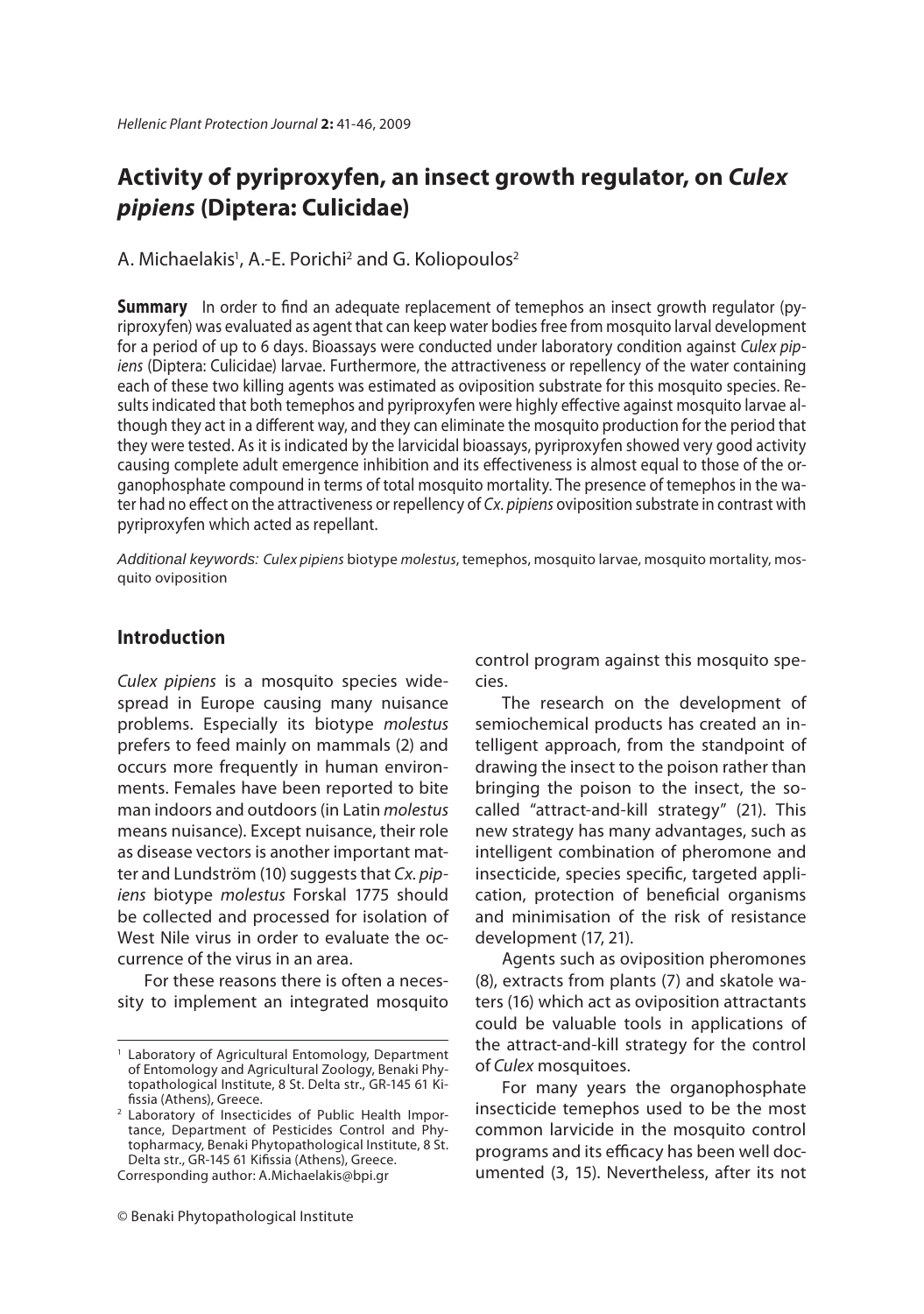### **Activity of pyriproxyfen, an insect growth regulator, on** *Culex pipiens* **(Diptera: Culicidae)**

A. Michaelakis<sup>1</sup>, A.-E. Porichi<sup>2</sup> and G. Koliopoulos<sup>2</sup>

**Summary** In order to find an adequate replacement of temephos an insect growth regulator (py-<br>riproxyfen) was evaluated as agent that can keep water bodies free from mosquito larval development for a period of up to 6 days. Bioassays were conducted under laboratory condition against Culex pipiens (Diptera: Culicidae) larvae. Furthermore, the attractiveness or repellency of the water containing each of these two killing agents was estimated as oviposition substrate for this mosquito species. Results indicated that both temephos and pyriproxyfen were highly effective against mosquito larvae although they act in a different way, and they can eliminate the mosquito production for the period that they were tested. As it is indicated by the larvicidal bioassays, pyriproxyfen showed very good activity causing complete adult emergence inhibition and its effectiveness is almost equal to those of the organophosphate compound in terms of total mosquito mortality. The presence of temephos in the water had no effect on the attractiveness or repellency of Cx. pipiens oviposition substrate in contrast with pyriproxyfen which acted as repellant.

*Additional keywords:* Culex pipiens biotype molestus, temephos, mosquito larvae, mosquito mortality, mosquito oviposition

### **Introduction**

Culex pipiens is a mosquito species widespread in Europe causing many nuisance problems. Especially its biotype molestus prefers to feed mainly on mammals (2) and occurs more frequently in human environments. Females have been reported to bite man indoors and outdoors (in Latin molestus means nuisance). Except nuisance, their role as disease vectors is another important matter and Lundström (10) suggests that Cx. pipiens biotype molestus Forskal 1775 should be collected and processed for isolation of West Nile virus in order to evaluate the occurrence of the virus in an area.

For these reasons there is often a necessity to implement an integrated mosquito control program against this mosquito species.

The research on the development of semiochemical products has created an intelligent approach, from the standpoint of drawing the insect to the poison rather than bringing the poison to the insect, the socalled "attract-and-kill strategy" (21). This new strategy has many advantages, such as intelligent combination of pheromone and insecticide, species specific, targeted application, protection of beneficial organisms and minimisation of the risk of resistance development (17, 21).

Agents such as oviposition pheromones (8), extracts from plants (7) and skatole waters (16) which act as oviposition attractants could be valuable tools in applications of the attract-and-kill strategy for the control of Culex mosquitoes.

For many years the organophosphate insecticide temephos used to be the most common larvicide in the mosquito control programs and its efficacy has been well documented (3, 15). Nevertheless, after its not

<sup>&</sup>lt;sup>1</sup> Laboratory of Agricultural Entomology, Department of Entomology and Agricultural Zoology, Benaki Phytopathological Institute, 8 St. Delta str., GR-145 61 Kifissia (Athens), Greece.

<sup>2</sup> Laboratory of Insecticides of Public Health Importance, Department of Pesticides Control and Phytopharmacy, Benaki Phytopathological Institute, 8 St. Delta str., GR-145 61 Kifissia (Athens), Greece.

Corresponding author: A.Michaelakis@bpi.gr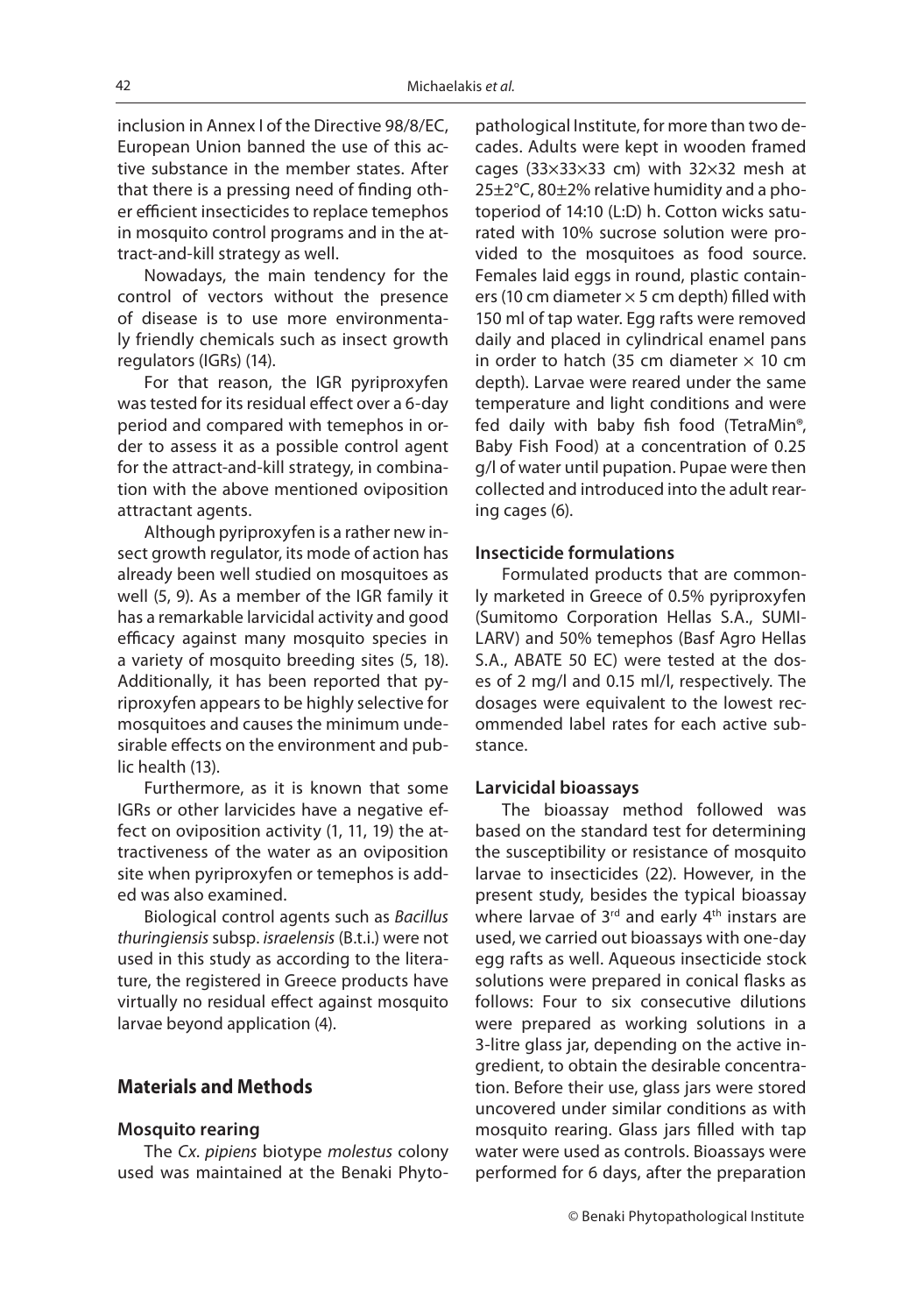inclusion in Annex I of the Directive 98/8/EC, European Union banned the use of this active substance in the member states. After that there is a pressing need of finding other efficient insecticides to replace temephos in mosquito control programs and in the attract-and-kill strategy as well.

Nowadays, the main tendency for the control of vectors without the presence of disease is to use more environmentaly friendly chemicals such as insect growth regulators (IGRs) (14).

For that reason, the IGR pyriproxyfen was tested for its residual effect over a 6-day period and compared with temephos in order to assess it as a possible control agent for the attract-and-kill strategy, in combination with the above mentioned oviposition attractant agents.

Although pyriproxyfen is a rather new insect growth regulator, its mode of action has already been well studied on mosquitoes as well (5, 9). As a member of the IGR family it has a remarkable larvicidal activity and good efficacy against many mosquito species in a variety of mosquito breeding sites (5, 18). Additionally, it has been reported that pyriproxyfen appears to be highly selective for mosquitoes and causes the minimum undesirable effects on the environment and public health (13).

Furthermore, as it is known that some IGRs or other larvicides have a negative effect on oviposition activity (1, 11, 19) the attractiveness of the water as an oviposition site when pyriproxyfen or temephos is added was also examined.

Biological control agents such as Bacillus thuringiensis subsp. israelensis (B.t.i.) were not used in this study as according to the literature, the registered in Greece products have virtually no residual effect against mosquito larvae beyond application (4).

### **Materials and Methods**

#### **Mosquito rearing**

The Cx. pipiens biotype molestus colony used was maintained at the Benaki Phytopathological Institute, for more than two decades. Adults were kept in wooden framed cages (33×33×33 cm) with 32×32 mesh at 25±2°C, 80±2% relative humidity and a photoperiod of 14:10 (L:D) h. Cotton wicks saturated with 10% sucrose solution were provided to the mosquitoes as food source. Females laid eggs in round, plastic containers (10 cm diameter  $\times$  5 cm depth) filled with 150 ml of tap water. Egg rafts were removed daily and placed in cylindrical enamel pans in order to hatch (35 cm diameter  $\times$  10 cm depth). Larvae were reared under the same temperature and light conditions and were fed daily with baby fish food (TetraMin®, Baby Fish Food) at a concentration of 0.25 g/l of water until pupation. Pupae were then collected and introduced into the adult rearing cages (6).

### **Insecticide formulations**

Formulated products that are commonly marketed in Greece of 0.5% pyriproxyfen (Sumitomo Corporation Hellas S.A., SUMI-LARV) and 50% temephos (Basf Agro Hellas S.A., ABATE 50 EC) were tested at the doses of 2 mg/l and 0.15 ml/l, respectively. The dosages were equivalent to the lowest recommended label rates for each active substance.

### **Larvicidal bioassays**

The bioassay method followed was based on the standard test for determining the susceptibility or resistance of mosquito larvae to insecticides (22). However, in the present study, besides the typical bioassay where larvae of  $3<sup>rd</sup>$  and early  $4<sup>th</sup>$  instars are used, we carried out bioassays with one-day egg rafts as well. Aqueous insecticide stock solutions were prepared in conical flasks as follows: Four to six consecutive dilutions were prepared as working solutions in a 3-litre glass jar, depending on the active ingredient, to obtain the desirable concentration. Before their use, glass jars were stored uncovered under similar conditions as with mosquito rearing. Glass jars filled with tap water were used as controls. Bioassays were performed for 6 days, after the preparation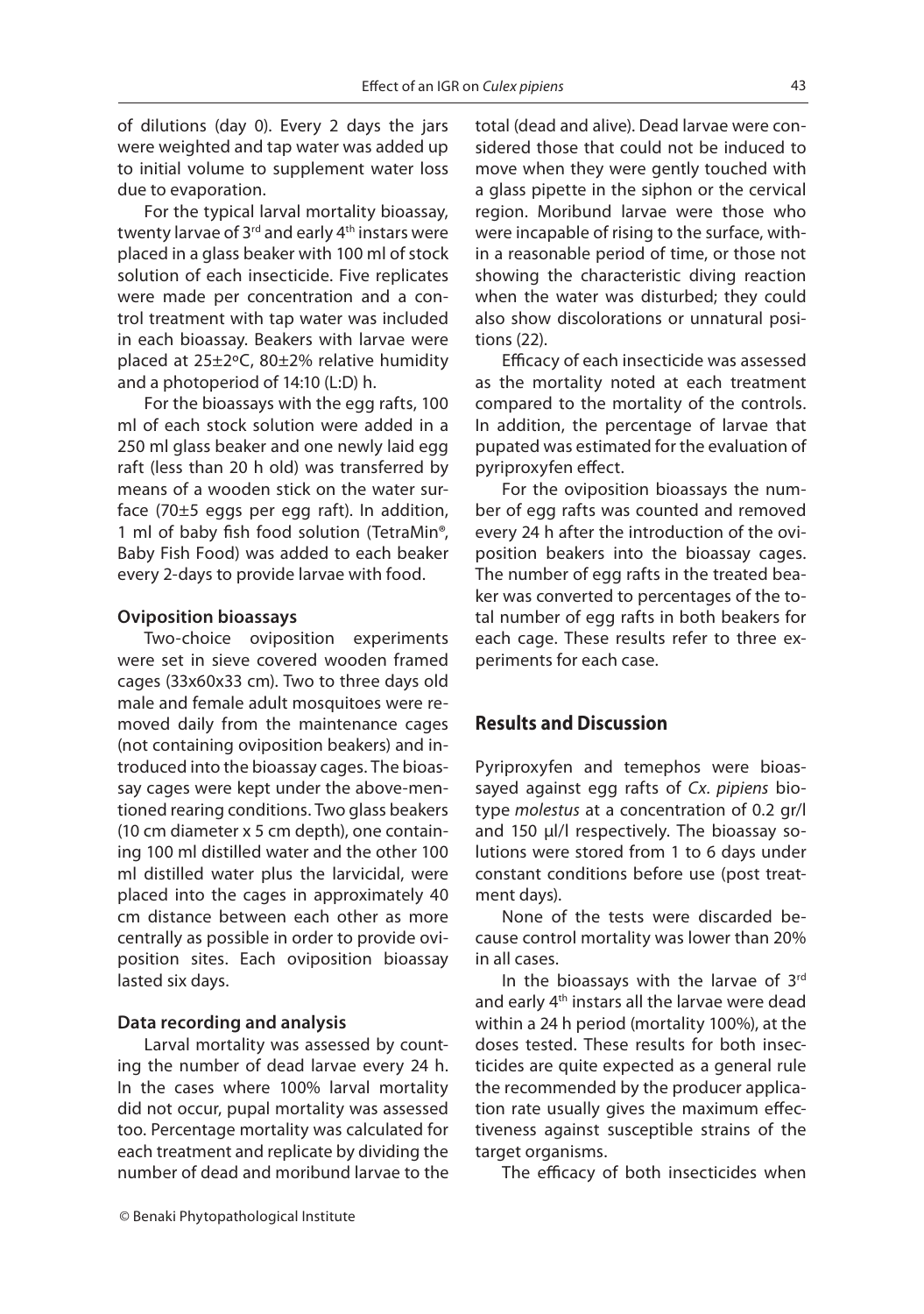of dilutions (day 0). Every 2 days the jars were weighted and tap water was added up to initial volume to supplement water loss due to evaporation.

For the typical larval mortality bioassay, twenty larvae of  $3<sup>rd</sup>$  and early 4<sup>th</sup> instars were placed in a glass beaker with 100 ml of stock solution of each insecticide. Five replicates were made per concentration and a control treatment with tap water was included in each bioassay. Beakers with larvae were placed at 25±2ºC, 80±2% relative humidity and a photoperiod of 14:10 (L:D) h.

For the bioassays with the egg rafts, 100 ml of each stock solution were added in a 250 ml glass beaker and one newly laid egg raft (less than 20 h old) was transferred by means of a wooden stick on the water surface (70±5 eggs per egg raft). In addition, 1 ml of baby fish food solution (TetraMin®, Baby Fish Food) was added to each beaker every 2-days to provide larvae with food.

### **Oviposition bioassays**

Two-choice oviposition experiments were set in sieve covered wooden framed cages (33x60x33 cm). Two to three days old male and female adult mosquitoes were removed daily from the maintenance cages (not containing oviposition beakers) and introduced into the bioassay cages. The bioassay cages were kept under the above-mentioned rearing conditions. Two glass beakers (10 cm diameter x 5 cm depth), one containing 100 ml distilled water and the other 100 ml distilled water plus the larvicidal, were placed into the cages in approximately 40 cm distance between each other as more centrally as possible in order to provide oviposition sites. Each oviposition bioassay lasted six days.

### **Data recording and analysis**

Larval mortality was assessed by counting the number of dead larvae every 24 h. In the cases where 100% larval mortality did not occur, pupal mortality was assessed too. Percentage mortality was calculated for each treatment and replicate by dividing the number of dead and moribund larvae to the

total (dead and alive). Dead larvae were considered those that could not be induced to move when they were gently touched with a glass pipette in the siphon or the cervical region. Moribund larvae were those who were incapable of rising to the surface, within a reasonable period of time, or those not showing the characteristic diving reaction when the water was disturbed; they could also show discolorations or unnatural positions (22).

Efficacy of each insecticide was assessed as the mortality noted at each treatment compared to the mortality of the controls. In addition, the percentage of larvae that pupated was estimated for the evaluation of pyriproxyfen effect.

For the oviposition bioassays the number of egg rafts was counted and removed every 24 h after the introduction of the oviposition beakers into the bioassay cages. The number of egg rafts in the treated beaker was converted to percentages of the total number of egg rafts in both beakers for each cage. These results refer to three experiments for each case.

### **Results and Discussion**

Pyriproxyfen and temephos were bioassayed against egg rafts of Cx. pipiens biotype molestus at a concentration of 0.2 gr/l and 150 μl/l respectively. The bioassay solutions were stored from 1 to 6 days under constant conditions before use (post treatment days).

None of the tests were discarded because control mortality was lower than 20% in all cases.

In the bioassays with the larvae of 3rd and early 4<sup>th</sup> instars all the larvae were dead within a 24 h period (mortality 100%), at the doses tested. These results for both insecticides are quite expected as a general rule the recommended by the producer application rate usually gives the maximum effectiveness against susceptible strains of the target organisms.

The efficacy of both insecticides when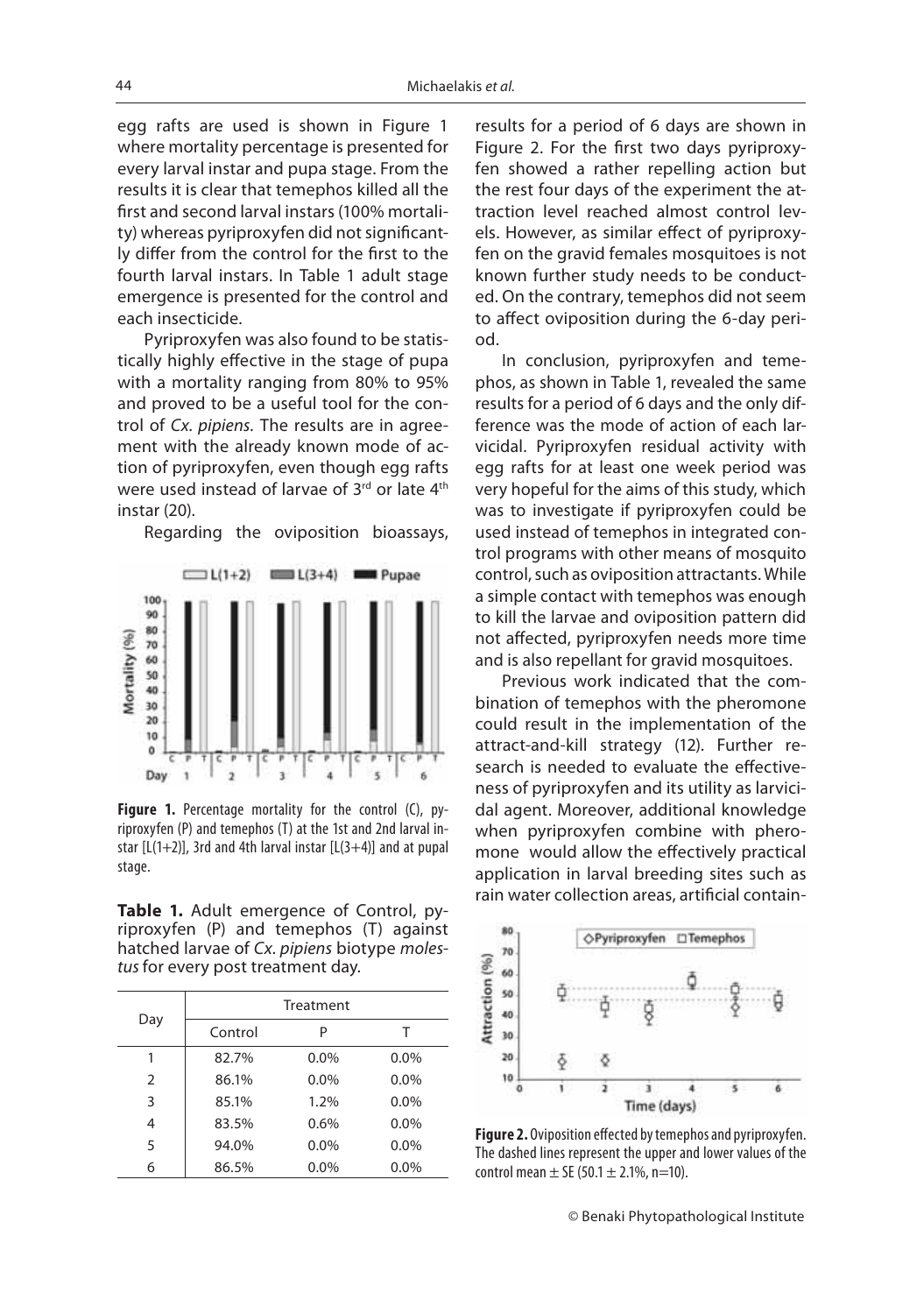egg rafts are used is shown in Figure 1 where mortality percentage is presented for every larval instar and pupa stage. From the results it is clear that temephos killed all the first and second larval instars (100% mortality) whereas pyriproxyfen did not significantly differ from the control for the first to the fourth larval instars. In Table 1 adult stage emergence is presented for the control and each insecticide.

Pyriproxyfen was also found to be statistically highly effective in the stage of pupa with a mortality ranging from 80% to 95% and proved to be a useful tool for the control of Cx. pipiens. The results are in agreement with the already known mode of action of pyriproxyfen, even though egg rafts were used instead of larvae of 3rd or late 4th instar (20).

Regarding the oviposition bioassays,



Figure 1. Percentage mortality for the control (C), pyriproxyfen (P) and temephos (T) at the 1st and 2nd larval instar  $[L(1+2)]$ , 3rd and 4th larval instar  $[L(3+4)]$  and at pupal stage.

**Table 1.** Adult emergence of Control, pyriproxyfen (P) and temephos (T) against hatched larvae of Cx. pipiens biotype molestus for every post treatment day.

| Day |         | Treatment |         |
|-----|---------|-----------|---------|
|     | Control | P         |         |
| 1   | 82.7%   | $0.0\%$   | $0.0\%$ |
| 2   | 86.1%   | $0.0\%$   | $0.0\%$ |
| 3   | 85.1%   | $1.2\%$   | $0.0\%$ |
| 4   | 83.5%   | 0.6%      | $0.0\%$ |
| 5   | 94.0%   | $0.0\%$   | $0.0\%$ |
| 6   | 86.5%   | $0.0\%$   | 0.0%    |

results for a period of 6 days are shown in Figure 2. For the first two days pyriproxyfen showed a rather repelling action but the rest four days of the experiment the attraction level reached almost control levels. However, as similar effect of pyriproxyfen on the gravid females mosquitoes is not known further study needs to be conducted. On the contrary, temephos did not seem to affect oviposition during the 6-day period.

In conclusion, pyriproxyfen and temephos, as shown in Table 1, revealed the same results for a period of 6 days and the only difference was the mode of action of each larvicidal. Pyriproxyfen residual activity with egg rafts for at least one week period was very hopeful for the aims of this study, which was to investigate if pyriproxyfen could be used instead of temephos in integrated control programs with other means of mosquito control, such as oviposition attractants. While a simple contact with temephos was enough to kill the larvae and oviposition pattern did not affected, pyriproxyfen needs more time and is also repellant for gravid mosquitoes.

Previous work indicated that the combination of temephos with the pheromone could result in the implementation of the attract-and-kill strategy (12). Further research is needed to evaluate the effectiveness of pyriproxyfen and its utility as larvicidal agent. Moreover, additional knowledge when pyriproxyfen combine with pheromone would allow the effectively practical application in larval breeding sites such as rain water collection areas, artificial contain-



**Figure 2.** Oviposition effected by temephos and pyriproxyfen. The dashed lines represent the upper and lower values of the control mean  $\pm$  SE (50.1  $\pm$  2.1%, n=10).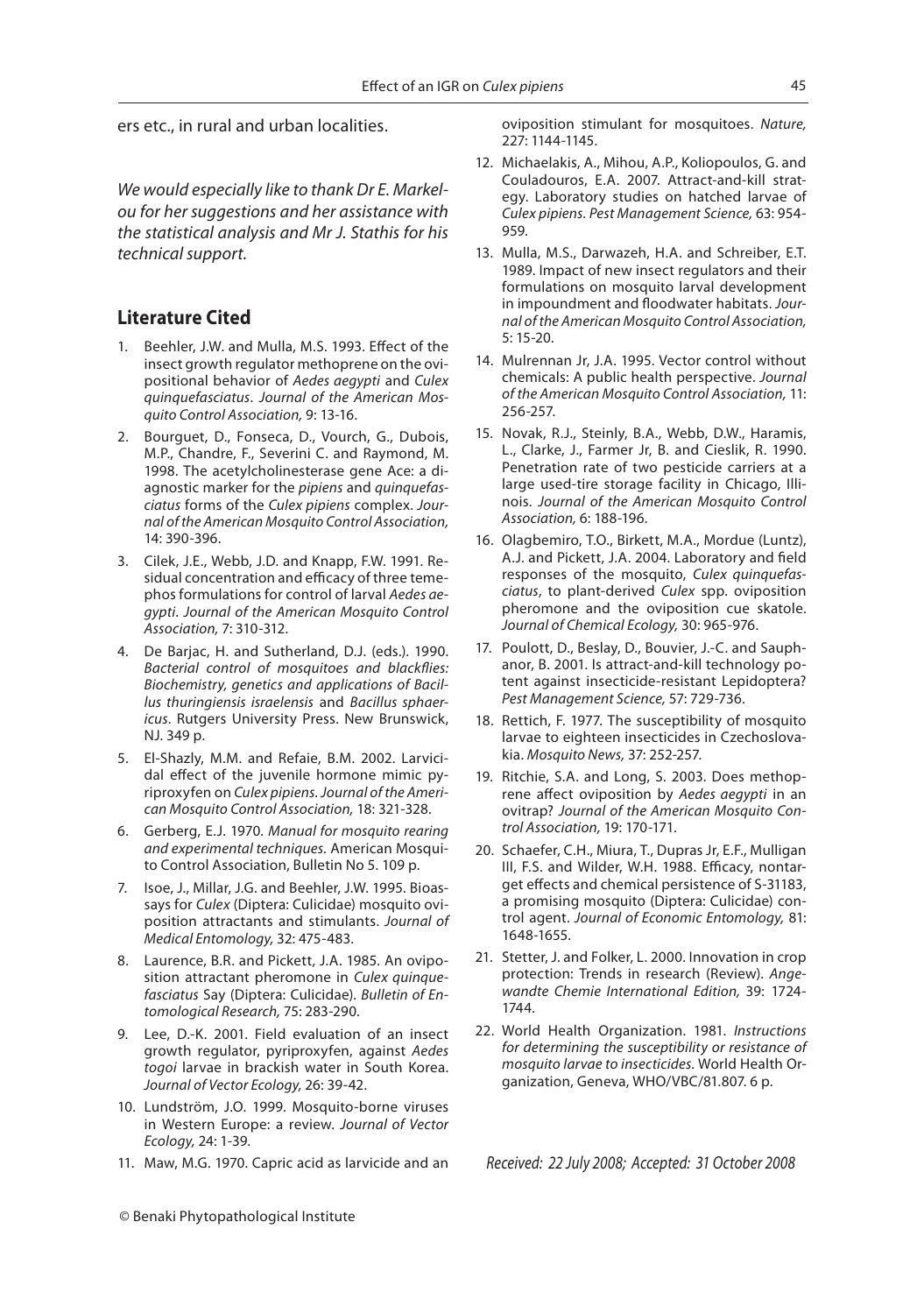ers etc., in rural and urban localities.

We would especially like to thank Dr E. Markelou for her suggestions and her assistance with the statistical analysis and Mr J. Stathis for his technical support.

### **Literature Cited**

- 1. Beehler, J.W. and Mulla, M.S. 1993. Effect of the insect growth regulator methoprene on the ovipositional behavior of Aedes aegypti and Culex quinquefasciatus. Journal of the American Mosquito Control Association, 9: 13-16.
- 2. Bourguet, D., Fonseca, D., Vourch, G., Dubois, M.P., Chandre, F., Severini C. and Raymond, M. 1998. The acetylcholinesterase gene Ace: a diagnostic marker for the pipiens and quinquefasciatus forms of the Culex pipiens complex. Journal of the American Mosquito Control Association, 14: 390-396.
- 3. Cilek, J.E., Webb, J.D. and Knapp, F.W. 1991. Residual concentration and efficacy of three temephos formulations for control of larval Aedes aegypti. Journal of the American Mosquito Control Association, 7: 310-312.
- 4. De Barjac, H. and Sutherland, D.J. (eds.). 1990. Bacterial control of mosquitoes and blackflies: Biochemistry, genetics and applications of Bacillus thuringiensis israelensis and Bacillus sphaericus. Rutgers University Press. New Brunswick, NJ. 349 p.
- 5. El-Shazly, M.M. and Refaie, B.M. 2002. Larvicidal effect of the juvenile hormone mimic pyriproxyfen on Culex pipiens. Journal of the American Mosquito Control Association, 18: 321-328.
- 6. Gerberg, E.J. 1970. Manual for mosquito rearing and experimental techniques. American Mosquito Control Association, Bulletin No 5. 109 p.
- 7. Isoe, J., Millar, J.G. and Beehler, J.W. 1995. Bioassays for Culex (Diptera: Culicidae) mosquito oviposition attractants and stimulants. Journal of Medical Entomology, 32: 475-483.
- 8. Laurence, B.R. and Pickett, J.A. 1985. An oviposition attractant pheromone in Culex quinquefasciatus Say (Diptera: Culicidae). Bulletin of Entomological Research, 75: 283-290.
- 9. Lee, D.-K. 2001. Field evaluation of an insect growth regulator, pyriproxyfen, against Aedes togoi larvae in brackish water in South Korea. Journal of Vector Ecology, 26: 39-42.
- 10. Lundström, J.O. 1999. Mosquito-borne viruses in Western Europe: a review. Journal of Vector Ecology, 24: 1-39.
- 11. Maw, M.G. 1970. Capric acid as larvicide and an

oviposition stimulant for mosquitoes. Nature, 227: 1144-1145.

- 12. Michaelakis, A., Mihou, A.P., Koliopoulos, G. and Couladouros, E.A. 2007. Attract-and-kill strategy. Laboratory studies on hatched larvae of Culex pipiens. Pest Management Science, 63: 954- 959.
- 13. Mulla, M.S., Darwazeh, H.A. and Schreiber, E.T. 1989. Impact of new insect regulators and their formulations on mosquito larval development in impoundment and floodwater habitats. Journal of the American Mosquito Control Association, 5: 15-20.
- 14. Mulrennan Jr, J.A. 1995. Vector control without chemicals: A public health perspective. Journal of the American Mosquito Control Association, 11: 256-257.
- 15. Novak, R.J., Steinly, B.A., Webb, D.W., Haramis, L., Clarke, J., Farmer Jr, B. and Cieslik, R. 1990. Penetration rate of two pesticide carriers at a large used-tire storage facility in Chicago, Illinois. Journal of the American Mosquito Control Association, 6: 188-196.
- 16. Olagbemiro, T.O., Birkett, M.A., Mordue (Luntz), A.J. and Pickett, J.A. 2004. Laboratory and field responses of the mosquito, Culex quinquefasciatus, to plant-derived Culex spp. oviposition pheromone and the oviposition cue skatole. Journal of Chemical Ecology, 30: 965-976.
- 17. Poulott, D., Beslay, D., Bouvier, J.-C. and Sauphanor, B. 2001. Is attract-and-kill technology potent against insecticide-resistant Lepidoptera? Pest Management Science, 57: 729-736.
- 18. Rettich, F. 1977. The susceptibility of mosquito larvae to eighteen insecticides in Czechoslovakia. Mosquito News, 37: 252-257.
- 19. Ritchie, S.A. and Long, S. 2003. Does methoprene affect oviposition by Aedes aegypti in an ovitrap? Journal of the American Mosquito Control Association, 19: 170-171.
- 20. Schaefer, C.H., Miura, T., Dupras Jr, E.F., Mulligan III, F.S. and Wilder, W.H. 1988. Efficacy, nontarget effects and chemical persistence of S-31183, a promising mosquito (Diptera: Culicidae) control agent. Journal of Economic Entomology, 81: 1648-1655.
- 21. Stetter, J. and Folker, L. 2000. Innovation in crop protection: Trends in research (Review). Angewandte Chemie International Edition, 39: 1724- 1744.
- 22. World Health Organization. 1981. Instructions for determining the susceptibility or resistance of mosquito larvae to insecticides. World Health Organization, Geneva, WHO/VBC/81.807. 6 p.

Received: 22 July 2008; Accepted: 31 October 2008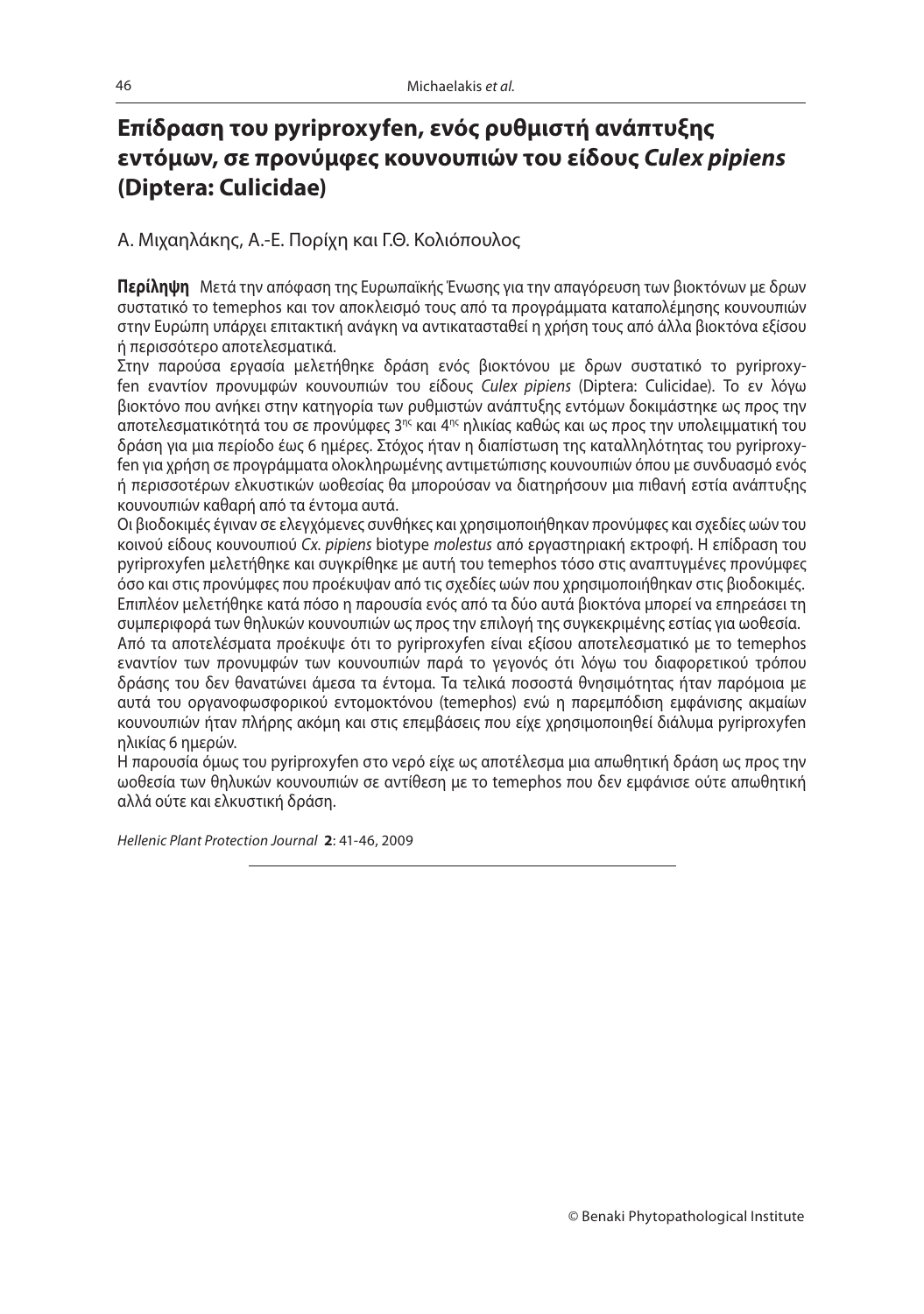# **εντόμων, σε προνύμφες κουνουπιών του είδους** *Culex pipiens*<br>(Dintera: Culicidae) **(Diptera: Culicidae)**

Α. Μιχαηλάκης, Α.-Ε. Πορίχη και Γ.Θ. Κολιόπουλος

**Περίληψη** Μετά την απόφαση της Ευρωπαϊκής Ένωσης για την απαγόρευση των βιοκτόνων με δρων συστατικό το temephos και τον αποκλεισμό τους από τα προγράμματα καταπολέμησης κουνουπιών στην Ευρώπη υπάρχει επιτακτική ανάγκη να αντικατασταθεί η χρήση τους από άλλα βιοκτόνα εξίσου ή περισσότερο αποτελεσματικά.

Στην παρούσα εργασία μελετήθηκε δράση ενός βιοκτόνου με δρων συστατικό το pyriproxyfen εναντίον προνυμφών κουνουπιών του είδους Culex pipiens (Diptera: Culicidae). Τo εν λόγω βιοκτόνο που ανήκει στην κατηγορία των ρυθμιστών ανάπτυξης εντόμων δοκιμάστηκε ως προς την αποτελεσματικότητά του σε προνύμφες 3ης και 4ης ηλικίας καθώς και ως προς την υπολειμματική του δράση για μια περίοδο έως 6 ημέρες. Στόχος ήταν η διαπίστωση της καταλληλότητας του pyriproxyfen για χρήση σε προγράμματα ολοκληρωμένης αντιμετώπισης κουνουπιών όπου με συνδυασμό ενός ή περισσοτέρων ελκυστικών ωοθεσίας θα μπορούσαν να διατηρήσουν μια πιθανή εστία ανάπτυξης κουνουπιών καθαρή από τα έντομα αυτά.

Οι βιοδοκιμές έγιναν σε ελεγχόμενες συνθήκες και χρησιμοποιήθηκαν προνύμφες και σχεδίες ωών του κοινού είδους κουνουπιού Cx. pipiens biotype molestus από εργαστηριακή εκτροφή. Η επίδραση του pyriproxyfen μελετήθηκε και συγκρίθηκε με αυτή του temephos τόσο στις αναπτυγμένες προνύμφες όσο και στις προνύμφες που προέκυψαν από τις σχεδίες ωών που χρησιμοποιήθηκαν στις βιοδοκιμές. Επιπλέον μελετήθηκε κατά πόσο η παρουσία ενός από τα δύο αυτά βιοκτόνα μπορεί να επηρεάσει τη συμπεριφορά των θηλυκών κουνουπιών ως προς την επιλογή της συγκεκριμένης εστίας για ωοθεσία. Από τα αποτελέσματα προέκυψε ότι το pyriproxyfen είναι εξίσου αποτελεσματικό με το temephos εναντίον των προνυμφών των κουνουπιών παρά το γεγονός ότι λόγω του διαφορετικού τρόπου δράσης του δεν θανατώνει άμεσα τα έντομα. Τα τελικά ποσοστά θνησιμότητας ήταν παρόμοια με αυτά του οργανοφωσφορικού εντομοκτόνου (temephos) ενώ η παρεμπόδιση εμφάνισης ακμαίων κουνουπιών ήταν πλήρης ακόμη και στις επεμβάσεις που είχε χρησιμοποιηθεί διάλυμα pyriproxyfen ηλικίας 6 ημερών.

Η παρουσία όμως του pyriproxyfen στο νερό είχε ως αποτέλεσμα μια απωθητική δράση ως προς την ωοθεσία των θηλυκών κουνουπιών σε αντίθεση με το temephos που δεν εμφάνισε ούτε απωθητική αλλά ούτε και ελκυστική δράση.

Hellenic Plant Protection Journal **2**: 41-46, 2009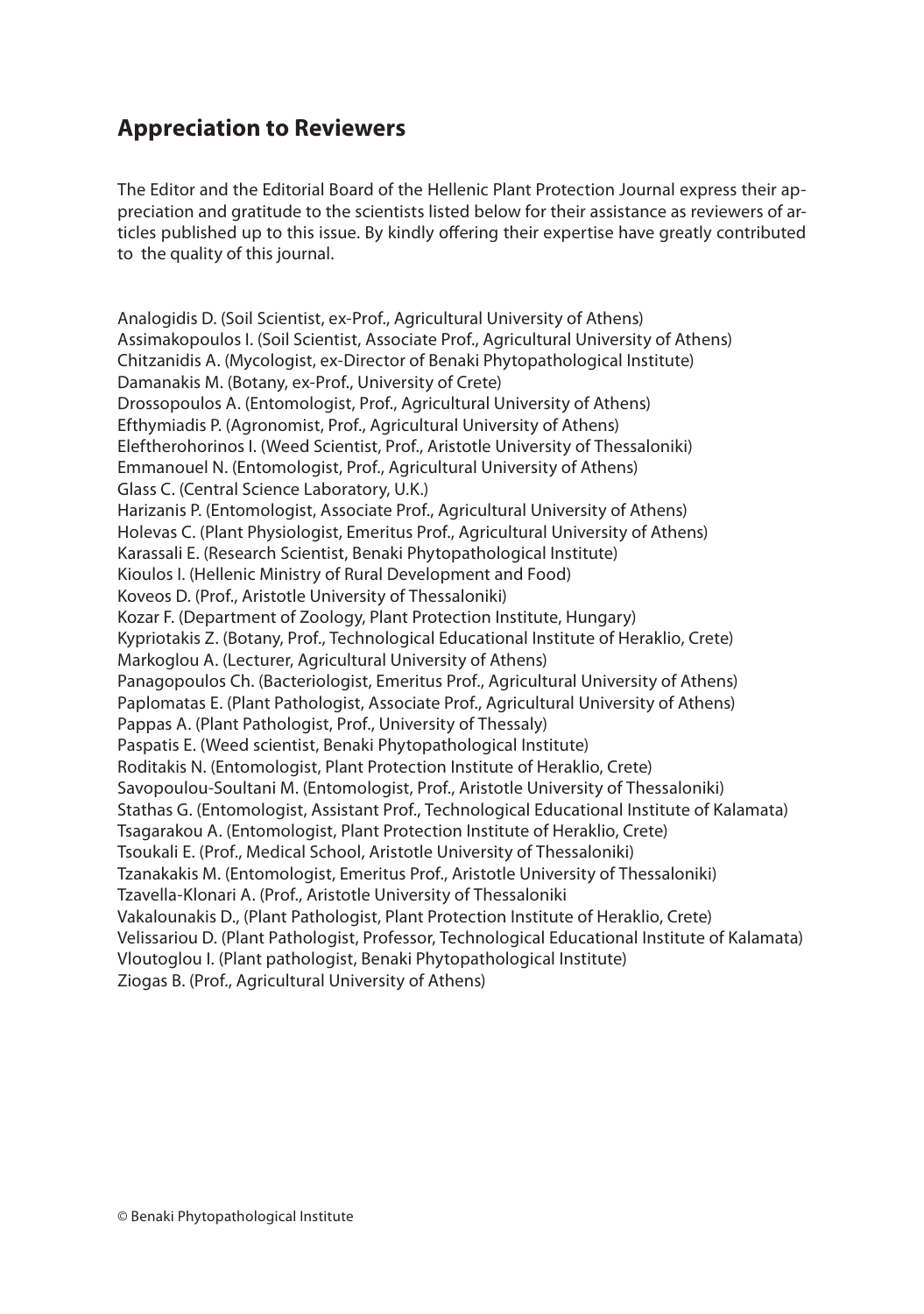### **Appreciation to Reviewers**

The Editor and the Editorial Board of the Hellenic Plant Protection Journal express their appreciation and gratitude to the scientists listed below for their assistance as reviewers of articles published up to this issue. By kindly offering their expertise have greatly contributed to the quality of this journal.

Analogidis D. (Soil Scientist, ex-Prof., Agricultural University of Athens) Assimakopoulos I. (Soil Scientist, Associate Prof., Agricultural University of Athens) Chitzanidis A. (Mycologist, ex-Director of Benaki Phytopathological Institute) Damanakis M. (Botany, ex-Prof., University of Crete) Drossopoulos A. (Entomologist, Prof., Agricultural University of Athens) Efthymiadis P. (Agronomist, Prof., Agricultural University of Athens) Eleftherohorinos I. (Weed Scientist, Prof., Aristotle University of Thessaloniki) Emmanouel N. (Entomologist, Prof., Agricultural University of Athens) Glass C. (Central Science Laboratory, U.K.) Harizanis P. (Entomologist, Associate Prof., Agricultural University of Athens) Holevas C. (Plant Physiologist, Emeritus Prof., Agricultural University of Athens) Karassali E. (Research Scientist, Benaki Phytopathological Institute) Kioulos I. (Hellenic Ministry of Rural Development and Food) Koveos D. (Prof., Aristotle University of Thessaloniki) Kozar F. (Department of Zoology, Plant Protection Institute, Hungary) Kypriotakis Z. (Botany, Prof., Technological Educational Institute of Heraklio, Crete) Markoglou A. (Lecturer, Agricultural University of Athens) Panagopoulos Ch. (Bacteriologist, Emeritus Prof., Agricultural University of Athens) Paplomatas E. (Plant Pathologist, Associate Prof., Agricultural University of Athens) Pappas A. (Plant Pathologist, Prof., University of Thessaly) Paspatis E. (Weed scientist, Benaki Phytopathological Institute) Roditakis N. (Entomologist, Plant Protection Institute of Heraklio, Crete) Savopoulou-Soultani M. (Entomologist, Prof., Aristotle University of Thessaloniki) Stathas G. (Entomologist, Assistant Prof., Technological Educational Institute of Kalamata) Tsagarakou A. (Entomologist, Plant Protection Institute of Heraklio, Crete) Tsoukali E. (Prof., Medical School, Aristotle University of Thessaloniki) Tzanakakis M. (Entomologist, Emeritus Prof., Aristotle University of Thessaloniki) Tzavella-Klonari A. (Prof., Aristotle University of Thessaloniki Vakalounakis D., (Plant Pathologist, Plant Protection Institute of Heraklio, Crete) Velissariou D. (Plant Pathologist, Professor, Technological Educational Institute of Kalamata) Vloutoglou I. (Plant pathologist, Benaki Phytopathological Institute) Ziogas B. (Prof., Agricultural University of Athens)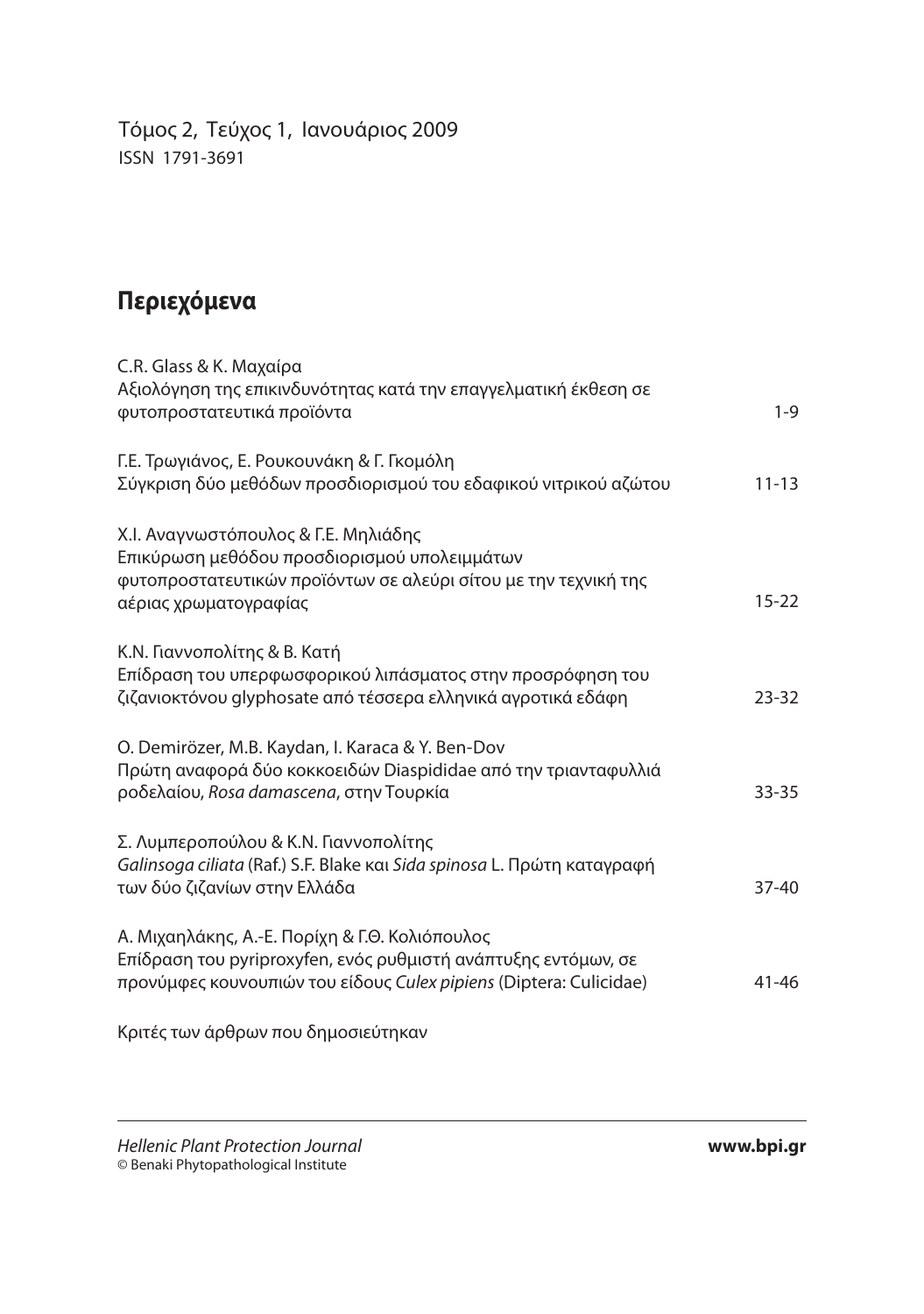Τόμος 2, Τεύχος 1, Ιανουάριος 2009 ISSN 1791-3691

### **Περιεχόμενα**

| C.R. Glass & K. Μαχαίρα                                                                                                                                                                |           |
|----------------------------------------------------------------------------------------------------------------------------------------------------------------------------------------|-----------|
| Αξιολόγηση της επικινδυνότητας κατά την επαγγελματική έκθεση σε<br>φυτοπροστατευτικά προϊόντα                                                                                          | $1-9$     |
| Γ.Ε. Τρωγιάνος, Ε. Ρουκουνάκη & Γ. Γκομόλη<br>Σύγκριση δύο μεθόδων προσδιορισμού του εδαφικού νιτρικού αζώτου                                                                          | $11 - 13$ |
| Χ.Ι. Αναγνωστόπουλος & Γ.Ε. Μηλιάδης<br>Επικύρωση μεθόδου προσδιορισμού υπολειμμάτων<br>φυτοπροστατευτικών προϊόντων σε αλεύρι σίτου με την τεχνική της<br>αέριας χρωματογραφίας       | $15 - 22$ |
| Κ.Ν. Γιαννοπολίτης & Β. Κατή<br>Επίδραση του υπερφωσφορικού λιπάσματος στην προσρόφηση του<br>ζιζανιοκτόνου glyphosate από τέσσερα ελληνικά αγροτικά εδάφη                             | $23 - 32$ |
| O. Demirözer, M.B. Kaydan, I. Karaca & Y. Ben-Dov<br>Πρώτη αναφορά δύο κοκκοειδών Diaspididae από την τριανταφυλλιά<br>ροδελαίου, Rosa damascena, στην Τουρκία                         | $33 - 35$ |
| Σ. Λυμπεροπούλου & Κ.Ν. Γιαννοπολίτης<br>Galinsoga ciliata (Raf.) S.F. Blake και Sida spinosa L. Πρώτη καταγραφή<br>των δύο ζιζανίων στην Ελλάδα                                       | $37 - 40$ |
| Α. Μιχαηλάκης, Α.-Ε. Πορίχη & Γ.Θ. Κολιόπουλος<br>Επίδραση του pyriproxyfen, ενός ρυθμιστή ανάπτυξης εντόμων, σε<br>προνύμφες κουνουπιών του είδους Culex pipiens (Diptera: Culicidae) | $41 - 46$ |

Κριτές των άρθρων που δημοσιεύτηκαν